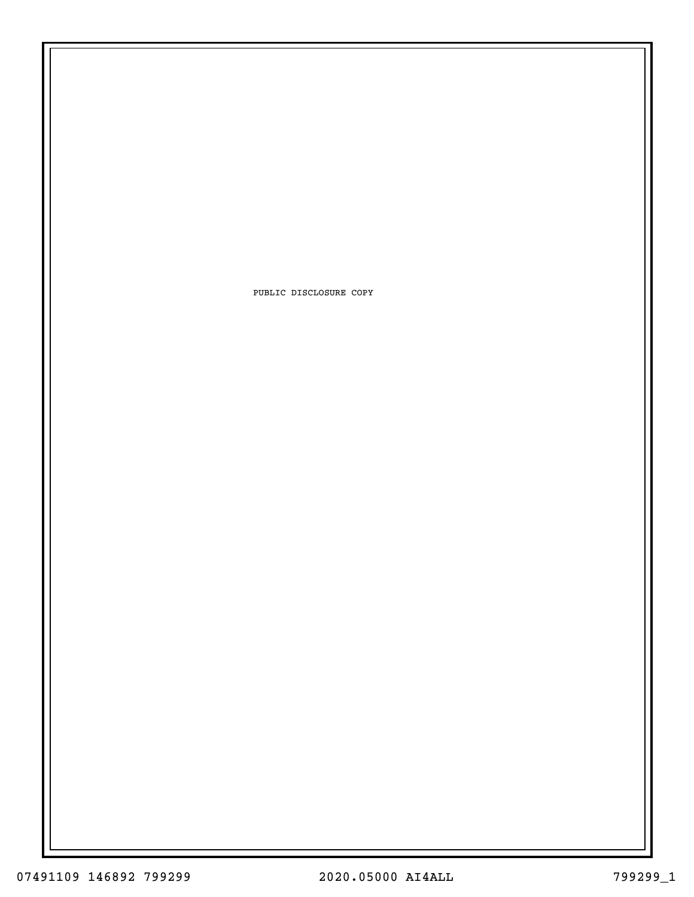PUBLIC DISCLOSURE COPY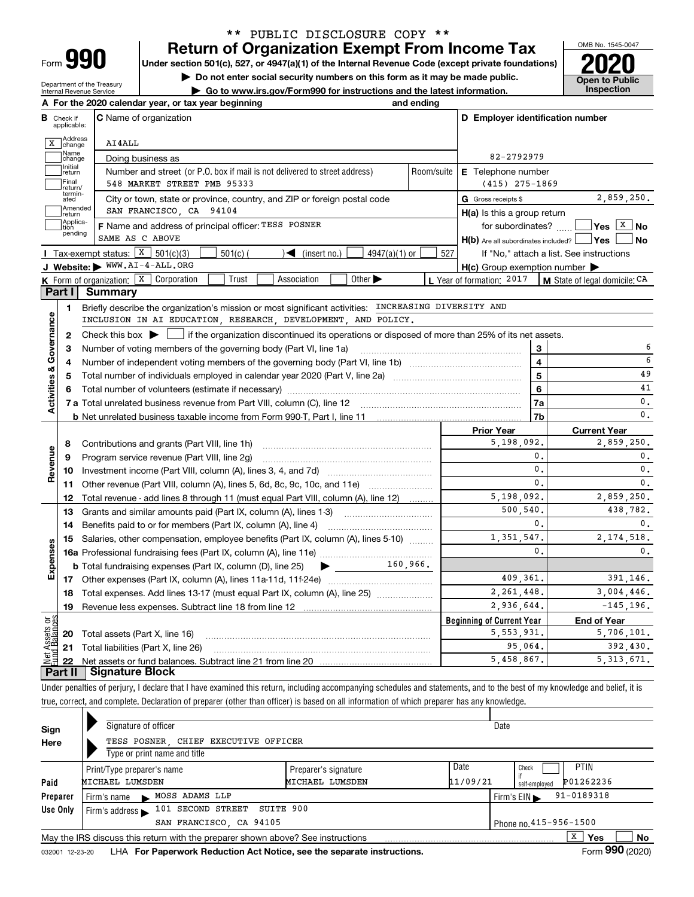| -orm |  |
|------|--|

Department of the Treasury Internal Revenue Service

## **Return of Organization Exempt From Income Tax** \*\* PUBLIC DISCLOSURE COPY \*\*

**Under section 501(c), 527, or 4947(a)(1) of the Internal Revenue Code (except private foundations) 2020**

**| Do not enter social security numbers on this form as it may be made public.**

**| Go to www.irs.gov/Form990 for instructions and the latest information. Inspection**



|                               | A For the 2020 calendar year, or tax year beginning                                                                                                 | and ending |                                                                       |                                          |
|-------------------------------|-----------------------------------------------------------------------------------------------------------------------------------------------------|------------|-----------------------------------------------------------------------|------------------------------------------|
| в.<br>Check if<br>applicable: | <b>C</b> Name of organization                                                                                                                       |            | D Employer identification number                                      |                                          |
| X Address                     | AI4ALL                                                                                                                                              |            |                                                                       |                                          |
| Name<br>change                | Doing business as                                                                                                                                   |            | 82-2792979                                                            |                                          |
| Initial<br>return             | Number and street (or P.O. box if mail is not delivered to street address)                                                                          | Room/suite | E Telephone number                                                    |                                          |
| Final<br>return/              | 548 MARKET STREET PMB 95333                                                                                                                         |            | $(415)$ 275-1869                                                      |                                          |
| termin-<br>ated               | City or town, state or province, country, and ZIP or foreign postal code                                                                            |            | G Gross receipts \$                                                   | 2,859,250.                               |
| Amended<br>return             | SAN FRANCISCO, CA 94104                                                                                                                             |            | H(a) Is this a group return                                           |                                          |
| Applica-<br>tion<br>pending   | F Name and address of principal officer: TESS POSNER<br>SAME AS C ABOVE                                                                             |            | for subordinates?<br>$H(b)$ Are all subordinates included? $\Box$ Yes | $ Yes X $ No<br>l No                     |
|                               | Tax-exempt status: $X \mid 501(c)(3)$<br>$501(c)$ (<br>$\sqrt{\bullet}$ (insert no.)<br>$4947(a)(1)$ or                                             | 527        |                                                                       | If "No," attach a list. See instructions |
|                               | J Website: WWW.AI-4-ALL.ORG                                                                                                                         |            | $H(c)$ Group exemption number $\blacktriangleright$                   |                                          |
|                               | Other $\blacktriangleright$<br><b>K</b> Form of organization: $\boxed{\textbf{X}}$ Corporation<br>Trust<br>Association                              |            | L Year of formation: $2017$                                           | M State of legal domicile: CA            |
| Part I                        | Summary                                                                                                                                             |            |                                                                       |                                          |
| 1                             | Briefly describe the organization's mission or most significant activities: INCREASING DIVERSITY AND                                                |            |                                                                       |                                          |
|                               | INCLUSION IN AI EDUCATION, RESEARCH, DEVELOPMENT, AND POLICY.                                                                                       |            |                                                                       |                                          |
| $\mathbf{2}$                  | Check this box $\blacktriangleright$ $\blacksquare$ if the organization discontinued its operations or disposed of more than 25% of its net assets. |            |                                                                       |                                          |
| 3                             | Number of voting members of the governing body (Part VI, line 1a)                                                                                   |            | 3                                                                     |                                          |
| 4                             |                                                                                                                                                     |            | $\overline{\mathbf{4}}$                                               | 6                                        |
| 5                             |                                                                                                                                                     |            | 5                                                                     | 49                                       |
| 6                             | Total number of volunteers (estimate if necessary) manufacture content content of volunteers (estimate if necessary)                                |            | 6                                                                     | 41                                       |
| Activities & Governance       |                                                                                                                                                     |            | 7a                                                                    | 0.                                       |
|                               |                                                                                                                                                     |            | 7 <sub>b</sub>                                                        | 0.                                       |
|                               |                                                                                                                                                     |            | <b>Prior Year</b>                                                     | <b>Current Year</b>                      |
| 8                             | Contributions and grants (Part VIII, line 1h)                                                                                                       |            | 5,198,092.                                                            | 2,859,250.                               |
| 9                             | Program service revenue (Part VIII, line 2g)                                                                                                        |            | $\mathbf{0}$ .                                                        | 0.                                       |
| Revenue<br>10                 |                                                                                                                                                     |            | $\mathbf{0}$ .                                                        | 0.                                       |
|                               | 11 Other revenue (Part VIII, column (A), lines 5, 6d, 8c, 9c, 10c, and 11e)                                                                         |            | $\mathbf{0}$ .                                                        | 0.                                       |
| 12                            | Total revenue - add lines 8 through 11 (must equal Part VIII, column (A), line 12)                                                                  |            | 5,198,092.                                                            | 2,859,250.                               |
| 13                            | Grants and similar amounts paid (Part IX, column (A), lines 1-3)                                                                                    |            | 500,540.                                                              | 438.782.                                 |
| 14                            |                                                                                                                                                     |            | 0.                                                                    | 0.                                       |
| 15                            | Salaries, other compensation, employee benefits (Part IX, column (A), lines 5-10)                                                                   |            | 1.351.547.                                                            | 2.174.518.                               |
| Expenses                      |                                                                                                                                                     |            | $\mathbf{0}$ .                                                        | 0.                                       |
|                               | $\blacktriangleright$ 160,966.<br><b>b</b> Total fundraising expenses (Part IX, column (D), line 25)                                                |            |                                                                       |                                          |
|                               |                                                                                                                                                     | 409.361.   | 391.146.                                                              |                                          |
|                               | 18 Total expenses. Add lines 13-17 (must equal Part IX, column (A), line 25) <i></i>                                                                | 2.261.448. | 3,004,446.                                                            |                                          |
| 19                            |                                                                                                                                                     |            | 2,936,644.                                                            | $-145, 196.$                             |
| وَقِ                          |                                                                                                                                                     |            | <b>Beginning of Current Year</b>                                      | <b>End of Year</b>                       |
|                               | <b>20</b> Total assets (Part X, line 16)                                                                                                            |            | 5, 553, 931.                                                          | 5,706,101.                               |
|                               |                                                                                                                                                     |            |                                                                       |                                          |
| ssets                         | 21 Total liabilities (Part X, line 26)                                                                                                              |            | 95,064.<br>5,458,867.                                                 | 392,430.<br>5, 313, 671.                 |

Under penalties of perjury, I declare that I have examined this return, including accompanying schedules and statements, and to the best of my knowledge and belief, it is true, correct, and complete. Declaration of preparer (other than officer) is based on all information of which preparer has any knowledge.

| Sign     | Signature of officer                                                            |                      | Date     |                                |  |  |  |  |  |  |
|----------|---------------------------------------------------------------------------------|----------------------|----------|--------------------------------|--|--|--|--|--|--|
| Here     | TESS POSNER, CHIEF EXECUTIVE OFFICER                                            |                      |          |                                |  |  |  |  |  |  |
|          | Type or print name and title                                                    |                      |          |                                |  |  |  |  |  |  |
|          | Print/Type preparer's name                                                      | Preparer's signature | Date     | <b>PTIN</b><br>Check           |  |  |  |  |  |  |
| Paid     | MICHAEL LUMSDEN                                                                 | MICHAEL LUMSDEN      | 11/09/21 | P01262236<br>self-emploved     |  |  |  |  |  |  |
| Preparer | MOSS ADAMS LLP<br>Firm's name $\blacktriangleright$                             |                      |          | $91 - 0189318$<br>Firm's $EIN$ |  |  |  |  |  |  |
| Use Only | 101 SECOND STREET SUITE 900<br>Firm's address $\blacktriangleright$             |                      |          |                                |  |  |  |  |  |  |
|          | Phone no. 415-956-1500<br>SAN FRANCISCO, CA 94105                               |                      |          |                                |  |  |  |  |  |  |
|          | May the IRS discuss this return with the preparer shown above? See instructions |                      |          | x<br>No<br>Yes                 |  |  |  |  |  |  |
|          |                                                                                 |                      |          | $000 \times 200$<br>-          |  |  |  |  |  |  |

032001 12-23-20 LHA **For Paperwork Reduction Act Notice, see the separate instructions. Form 990 (2020)**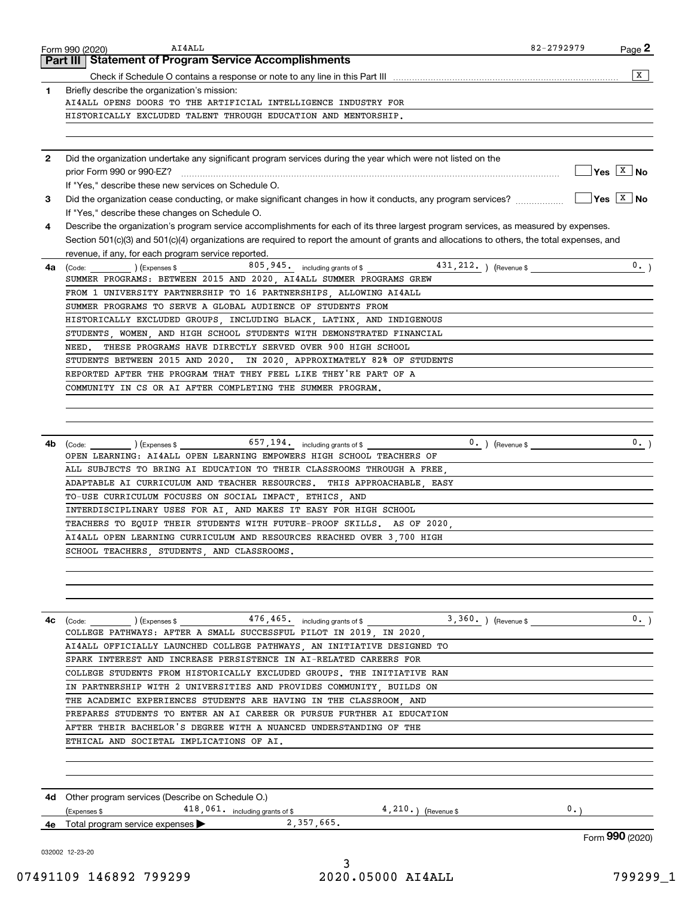|              |                                                                                                                                                                                             |    | $\overline{\mathbf{x}}$     |
|--------------|---------------------------------------------------------------------------------------------------------------------------------------------------------------------------------------------|----|-----------------------------|
| 1.           | Briefly describe the organization's mission:                                                                                                                                                |    |                             |
|              | AI4ALL OPENS DOORS TO THE ARTIFICIAL INTELLIGENCE INDUSTRY FOR                                                                                                                              |    |                             |
|              | HISTORICALLY EXCLUDED TALENT THROUGH EDUCATION AND MENTORSHIP.                                                                                                                              |    |                             |
|              |                                                                                                                                                                                             |    |                             |
| $\mathbf{2}$ | Did the organization undertake any significant program services during the year which were not listed on the                                                                                |    |                             |
|              |                                                                                                                                                                                             |    | $\sqrt{}$ Yes $\sqrt{X}$ No |
| 3            | If "Yes," describe these new services on Schedule O.                                                                                                                                        |    | $\sqrt{Y}$ es $\sqrt{X}$ No |
|              | If "Yes," describe these changes on Schedule O.                                                                                                                                             |    |                             |
| 4            | Describe the organization's program service accomplishments for each of its three largest program services, as measured by expenses.                                                        |    |                             |
|              | Section 501(c)(3) and 501(c)(4) organizations are required to report the amount of grants and allocations to others, the total expenses, and                                                |    |                             |
|              | revenue, if any, for each program service reported.                                                                                                                                         |    |                             |
| 4a           | 431, 212. ) (Revenue \$<br>805, 945. including grants of \$<br>$\left(\text{Code:}\right)$ $\left(\text{Expenses $}\right)$                                                                 |    | 0.                          |
|              | SUMMER PROGRAMS: BETWEEN 2015 AND 2020, AI4ALL SUMMER PROGRAMS GREW                                                                                                                         |    |                             |
|              | FROM 1 UNIVERSITY PARTNERSHIP TO 16 PARTNERSHIPS, ALLOWING AI4ALL<br>SUMMER PROGRAMS TO SERVE A GLOBAL AUDIENCE OF STUDENTS FROM                                                            |    |                             |
|              | HISTORICALLY EXCLUDED GROUPS, INCLUDING BLACK, LATINX, AND INDIGENOUS                                                                                                                       |    |                             |
|              | STUDENTS, WOMEN, AND HIGH SCHOOL STUDENTS WITH DEMONSTRATED FINANCIAL                                                                                                                       |    |                             |
|              | NEED. THESE PROGRAMS HAVE DIRECTLY SERVED OVER 900 HIGH SCHOOL                                                                                                                              |    |                             |
|              | STUDENTS BETWEEN 2015 AND 2020. IN 2020, APPROXIMATELY 82% OF STUDENTS                                                                                                                      |    |                             |
|              | REPORTED AFTER THE PROGRAM THAT THEY FEEL LIKE THEY'RE PART OF A                                                                                                                            |    |                             |
|              | COMMUNITY IN CS OR AI AFTER COMPLETING THE SUMMER PROGRAM.                                                                                                                                  |    |                             |
|              |                                                                                                                                                                                             |    |                             |
|              |                                                                                                                                                                                             |    |                             |
|              |                                                                                                                                                                                             |    | 0.                          |
| 4b           | $\left(\text{Code:}\right)$ $\left(\text{Expenses $}\right)$ $\left(\text{Expenses $}\right)$<br>$0.$ ) (Revenue \$<br>OPEN LEARNING: AI4ALL OPEN LEARNING EMPOWERS HIGH SCHOOL TEACHERS OF |    |                             |
|              | ALL SUBJECTS TO BRING AI EDUCATION TO THEIR CLASSROOMS THROUGH A FREE.                                                                                                                      |    |                             |
|              | ADAPTABLE AI CURRICULUM AND TEACHER RESOURCES. THIS APPROACHABLE EASY                                                                                                                       |    |                             |
|              | TO-USE CURRICULUM FOCUSES ON SOCIAL IMPACT, ETHICS, AND                                                                                                                                     |    |                             |
|              | INTERDISCIPLINARY USES FOR AI, AND MAKES IT EASY FOR HIGH SCHOOL                                                                                                                            |    |                             |
|              |                                                                                                                                                                                             |    |                             |
|              | TEACHERS TO EQUIP THEIR STUDENTS WITH FUTURE-PROOF SKILLS. AS OF 2020,                                                                                                                      |    |                             |
|              | AI4ALL OPEN LEARNING CURRICULUM AND RESOURCES REACHED OVER 3.700 HIGH                                                                                                                       |    |                             |
|              | SCHOOL TEACHERS, STUDENTS, AND CLASSROOMS                                                                                                                                                   |    |                             |
|              |                                                                                                                                                                                             |    |                             |
|              |                                                                                                                                                                                             |    |                             |
| 4с           |                                                                                                                                                                                             |    |                             |
|              | COLLEGE PATHWAYS: AFTER A SMALL SUCCESSFUL PILOT IN 2019, IN 2020,                                                                                                                          |    |                             |
|              | AI4ALL OFFICIALLY LAUNCHED COLLEGE PATHWAYS, AN INITIATIVE DESIGNED TO                                                                                                                      |    |                             |
|              | SPARK INTEREST AND INCREASE PERSISTENCE IN AI-RELATED CAREERS FOR                                                                                                                           |    |                             |
|              | COLLEGE STUDENTS FROM HISTORICALLY EXCLUDED GROUPS. THE INITIATIVE RAN                                                                                                                      |    |                             |
|              | IN PARTNERSHIP WITH 2 UNIVERSITIES AND PROVIDES COMMUNITY, BUILDS ON                                                                                                                        |    |                             |
|              | THE ACADEMIC EXPERIENCES STUDENTS ARE HAVING IN THE CLASSROOM, AND<br>PREPARES STUDENTS TO ENTER AN AI CAREER OR PURSUE FURTHER AI EDUCATION                                                |    |                             |
|              | AFTER THEIR BACHELOR'S DEGREE WITH A NUANCED UNDERSTANDING OF THE                                                                                                                           |    |                             |
|              | ETHICAL AND SOCIETAL IMPLICATIONS OF AI.                                                                                                                                                    |    |                             |
|              |                                                                                                                                                                                             |    |                             |
|              |                                                                                                                                                                                             |    |                             |
|              | 4d Other program services (Describe on Schedule O.)<br>(Expenses \$                                                                                                                         | 0. |                             |
|              | $418,061.$ including grants of \$ $4,210.$ (Revenue \$<br>$\overline{2,357,665}$ .<br>4e Total program service expenses                                                                     |    |                             |
|              |                                                                                                                                                                                             |    | Form 990 (2020)             |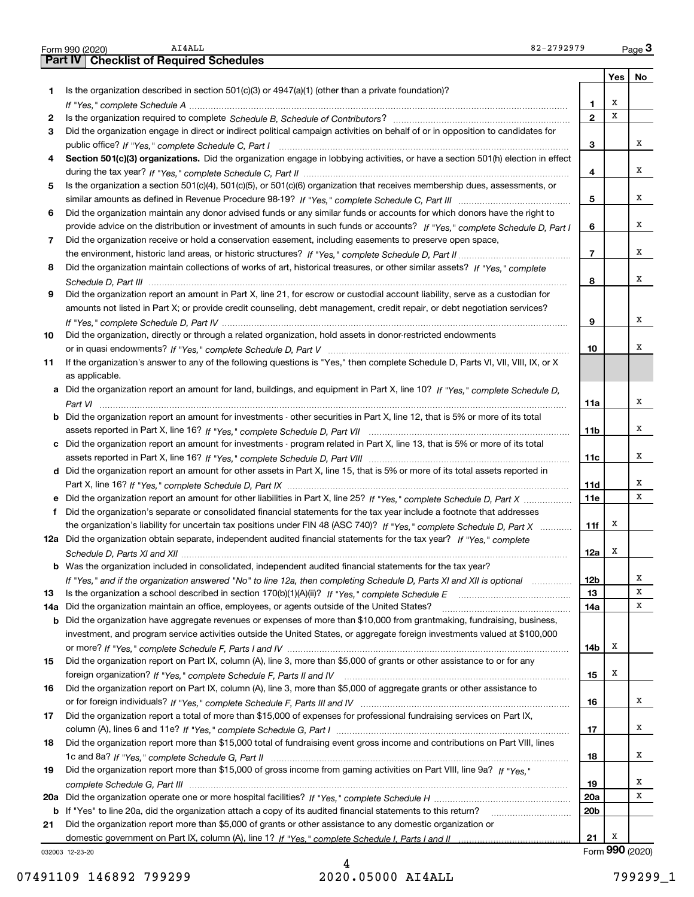|     | 82-2792979<br>AI4ALL<br>Form 990 (2020)                                                                                               |                 |         | $Page$ 3        |
|-----|---------------------------------------------------------------------------------------------------------------------------------------|-----------------|---------|-----------------|
|     | <b>Checklist of Required Schedules</b><br><b>Part IV</b>                                                                              |                 |         |                 |
|     |                                                                                                                                       |                 | Yes $ $ | No              |
| 1   | Is the organization described in section $501(c)(3)$ or $4947(a)(1)$ (other than a private foundation)?                               |                 |         |                 |
|     |                                                                                                                                       | 1               | х       |                 |
| 2   |                                                                                                                                       | $\overline{2}$  | X       |                 |
| 3   | Did the organization engage in direct or indirect political campaign activities on behalf of or in opposition to candidates for       |                 |         |                 |
|     |                                                                                                                                       | 3               |         | x               |
| 4   | Section 501(c)(3) organizations. Did the organization engage in lobbying activities, or have a section 501(h) election in effect      |                 |         |                 |
|     |                                                                                                                                       | 4               |         | x               |
| 5   | Is the organization a section 501(c)(4), 501(c)(5), or 501(c)(6) organization that receives membership dues, assessments, or          |                 |         |                 |
|     |                                                                                                                                       | 5               |         | x               |
| 6   | Did the organization maintain any donor advised funds or any similar funds or accounts for which donors have the right to             |                 |         |                 |
|     | provide advice on the distribution or investment of amounts in such funds or accounts? If "Yes," complete Schedule D, Part I          | 6               |         | x               |
|     |                                                                                                                                       |                 |         |                 |
| 7   | Did the organization receive or hold a conservation easement, including easements to preserve open space,                             |                 |         | x               |
|     |                                                                                                                                       | $\overline{7}$  |         |                 |
| 8   | Did the organization maintain collections of works of art, historical treasures, or other similar assets? If "Yes," complete          |                 |         | x               |
|     |                                                                                                                                       | 8               |         |                 |
| 9   | Did the organization report an amount in Part X, line 21, for escrow or custodial account liability, serve as a custodian for         |                 |         |                 |
|     | amounts not listed in Part X; or provide credit counseling, debt management, credit repair, or debt negotiation services?             |                 |         |                 |
|     |                                                                                                                                       | 9               |         | x               |
| 10  | Did the organization, directly or through a related organization, hold assets in donor-restricted endowments                          |                 |         |                 |
|     |                                                                                                                                       | 10              |         | x               |
| 11  | If the organization's answer to any of the following questions is "Yes," then complete Schedule D, Parts VI, VII, VIII, IX, or X      |                 |         |                 |
|     | as applicable.                                                                                                                        |                 |         |                 |
|     | a Did the organization report an amount for land, buildings, and equipment in Part X, line 10? If "Yes," complete Schedule D,         |                 |         |                 |
|     |                                                                                                                                       | 11a             |         | х               |
|     | <b>b</b> Did the organization report an amount for investments - other securities in Part X, line 12, that is 5% or more of its total |                 |         |                 |
|     |                                                                                                                                       | 11 <sub>b</sub> |         | x               |
|     | c Did the organization report an amount for investments - program related in Part X, line 13, that is 5% or more of its total         |                 |         |                 |
|     |                                                                                                                                       | 11c             |         | х               |
|     | d Did the organization report an amount for other assets in Part X, line 15, that is 5% or more of its total assets reported in       |                 |         |                 |
|     |                                                                                                                                       | 11d             |         | х               |
|     |                                                                                                                                       | <b>11e</b>      |         | x               |
| f   | Did the organization's separate or consolidated financial statements for the tax year include a footnote that addresses               |                 |         |                 |
|     | the organization's liability for uncertain tax positions under FIN 48 (ASC 740)? If "Yes," complete Schedule D, Part X                | 11f             | х       |                 |
|     | 12a Did the organization obtain separate, independent audited financial statements for the tax year? If "Yes," complete               |                 |         |                 |
|     |                                                                                                                                       | 12a             | х       |                 |
|     | <b>b</b> Was the organization included in consolidated, independent audited financial statements for the tax year?                    |                 |         |                 |
|     | If "Yes," and if the organization answered "No" to line 12a, then completing Schedule D, Parts XI and XII is optional                 | 12b             |         | x               |
| 13  |                                                                                                                                       | 13              |         | х               |
| 14a | Did the organization maintain an office, employees, or agents outside of the United States?                                           | 14a             |         | х               |
| b   | Did the organization have aggregate revenues or expenses of more than \$10,000 from grantmaking, fundraising, business,               |                 |         |                 |
|     | investment, and program service activities outside the United States, or aggregate foreign investments valued at \$100,000            |                 |         |                 |
|     |                                                                                                                                       | 14b             | x       |                 |
| 15  | Did the organization report on Part IX, column (A), line 3, more than \$5,000 of grants or other assistance to or for any             |                 |         |                 |
|     |                                                                                                                                       | 15              | x       |                 |
| 16  | Did the organization report on Part IX, column (A), line 3, more than \$5,000 of aggregate grants or other assistance to              |                 |         |                 |
|     |                                                                                                                                       | 16              |         | х               |
|     |                                                                                                                                       |                 |         |                 |
| 17  | Did the organization report a total of more than \$15,000 of expenses for professional fundraising services on Part IX,               |                 |         | х               |
|     |                                                                                                                                       | 17              |         |                 |
| 18  | Did the organization report more than \$15,000 total of fundraising event gross income and contributions on Part VIII, lines          |                 |         |                 |
|     |                                                                                                                                       | 18              |         | х               |
| 19  | Did the organization report more than \$15,000 of gross income from gaming activities on Part VIII, line 9a? If "Yes."                |                 |         |                 |
|     |                                                                                                                                       | 19              |         | x               |
|     |                                                                                                                                       | <b>20a</b>      |         | х               |
| b   | If "Yes" to line 20a, did the organization attach a copy of its audited financial statements to this return?                          | 20 <sub>b</sub> |         |                 |
| 21  | Did the organization report more than \$5,000 of grants or other assistance to any domestic organization or                           |                 |         |                 |
|     |                                                                                                                                       | 21              | x       |                 |
|     | 032003 12-23-20                                                                                                                       |                 |         | Form 990 (2020) |

032003 12-23-20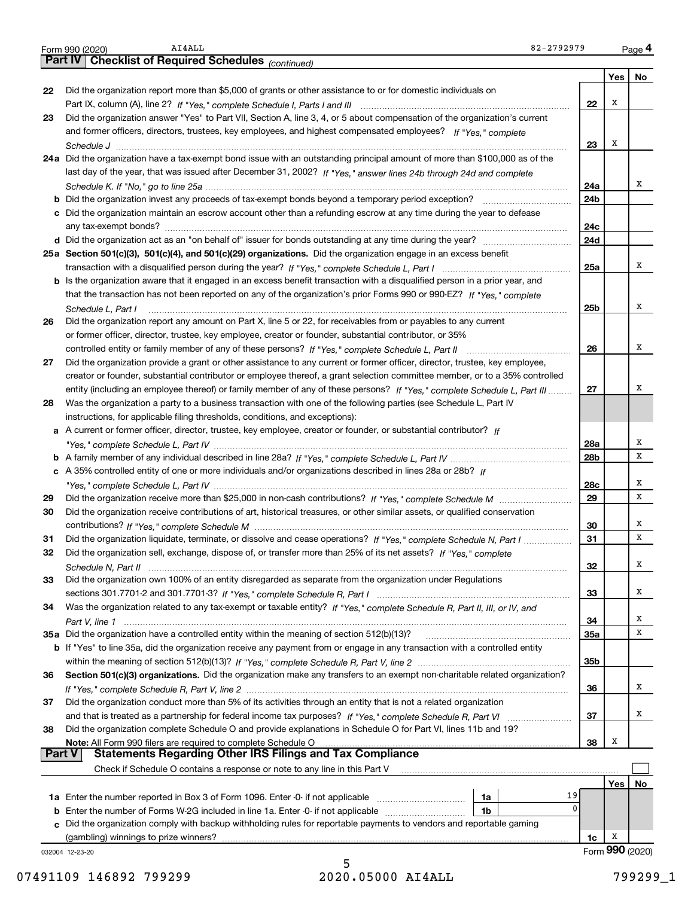|               | AI4ALL<br>82-2792979<br>Form 990 (2020)                                                                                                                                                                                                                    |             |    |     | Page 4          |
|---------------|------------------------------------------------------------------------------------------------------------------------------------------------------------------------------------------------------------------------------------------------------------|-------------|----|-----|-----------------|
|               | Part IV   Checklist of Required Schedules (continued)                                                                                                                                                                                                      |             |    |     |                 |
|               |                                                                                                                                                                                                                                                            |             |    | Yes | No              |
| 22            | Did the organization report more than \$5,000 of grants or other assistance to or for domestic individuals on                                                                                                                                              |             |    |     |                 |
|               |                                                                                                                                                                                                                                                            |             | 22 | х   |                 |
| 23            | Did the organization answer "Yes" to Part VII, Section A, line 3, 4, or 5 about compensation of the organization's current                                                                                                                                 |             |    |     |                 |
|               | and former officers, directors, trustees, key employees, and highest compensated employees? If "Yes," complete                                                                                                                                             |             |    |     |                 |
|               |                                                                                                                                                                                                                                                            | 23          |    | х   |                 |
|               | 24a Did the organization have a tax-exempt bond issue with an outstanding principal amount of more than \$100,000 as of the                                                                                                                                |             |    |     |                 |
|               | last day of the year, that was issued after December 31, 2002? If "Yes," answer lines 24b through 24d and complete                                                                                                                                         |             |    |     |                 |
|               |                                                                                                                                                                                                                                                            | 24a         |    |     | x               |
|               |                                                                                                                                                                                                                                                            | 24b         |    |     |                 |
|               | c Did the organization maintain an escrow account other than a refunding escrow at any time during the year to defease                                                                                                                                     |             |    |     |                 |
|               |                                                                                                                                                                                                                                                            | 24c         |    |     |                 |
|               |                                                                                                                                                                                                                                                            | 24d         |    |     |                 |
|               | 25a Section 501(c)(3), 501(c)(4), and 501(c)(29) organizations. Did the organization engage in an excess benefit                                                                                                                                           |             |    |     |                 |
|               |                                                                                                                                                                                                                                                            | 25a         |    |     | x               |
|               | b Is the organization aware that it engaged in an excess benefit transaction with a disqualified person in a prior year, and                                                                                                                               |             |    |     |                 |
|               | that the transaction has not been reported on any of the organization's prior Forms 990 or 990-EZ? If "Yes." complete                                                                                                                                      |             |    |     | x               |
|               | Schedule L. Part I                                                                                                                                                                                                                                         | 25b         |    |     |                 |
| 26            | Did the organization report any amount on Part X, line 5 or 22, for receivables from or payables to any current                                                                                                                                            |             |    |     |                 |
|               | or former officer, director, trustee, key employee, creator or founder, substantial contributor, or 35%                                                                                                                                                    |             |    |     | х               |
|               |                                                                                                                                                                                                                                                            | 26          |    |     |                 |
| 27            | Did the organization provide a grant or other assistance to any current or former officer, director, trustee, key employee,<br>creator or founder, substantial contributor or employee thereof, a grant selection committee member, or to a 35% controlled |             |    |     |                 |
|               | entity (including an employee thereof) or family member of any of these persons? If "Yes," complete Schedule L, Part III                                                                                                                                   | 27          |    |     | x               |
| 28            | Was the organization a party to a business transaction with one of the following parties (see Schedule L, Part IV                                                                                                                                          |             |    |     |                 |
|               | instructions, for applicable filing thresholds, conditions, and exceptions):                                                                                                                                                                               |             |    |     |                 |
|               | a A current or former officer, director, trustee, key employee, creator or founder, or substantial contributor? If                                                                                                                                         |             |    |     |                 |
|               |                                                                                                                                                                                                                                                            | 28a         |    |     | х               |
|               |                                                                                                                                                                                                                                                            | 28b         |    |     | х               |
|               | c A 35% controlled entity of one or more individuals and/or organizations described in lines 28a or 28b? If                                                                                                                                                |             |    |     |                 |
|               |                                                                                                                                                                                                                                                            | 28c         |    |     | х               |
| 29            |                                                                                                                                                                                                                                                            | 29          |    |     | х               |
| 30            | Did the organization receive contributions of art, historical treasures, or other similar assets, or qualified conservation                                                                                                                                |             |    |     |                 |
|               |                                                                                                                                                                                                                                                            | 30          |    |     | х               |
| 31            | Did the organization liquidate, terminate, or dissolve and cease operations? If "Yes," complete Schedule N, Part I                                                                                                                                         | 31          |    |     | x               |
| 32            | Did the organization sell, exchange, dispose of, or transfer more than 25% of its net assets? If "Yes," complete                                                                                                                                           |             |    |     |                 |
|               |                                                                                                                                                                                                                                                            | 32          |    |     | х               |
| 33            | Did the organization own 100% of an entity disregarded as separate from the organization under Regulations                                                                                                                                                 |             |    |     |                 |
|               |                                                                                                                                                                                                                                                            | 33          |    |     | x               |
| 34            | Was the organization related to any tax-exempt or taxable entity? If "Yes," complete Schedule R, Part II, III, or IV, and                                                                                                                                  |             |    |     |                 |
|               |                                                                                                                                                                                                                                                            | 34          |    |     | x               |
|               |                                                                                                                                                                                                                                                            | <b>35a</b>  |    |     | х               |
|               | b If "Yes" to line 35a, did the organization receive any payment from or engage in any transaction with a controlled entity                                                                                                                                |             |    |     |                 |
|               |                                                                                                                                                                                                                                                            | 35b         |    |     |                 |
| 36            | Section 501(c)(3) organizations. Did the organization make any transfers to an exempt non-charitable related organization?                                                                                                                                 |             |    |     |                 |
|               |                                                                                                                                                                                                                                                            | 36          |    |     | x               |
| 37            | Did the organization conduct more than 5% of its activities through an entity that is not a related organization                                                                                                                                           |             |    |     |                 |
|               |                                                                                                                                                                                                                                                            | 37          |    |     | x               |
| 38            | Did the organization complete Schedule O and provide explanations in Schedule O for Part VI, lines 11b and 19?                                                                                                                                             |             |    |     |                 |
| <b>Part V</b> | Note: All Form 990 filers are required to complete Schedule O<br><u>רווט שטער וווט שטער ווואס are round are required to complete Schedule Organization mass compliance Statements Regarding Other IRS Filings and Tax Compliance</u>                       | 38          |    | Х   |                 |
|               | Check if Schedule O contains a response or note to any line in this Part V                                                                                                                                                                                 |             |    |     |                 |
|               |                                                                                                                                                                                                                                                            |             |    |     |                 |
|               |                                                                                                                                                                                                                                                            | 19          |    | Yes | No              |
|               | 1a<br><b>b</b> Enter the number of Forms W-2G included in line 1a. Enter -0- if not applicable<br>1b                                                                                                                                                       | $\mathbf 0$ |    |     |                 |
|               | c Did the organization comply with backup withholding rules for reportable payments to vendors and reportable gaming                                                                                                                                       |             |    |     |                 |
|               | (gambling) winnings to prize winners?                                                                                                                                                                                                                      |             | 1c | х   |                 |
|               | 032004 12-23-20                                                                                                                                                                                                                                            |             |    |     | Form 990 (2020) |
|               |                                                                                                                                                                                                                                                            |             |    |     |                 |

5<br>2020.05000 AI4ALL 07491109 146892 799299 2020.05000 AI4ALL 2020.05000 AT4ALL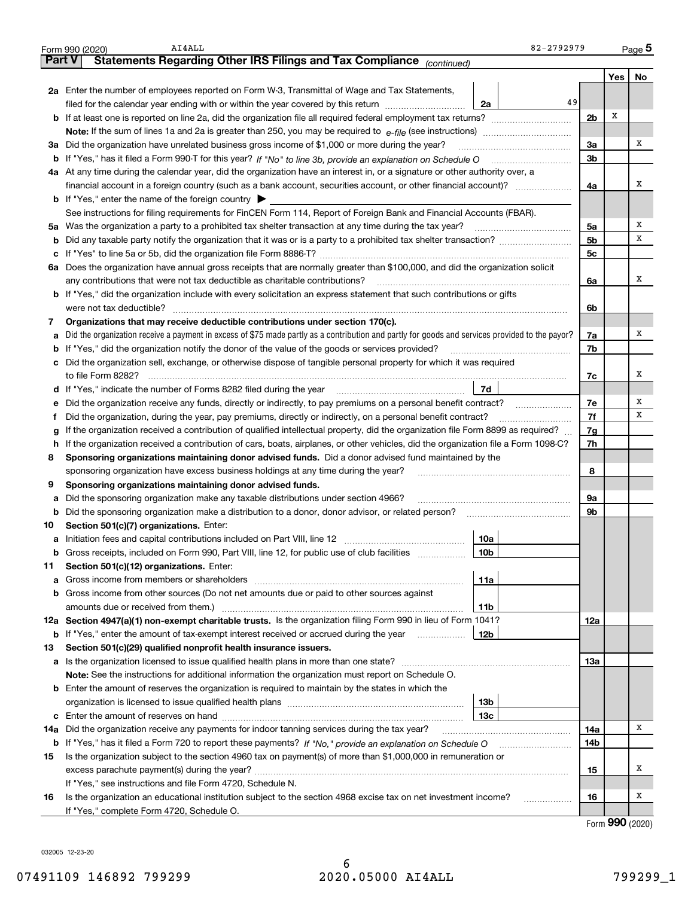|               | AI4ALL<br>Form 990 (2020)                                                                                                                             | 82-2792979      |                |     | Page 5 |  |  |  |  |  |  |
|---------------|-------------------------------------------------------------------------------------------------------------------------------------------------------|-----------------|----------------|-----|--------|--|--|--|--|--|--|
| <b>Part V</b> | Statements Regarding Other IRS Filings and Tax Compliance (continued)                                                                                 |                 |                |     |        |  |  |  |  |  |  |
|               |                                                                                                                                                       |                 |                | Yes | No     |  |  |  |  |  |  |
|               | 2a Enter the number of employees reported on Form W-3, Transmittal of Wage and Tax Statements,                                                        |                 |                |     |        |  |  |  |  |  |  |
|               | filed for the calendar year ending with or within the year covered by this return                                                                     | 49<br>2a        |                |     |        |  |  |  |  |  |  |
|               |                                                                                                                                                       |                 | 2 <sub>b</sub> | х   |        |  |  |  |  |  |  |
|               |                                                                                                                                                       |                 |                |     |        |  |  |  |  |  |  |
|               | 3a Did the organization have unrelated business gross income of \$1,000 or more during the year?                                                      |                 |                |     |        |  |  |  |  |  |  |
| b             |                                                                                                                                                       |                 |                |     |        |  |  |  |  |  |  |
|               | 4a At any time during the calendar year, did the organization have an interest in, or a signature or other authority over, a                          |                 |                |     |        |  |  |  |  |  |  |
|               | financial account in a foreign country (such as a bank account, securities account, or other financial account)?                                      |                 |                |     |        |  |  |  |  |  |  |
|               | <b>b</b> If "Yes," enter the name of the foreign country $\blacktriangleright$                                                                        |                 |                |     |        |  |  |  |  |  |  |
|               | See instructions for filing requirements for FinCEN Form 114, Report of Foreign Bank and Financial Accounts (FBAR).                                   |                 |                |     |        |  |  |  |  |  |  |
|               | 5a Was the organization a party to a prohibited tax shelter transaction at any time during the tax year?                                              |                 | 5a             |     | х      |  |  |  |  |  |  |
| b             |                                                                                                                                                       |                 | 5 <sub>b</sub> |     | х      |  |  |  |  |  |  |
| с             |                                                                                                                                                       |                 | 5с             |     |        |  |  |  |  |  |  |
|               | 6a Does the organization have annual gross receipts that are normally greater than \$100,000, and did the organization solicit                        |                 |                |     |        |  |  |  |  |  |  |
|               | any contributions that were not tax deductible as charitable contributions?                                                                           |                 | 6a             |     | x      |  |  |  |  |  |  |
|               | <b>b</b> If "Yes," did the organization include with every solicitation an express statement that such contributions or gifts                         |                 |                |     |        |  |  |  |  |  |  |
|               | were not tax deductible?                                                                                                                              |                 | 6b             |     |        |  |  |  |  |  |  |
| 7             | Organizations that may receive deductible contributions under section 170(c).                                                                         |                 |                |     |        |  |  |  |  |  |  |
| a             | Did the organization receive a payment in excess of \$75 made partly as a contribution and partly for goods and services provided to the payor?       |                 | 7a             |     | x      |  |  |  |  |  |  |
| b             | If "Yes," did the organization notify the donor of the value of the goods or services provided?                                                       |                 | 7b             |     |        |  |  |  |  |  |  |
|               | c Did the organization sell, exchange, or otherwise dispose of tangible personal property for which it was required                                   |                 |                |     |        |  |  |  |  |  |  |
|               |                                                                                                                                                       |                 | 7c             |     | х      |  |  |  |  |  |  |
|               |                                                                                                                                                       | 7d              |                |     |        |  |  |  |  |  |  |
| е             | Did the organization receive any funds, directly or indirectly, to pay premiums on a personal benefit contract?                                       |                 | 7e             |     | х      |  |  |  |  |  |  |
| f             | Did the organization, during the year, pay premiums, directly or indirectly, on a personal benefit contract?                                          |                 | 7f<br>7g       |     | х      |  |  |  |  |  |  |
| g             | If the organization received a contribution of qualified intellectual property, did the organization file Form 8899 as required?                      |                 |                |     |        |  |  |  |  |  |  |
| h             | If the organization received a contribution of cars, boats, airplanes, or other vehicles, did the organization file a Form 1098-C?                    |                 | 7h             |     |        |  |  |  |  |  |  |
| 8             | Sponsoring organizations maintaining donor advised funds. Did a donor advised fund maintained by the                                                  |                 |                |     |        |  |  |  |  |  |  |
|               | sponsoring organization have excess business holdings at any time during the year?                                                                    |                 | 8              |     |        |  |  |  |  |  |  |
| 9             | Sponsoring organizations maintaining donor advised funds.                                                                                             |                 |                |     |        |  |  |  |  |  |  |
| а             | Did the sponsoring organization make any taxable distributions under section 4966?                                                                    |                 | 9a             |     |        |  |  |  |  |  |  |
| b             | Did the sponsoring organization make a distribution to a donor, donor advisor, or related person?                                                     |                 | 9b             |     |        |  |  |  |  |  |  |
| 10            | Section 501(c)(7) organizations. Enter:                                                                                                               |                 |                |     |        |  |  |  |  |  |  |
| а             |                                                                                                                                                       | 10a             |                |     |        |  |  |  |  |  |  |
|               | Gross receipts, included on Form 990, Part VIII, line 12, for public use of club facilities                                                           | 10 <sub>b</sub> |                |     |        |  |  |  |  |  |  |
| 11            | Section 501(c)(12) organizations. Enter:                                                                                                              |                 |                |     |        |  |  |  |  |  |  |
| a             | Gross income from members or shareholders<br>Gross income from other sources (Do not net amounts due or paid to other sources against                 | 11a             |                |     |        |  |  |  |  |  |  |
| b             |                                                                                                                                                       |                 |                |     |        |  |  |  |  |  |  |
|               | amounts due or received from them.)<br>12a Section 4947(a)(1) non-exempt charitable trusts. Is the organization filing Form 990 in lieu of Form 1041? | 11b             | 12a            |     |        |  |  |  |  |  |  |
|               | <b>b</b> If "Yes," enter the amount of tax-exempt interest received or accrued during the year                                                        | 12b             |                |     |        |  |  |  |  |  |  |
| 13            | Section 501(c)(29) qualified nonprofit health insurance issuers.                                                                                      |                 |                |     |        |  |  |  |  |  |  |
| a             | Is the organization licensed to issue qualified health plans in more than one state?                                                                  |                 | 13а            |     |        |  |  |  |  |  |  |
|               | Note: See the instructions for additional information the organization must report on Schedule O.                                                     |                 |                |     |        |  |  |  |  |  |  |
| b             | Enter the amount of reserves the organization is required to maintain by the states in which the                                                      |                 |                |     |        |  |  |  |  |  |  |
|               |                                                                                                                                                       | 13b             |                |     |        |  |  |  |  |  |  |
|               |                                                                                                                                                       | 13с             |                |     |        |  |  |  |  |  |  |
|               | 14a Did the organization receive any payments for indoor tanning services during the tax year?                                                        |                 | 14a            |     | x      |  |  |  |  |  |  |
|               | <b>b</b> If "Yes," has it filed a Form 720 to report these payments? If "No," provide an explanation on Schedule O                                    |                 | 14b            |     |        |  |  |  |  |  |  |
| 15            | Is the organization subject to the section 4960 tax on payment(s) of more than \$1,000,000 in remuneration or                                         |                 |                |     |        |  |  |  |  |  |  |
|               |                                                                                                                                                       |                 | 15             |     | х      |  |  |  |  |  |  |
|               | If "Yes," see instructions and file Form 4720, Schedule N.                                                                                            |                 |                |     |        |  |  |  |  |  |  |
| 16            | Is the organization an educational institution subject to the section 4968 excise tax on net investment income?                                       |                 | 16             |     | x      |  |  |  |  |  |  |
|               | If "Yes," complete Form 4720, Schedule O.                                                                                                             |                 |                |     |        |  |  |  |  |  |  |
|               |                                                                                                                                                       |                 |                | חחח |        |  |  |  |  |  |  |

032005 12-23-20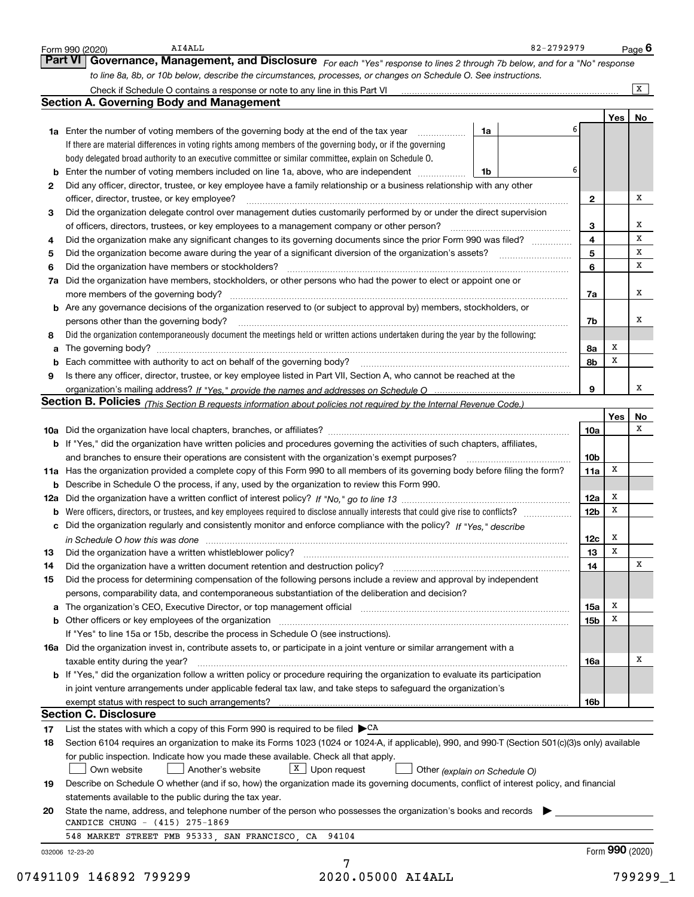|    | Governance, Management, and Disclosure For each "Yes" response to lines 2 through 7b below, and for a "No" response<br><b>Part VI</b>                                         |                 |                 |                |
|----|-------------------------------------------------------------------------------------------------------------------------------------------------------------------------------|-----------------|-----------------|----------------|
|    | to line 8a, 8b, or 10b below, describe the circumstances, processes, or changes on Schedule O. See instructions.                                                              |                 |                 |                |
|    |                                                                                                                                                                               |                 |                 | $\overline{X}$ |
|    | <b>Section A. Governing Body and Management</b>                                                                                                                               |                 |                 |                |
|    |                                                                                                                                                                               |                 | Yes l           | No             |
|    | <b>1a</b> Enter the number of voting members of the governing body at the end of the tax year <i>manumum</i><br>1a                                                            |                 |                 |                |
|    | If there are material differences in voting rights among members of the governing body, or if the governing                                                                   |                 |                 |                |
|    | body delegated broad authority to an executive committee or similar committee, explain on Schedule O.                                                                         |                 |                 |                |
|    | <b>b</b> Enter the number of voting members included on line 1a, above, who are independent <i>manument</i> in<br>1b                                                          | 6               |                 |                |
| 2  | Did any officer, director, trustee, or key employee have a family relationship or a business relationship with any other                                                      |                 |                 |                |
|    | officer, director, trustee, or key employee?                                                                                                                                  | $\mathbf{2}$    |                 | х              |
| з  | Did the organization delegate control over management duties customarily performed by or under the direct supervision                                                         |                 |                 |                |
|    |                                                                                                                                                                               | 3               |                 | x              |
| 4  | Did the organization make any significant changes to its governing documents since the prior Form 990 was filed?                                                              | 4               |                 | X              |
| 5  |                                                                                                                                                                               | 5               |                 | X              |
| 6  | Did the organization have members or stockholders?                                                                                                                            | 6               |                 | x              |
| 7a | Did the organization have members, stockholders, or other persons who had the power to elect or appoint one or                                                                |                 |                 |                |
|    | more members of the governing body?                                                                                                                                           | 7a              |                 | х              |
|    | <b>b</b> Are any governance decisions of the organization reserved to (or subject to approval by) members, stockholders, or                                                   |                 |                 |                |
|    | persons other than the governing body?                                                                                                                                        | 7b              |                 | х              |
| 8  | Did the organization contemporaneously document the meetings held or written actions undertaken during the year by the following:                                             |                 |                 |                |
| a  |                                                                                                                                                                               | 8а              | х               |                |
|    |                                                                                                                                                                               | 8b              | X               |                |
| 9  | Is there any officer, director, trustee, or key employee listed in Part VII, Section A, who cannot be reached at the                                                          |                 |                 |                |
|    |                                                                                                                                                                               | 9               |                 | x              |
|    | Section B. Policies (This Section B requests information about policies not required by the Internal Revenue Code.)                                                           |                 |                 |                |
|    |                                                                                                                                                                               |                 | Yes             | No             |
|    |                                                                                                                                                                               | 10a             |                 | x              |
|    | b If "Yes," did the organization have written policies and procedures governing the activities of such chapters, affiliates,                                                  |                 |                 |                |
|    | and branches to ensure their operations are consistent with the organization's exempt purposes?                                                                               | 10 <sub>b</sub> |                 |                |
|    | 11a Has the organization provided a complete copy of this Form 990 to all members of its governing body before filing the form?                                               | 11a             | X               |                |
|    | <b>b</b> Describe in Schedule O the process, if any, used by the organization to review this Form 990.                                                                        |                 |                 |                |
|    |                                                                                                                                                                               | 12a             | x               |                |
|    |                                                                                                                                                                               | 12 <sub>b</sub> | x               |                |
|    | Did the organization regularly and consistently monitor and enforce compliance with the policy? If "Yes," describe                                                            |                 |                 |                |
| с  |                                                                                                                                                                               |                 | x               |                |
|    | in Schedule O how this was done manufactured and continuum control of the Schedule O how this was done manufactured and continuum control of the Schedule O how this was done | 12c             | X               |                |
| 13 | Did the organization have a written whistleblower policy?                                                                                                                     | 13              |                 | X              |
| 14 |                                                                                                                                                                               | 14              |                 |                |
| 15 | Did the process for determining compensation of the following persons include a review and approval by independent                                                            |                 |                 |                |
|    | persons, comparability data, and contemporaneous substantiation of the deliberation and decision?                                                                             |                 |                 |                |
| а  | The organization's CEO, Executive Director, or top management official manufactured content content of the organization's CEO, Executive Director, or top management official | 15a             | Х               |                |
|    |                                                                                                                                                                               | 15 <sub>b</sub> | х               |                |
|    | If "Yes" to line 15a or 15b, describe the process in Schedule O (see instructions).                                                                                           |                 |                 |                |
|    | 16a Did the organization invest in, contribute assets to, or participate in a joint venture or similar arrangement with a                                                     |                 |                 |                |
|    | taxable entity during the year?                                                                                                                                               | 16a             |                 | х              |
|    | <b>b</b> If "Yes," did the organization follow a written policy or procedure requiring the organization to evaluate its participation                                         |                 |                 |                |
|    | in joint venture arrangements under applicable federal tax law, and take steps to safeguard the organization's                                                                |                 |                 |                |
|    |                                                                                                                                                                               | 16b             |                 |                |
|    | <b>Section C. Disclosure</b>                                                                                                                                                  |                 |                 |                |
| 17 | List the states with which a copy of this Form 990 is required to be filed $\blacktriangleright^{\text{CA}}$                                                                  |                 |                 |                |
| 18 | Section 6104 requires an organization to make its Forms 1023 (1024 or 1024-A, if applicable), 990, and 990-T (Section 501(c)(3)s only) available                              |                 |                 |                |
|    | for public inspection. Indicate how you made these available. Check all that apply.                                                                                           |                 |                 |                |
|    | $X$ Upon request<br>Own website<br>Another's website<br>Other (explain on Schedule O)                                                                                         |                 |                 |                |
| 19 | Describe on Schedule O whether (and if so, how) the organization made its governing documents, conflict of interest policy, and financial                                     |                 |                 |                |
|    | statements available to the public during the tax year.                                                                                                                       |                 |                 |                |
| 20 | State the name, address, and telephone number of the person who possesses the organization's books and records                                                                |                 |                 |                |
|    | CANDICE CHUNG - (415) 275-1869                                                                                                                                                |                 |                 |                |
|    | 548 MARKET STREET PMB 95333, SAN FRANCISCO, CA 94104                                                                                                                          |                 |                 |                |
|    | 032006 12-23-20                                                                                                                                                               |                 | Form 990 (2020) |                |
|    |                                                                                                                                                                               |                 |                 |                |
|    | 2020.05000 AI4ALL<br>07491109 146892 799299                                                                                                                                   |                 |                 | 799299_1       |
|    |                                                                                                                                                                               |                 |                 |                |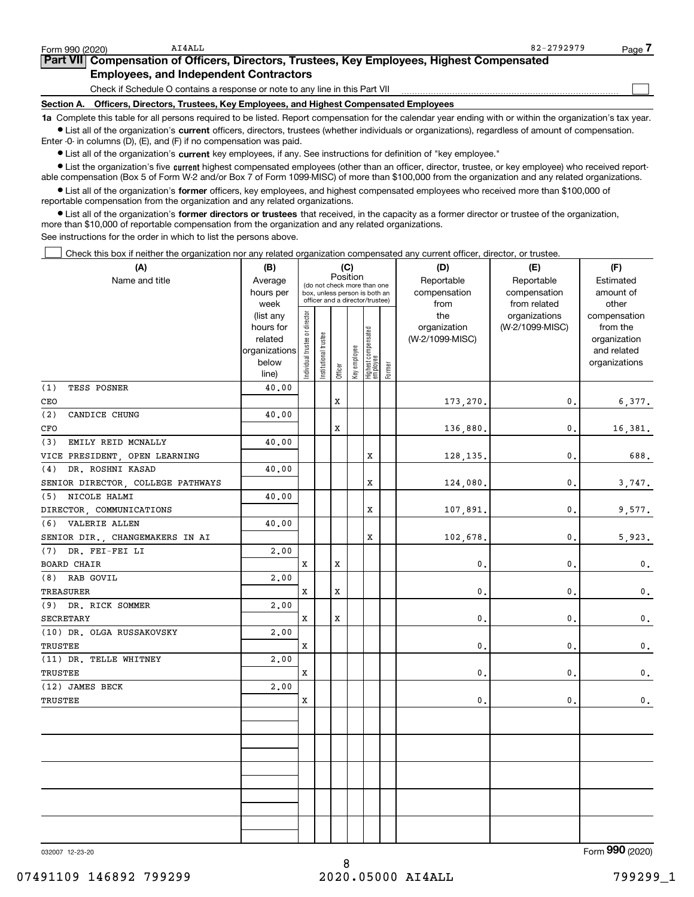**•** List all of the organization's current officers, directors, trustees (whether individuals or organizations), regardless of amount of compensation. Enter -0- in columns (D), (E), and (F) if no compensation was paid.

 $\bullet$  List all of the organization's  $\,$ current key employees, if any. See instructions for definition of "key employee."

**•** List the organization's five current highest compensated employees (other than an officer, director, trustee, or key employee) who received reportable compensation (Box 5 of Form W-2 and/or Box 7 of Form 1099-MISC) of more than \$100,000 from the organization and any related organizations.

**•** List all of the organization's former officers, key employees, and highest compensated employees who received more than \$100,000 of reportable compensation from the organization and any related organizations.

**former directors or trustees**  ¥ List all of the organization's that received, in the capacity as a former director or trustee of the organization, more than \$10,000 of reportable compensation from the organization and any related organizations.

See instructions for the order in which to list the persons above.

Check this box if neither the organization nor any related organization compensated any current officer, director, or trustee.  $\mathcal{L}^{\text{max}}$ 

| (A)                               | (B)                  |                               |                                                                  |             | (C)          |                                 |            | (D)                             | (E)             | (F)                      |  |  |
|-----------------------------------|----------------------|-------------------------------|------------------------------------------------------------------|-------------|--------------|---------------------------------|------------|---------------------------------|-----------------|--------------------------|--|--|
| Name and title                    | Average              |                               | (do not check more than one                                      | Position    |              |                                 | Reportable | Reportable                      | Estimated       |                          |  |  |
|                                   | hours per            |                               | box, unless person is both an<br>officer and a director/trustee) |             |              |                                 |            | compensation                    | compensation    | amount of                |  |  |
|                                   | week                 |                               |                                                                  |             |              |                                 |            | from                            | from related    | other                    |  |  |
|                                   | (list any            |                               |                                                                  |             |              |                                 |            | the                             | organizations   | compensation             |  |  |
|                                   | hours for<br>related |                               |                                                                  |             |              |                                 |            | organization<br>(W-2/1099-MISC) | (W-2/1099-MISC) | from the<br>organization |  |  |
|                                   | organizations        |                               |                                                                  |             |              |                                 |            |                                 |                 | and related              |  |  |
|                                   | below                | ndividual trustee or director |                                                                  |             |              |                                 |            |                                 |                 | organizations            |  |  |
|                                   | line)                |                               | Institutional trustee                                            | Officer     | Key employee | Highest compensated<br>employee | Former     |                                 |                 |                          |  |  |
| (1)<br>TESS POSNER                | 40.00                |                               |                                                                  |             |              |                                 |            |                                 |                 |                          |  |  |
| CEO                               |                      |                               |                                                                  | X           |              |                                 |            | 173,270.                        | 0.              | 6,377.                   |  |  |
| (2)<br>CANDICE CHUNG              | 40.00                |                               |                                                                  |             |              |                                 |            |                                 |                 |                          |  |  |
| CFO                               |                      |                               |                                                                  | X           |              |                                 |            | 136,880.                        | 0.              | 16,381.                  |  |  |
| EMILY REID MCNALLY<br>(3)         | 40.00                |                               |                                                                  |             |              |                                 |            |                                 |                 |                          |  |  |
| VICE PRESIDENT, OPEN LEARNING     |                      |                               |                                                                  |             |              | X                               |            | 128,135,                        | $\mathbf{0}$ .  | 688.                     |  |  |
| DR. ROSHNI KASAD<br>(4)           | 40.00                |                               |                                                                  |             |              |                                 |            |                                 |                 |                          |  |  |
| SENIOR DIRECTOR, COLLEGE PATHWAYS |                      |                               |                                                                  |             |              | X                               |            | 124,080.                        | 0.              | 3,747.                   |  |  |
| NICOLE HALMI<br>(5)               | 40.00                |                               |                                                                  |             |              |                                 |            |                                 |                 |                          |  |  |
| DIRECTOR, COMMUNICATIONS          |                      |                               |                                                                  |             |              | X                               |            | 107,891.                        | 0.              | 9,577.                   |  |  |
| VALERIE ALLEN<br>(6)              | 40.00                |                               |                                                                  |             |              |                                 |            |                                 |                 |                          |  |  |
| SENIOR DIR., CHANGEMAKERS IN AI   |                      |                               |                                                                  |             |              | X                               |            | 102,678.                        | 0.              | 5,923.                   |  |  |
| DR. FEI-FEI LI<br>(7)             | 2,00                 |                               |                                                                  |             |              |                                 |            |                                 |                 |                          |  |  |
| <b>BOARD CHAIR</b>                |                      | X                             |                                                                  | X           |              |                                 |            | 0.                              | $\mathbf{0}$ .  | $\mathbf 0$ .            |  |  |
| (8)<br>RAB GOVIL                  | 2,00                 |                               |                                                                  |             |              |                                 |            |                                 |                 |                          |  |  |
| <b>TREASURER</b>                  |                      | X                             |                                                                  | $\mathbf x$ |              |                                 |            | 0.                              | 0.              | $\mathbf{0}$ .           |  |  |
| (9) DR. RICK SOMMER               | 2,00                 |                               |                                                                  |             |              |                                 |            |                                 |                 |                          |  |  |
| <b>SECRETARY</b>                  |                      | X                             |                                                                  | X           |              |                                 |            | 0.                              | 0.              | $\mathbf 0$ .            |  |  |
| (10) DR. OLGA RUSSAKOVSKY         | 2,00                 |                               |                                                                  |             |              |                                 |            |                                 |                 |                          |  |  |
| TRUSTEE                           |                      | X                             |                                                                  |             |              |                                 |            | 0.                              | 0.              | $\mathbf{0}$ .           |  |  |
| (11) DR. TELLE WHITNEY            | 2,00                 |                               |                                                                  |             |              |                                 |            |                                 |                 |                          |  |  |
| <b>TRUSTEE</b>                    |                      | X                             |                                                                  |             |              |                                 |            | 0.                              | $\mathbf{0}$ .  | $\mathbf 0$ .            |  |  |
| (12) JAMES BECK                   | 2,00                 |                               |                                                                  |             |              |                                 |            |                                 |                 |                          |  |  |
| TRUSTEE                           |                      | X                             |                                                                  |             |              |                                 |            | 0.                              | 0.              | $\mathbf 0$ .            |  |  |
|                                   |                      |                               |                                                                  |             |              |                                 |            |                                 |                 |                          |  |  |
|                                   |                      |                               |                                                                  |             |              |                                 |            |                                 |                 |                          |  |  |
|                                   |                      |                               |                                                                  |             |              |                                 |            |                                 |                 |                          |  |  |
|                                   |                      |                               |                                                                  |             |              |                                 |            |                                 |                 |                          |  |  |
|                                   |                      |                               |                                                                  |             |              |                                 |            |                                 |                 |                          |  |  |
|                                   |                      |                               |                                                                  |             |              |                                 |            |                                 |                 |                          |  |  |
|                                   |                      |                               |                                                                  |             |              |                                 |            |                                 |                 |                          |  |  |
|                                   |                      |                               |                                                                  |             |              |                                 |            |                                 |                 |                          |  |  |
|                                   |                      |                               |                                                                  |             |              |                                 |            |                                 |                 |                          |  |  |
|                                   |                      |                               |                                                                  |             |              |                                 |            |                                 |                 |                          |  |  |

032007 12-23-20

Form (2020) **990**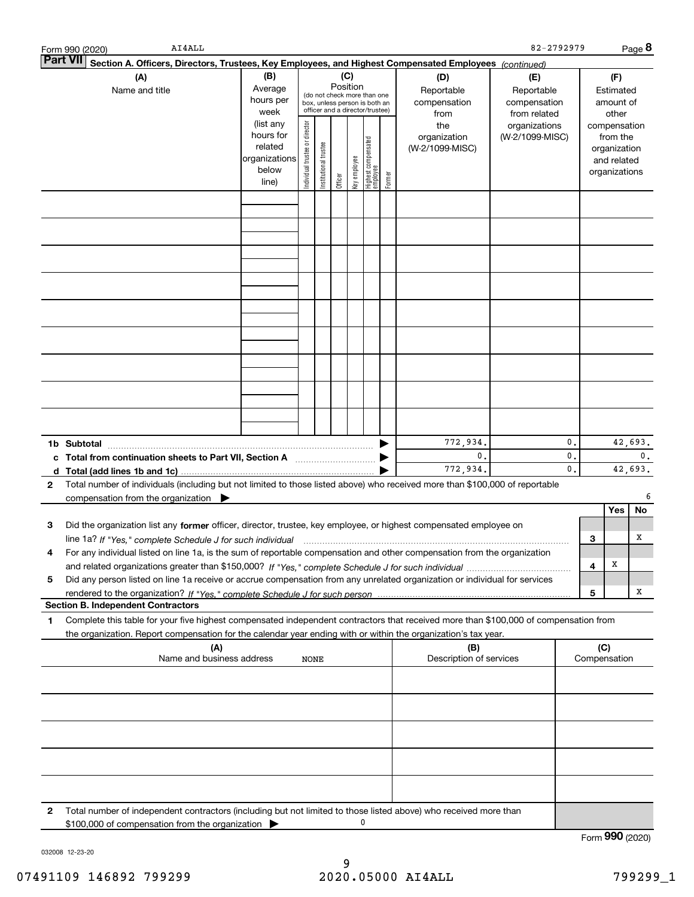|   | AI4ALL<br>Form 990 (2020)                                                                                                                                                                                                                              |                                                                      |                                |                                                                                                                    |         |              |                                 |        |                                           | 82-2792979                                        |          |     |                                                                          | Page 8        |
|---|--------------------------------------------------------------------------------------------------------------------------------------------------------------------------------------------------------------------------------------------------------|----------------------------------------------------------------------|--------------------------------|--------------------------------------------------------------------------------------------------------------------|---------|--------------|---------------------------------|--------|-------------------------------------------|---------------------------------------------------|----------|-----|--------------------------------------------------------------------------|---------------|
|   | Part VII<br>Section A. Officers, Directors, Trustees, Key Employees, and Highest Compensated Employees (continued)                                                                                                                                     |                                                                      |                                |                                                                                                                    |         |              |                                 |        |                                           |                                                   |          |     |                                                                          |               |
|   | (A)<br>Name and title                                                                                                                                                                                                                                  | (B)<br>Average<br>hours per<br>week                                  |                                | (C)<br>Position<br>(do not check more than one<br>box, unless person is both an<br>officer and a director/trustee) |         |              |                                 |        | (D)<br>Reportable<br>compensation<br>from | (E)<br>Reportable<br>compensation<br>from related |          |     | (F)<br>Estimated<br>amount of<br>other                                   |               |
|   |                                                                                                                                                                                                                                                        | (list any<br>hours for<br>related<br>organizations<br>below<br>line) | Individual trustee or director | Institutional trustee                                                                                              | Officer | Key employee | Highest compensated<br>employee | Former | the<br>organization<br>(W-2/1099-MISC)    | organizations<br>(W-2/1099-MISC)                  |          |     | compensation<br>from the<br>organization<br>and related<br>organizations |               |
|   |                                                                                                                                                                                                                                                        |                                                                      |                                |                                                                                                                    |         |              |                                 |        |                                           |                                                   |          |     |                                                                          |               |
|   |                                                                                                                                                                                                                                                        |                                                                      |                                |                                                                                                                    |         |              |                                 |        |                                           |                                                   |          |     |                                                                          |               |
|   |                                                                                                                                                                                                                                                        |                                                                      |                                |                                                                                                                    |         |              |                                 |        |                                           |                                                   |          |     |                                                                          |               |
|   |                                                                                                                                                                                                                                                        |                                                                      |                                |                                                                                                                    |         |              |                                 |        |                                           |                                                   |          |     |                                                                          |               |
|   |                                                                                                                                                                                                                                                        |                                                                      |                                |                                                                                                                    |         |              |                                 |        |                                           |                                                   |          |     |                                                                          |               |
|   |                                                                                                                                                                                                                                                        |                                                                      |                                |                                                                                                                    |         |              |                                 |        |                                           |                                                   |          |     |                                                                          |               |
|   |                                                                                                                                                                                                                                                        |                                                                      |                                |                                                                                                                    |         |              |                                 |        |                                           |                                                   |          |     |                                                                          |               |
|   | 1b Subtotal                                                                                                                                                                                                                                            |                                                                      |                                |                                                                                                                    |         |              |                                 |        | 772,934.                                  |                                                   | 0.       |     |                                                                          | 42,693.       |
| 2 | c Total from continuation sheets to Part VII, Section A [11, 11, 11, 11, 12]<br>Total number of individuals (including but not limited to those listed above) who received more than \$100,000 of reportable                                           |                                                                      |                                |                                                                                                                    |         |              |                                 |        | $\mathbf{0}$ .<br>772,934.                |                                                   | 0.<br>0. |     |                                                                          | 0.<br>42,693. |
|   | compensation from the organization $\blacktriangleright$                                                                                                                                                                                               |                                                                      |                                |                                                                                                                    |         |              |                                 |        |                                           |                                                   |          |     | <b>Yes</b>                                                               | 6<br>No       |
| З | Did the organization list any former officer, director, trustee, key employee, or highest compensated employee on<br>line 1a? If "Yes," complete Schedule J for such individual matches contained and the Tana matches of the Ves,"                    |                                                                      |                                |                                                                                                                    |         |              |                                 |        |                                           |                                                   |          | 3   |                                                                          | х             |
|   | For any individual listed on line 1a, is the sum of reportable compensation and other compensation from the organization                                                                                                                               |                                                                      |                                |                                                                                                                    |         |              |                                 |        |                                           |                                                   |          | 4   | х                                                                        |               |
| 5 | Did any person listed on line 1a receive or accrue compensation from any unrelated organization or individual for services<br><b>Section B. Independent Contractors</b>                                                                                |                                                                      |                                |                                                                                                                    |         |              |                                 |        |                                           |                                                   |          | 5   |                                                                          | х             |
| 1 | Complete this table for your five highest compensated independent contractors that received more than \$100,000 of compensation from<br>the organization. Report compensation for the calendar year ending with or within the organization's tax year. |                                                                      |                                |                                                                                                                    |         |              |                                 |        |                                           |                                                   |          |     |                                                                          |               |
|   | (A)<br>Name and business address                                                                                                                                                                                                                       |                                                                      | NONE                           |                                                                                                                    |         |              |                                 |        | (B)<br>Description of services            |                                                   |          | (C) | Compensation                                                             |               |
|   |                                                                                                                                                                                                                                                        |                                                                      |                                |                                                                                                                    |         |              |                                 |        |                                           |                                                   |          |     |                                                                          |               |
|   |                                                                                                                                                                                                                                                        |                                                                      |                                |                                                                                                                    |         |              |                                 |        |                                           |                                                   |          |     |                                                                          |               |
|   |                                                                                                                                                                                                                                                        |                                                                      |                                |                                                                                                                    |         |              |                                 |        |                                           |                                                   |          |     |                                                                          |               |
|   |                                                                                                                                                                                                                                                        |                                                                      |                                |                                                                                                                    |         |              |                                 |        |                                           |                                                   |          |     |                                                                          |               |
| 2 | Total number of independent contractors (including but not limited to those listed above) who received more than<br>\$100,000 of compensation from the organization                                                                                    |                                                                      |                                |                                                                                                                    |         |              | 0                               |        |                                           |                                                   |          |     |                                                                          |               |
|   |                                                                                                                                                                                                                                                        |                                                                      |                                |                                                                                                                    |         |              |                                 |        |                                           |                                                   |          |     | Form 990 (2020)                                                          |               |

032008 12-23-20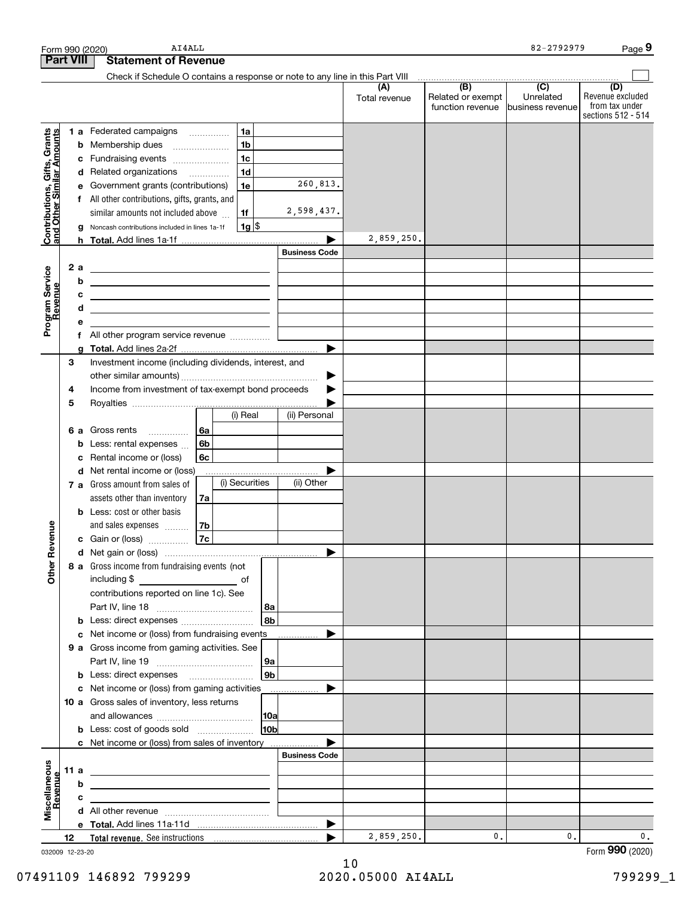|                                                           |                  |        | AI4ALL<br>Form 990 (2020)                                                                                              |    |                |                 |                       |                      |                                                                 | 82-2792979                  | Page 9                                                          |
|-----------------------------------------------------------|------------------|--------|------------------------------------------------------------------------------------------------------------------------|----|----------------|-----------------|-----------------------|----------------------|-----------------------------------------------------------------|-----------------------------|-----------------------------------------------------------------|
|                                                           | <b>Part VIII</b> |        | <b>Statement of Revenue</b>                                                                                            |    |                |                 |                       |                      |                                                                 |                             |                                                                 |
|                                                           |                  |        | Check if Schedule O contains a response or note to any line in this Part VIII                                          |    |                |                 |                       |                      |                                                                 |                             |                                                                 |
|                                                           |                  |        |                                                                                                                        |    |                |                 |                       | (A)<br>Total revenue | (B)<br>Related or exempt<br>function revenue   business revenue | $\overline{C}$<br>Unrelated | (D)<br>Revenue excluded<br>from tax under<br>sections 512 - 514 |
|                                                           |                  |        | 1 a Federated campaigns                                                                                                |    | 1a             |                 |                       |                      |                                                                 |                             |                                                                 |
| Contributions, Gifts, Grants<br>and Other Similar Amounts |                  |        | <b>b</b> Membership dues<br>$\ldots \ldots \ldots \ldots \ldots$                                                       |    | 1 <sub>b</sub> |                 |                       |                      |                                                                 |                             |                                                                 |
|                                                           |                  |        | c Fundraising events                                                                                                   |    | 1 <sub>c</sub> |                 |                       |                      |                                                                 |                             |                                                                 |
|                                                           |                  |        | d Related organizations                                                                                                |    | 1 <sub>d</sub> |                 |                       |                      |                                                                 |                             |                                                                 |
|                                                           |                  |        | e Government grants (contributions)                                                                                    |    | 1e             |                 | 260,813.              |                      |                                                                 |                             |                                                                 |
|                                                           |                  |        | f All other contributions, gifts, grants, and                                                                          |    |                |                 |                       |                      |                                                                 |                             |                                                                 |
|                                                           |                  |        | similar amounts not included above                                                                                     |    | 1f             |                 | 2,598,437.            |                      |                                                                 |                             |                                                                 |
|                                                           |                  |        | g Noncash contributions included in lines 1a-1f                                                                        |    | $1g$ \$        |                 |                       |                      |                                                                 |                             |                                                                 |
|                                                           |                  |        |                                                                                                                        |    |                |                 |                       | 2,859,250.           |                                                                 |                             |                                                                 |
|                                                           |                  |        |                                                                                                                        |    |                |                 | <b>Business Code</b>  |                      |                                                                 |                             |                                                                 |
| Program Service<br>Revenue                                | 2 a              |        |                                                                                                                        |    |                |                 |                       |                      |                                                                 |                             |                                                                 |
|                                                           |                  | b      | <u> 1989 - Johann Barn, mars ann an t-Amhain ann an t-Amhain an t-Amhain an t-Amhain an t-Amhain an t-Amhain an t-</u> |    |                |                 |                       |                      |                                                                 |                             |                                                                 |
|                                                           |                  | c<br>d | <u> 1989 - Johann Stein, mars an deus an deus Amerikaansk kommunister (</u>                                            |    |                |                 |                       |                      |                                                                 |                             |                                                                 |
|                                                           |                  | е      | <u> 1989 - Johann Stein, marwolaethau a bhann an t-Amhainn an t-Amhainn an t-Amhainn an t-Amhainn an t-Amhainn an</u>  |    |                |                 |                       |                      |                                                                 |                             |                                                                 |
|                                                           |                  |        |                                                                                                                        |    |                |                 |                       |                      |                                                                 |                             |                                                                 |
|                                                           |                  | g      |                                                                                                                        |    |                |                 | ▶                     |                      |                                                                 |                             |                                                                 |
|                                                           | З                |        | Investment income (including dividends, interest, and                                                                  |    |                |                 |                       |                      |                                                                 |                             |                                                                 |
|                                                           |                  |        |                                                                                                                        |    |                |                 | ▶                     |                      |                                                                 |                             |                                                                 |
|                                                           | 4                |        | Income from investment of tax-exempt bond proceeds                                                                     |    |                |                 |                       |                      |                                                                 |                             |                                                                 |
|                                                           | 5                |        |                                                                                                                        |    |                |                 |                       |                      |                                                                 |                             |                                                                 |
|                                                           |                  |        |                                                                                                                        |    | (i) Real       |                 | (ii) Personal         |                      |                                                                 |                             |                                                                 |
|                                                           |                  |        | <b>6 a</b> Gross rents<br>.                                                                                            | 6a |                |                 |                       |                      |                                                                 |                             |                                                                 |
|                                                           |                  | b      | Less: rental expenses                                                                                                  | 6b |                |                 |                       |                      |                                                                 |                             |                                                                 |
|                                                           |                  | c      | Rental income or (loss)                                                                                                | 6с |                |                 |                       |                      |                                                                 |                             |                                                                 |
|                                                           |                  |        | d Net rental income or (loss)                                                                                          |    |                |                 |                       |                      |                                                                 |                             |                                                                 |
|                                                           |                  |        | 7 a Gross amount from sales of                                                                                         |    | (i) Securities |                 | (ii) Other            |                      |                                                                 |                             |                                                                 |
|                                                           |                  |        | assets other than inventory<br><b>b</b> Less: cost or other basis                                                      | 7a |                |                 |                       |                      |                                                                 |                             |                                                                 |
|                                                           |                  |        | and sales expenses                                                                                                     | 7b |                |                 |                       |                      |                                                                 |                             |                                                                 |
| anueve                                                    |                  |        | c Gain or (loss)                                                                                                       | 7c |                |                 |                       |                      |                                                                 |                             |                                                                 |
| č                                                         |                  |        |                                                                                                                        |    |                |                 |                       |                      |                                                                 |                             |                                                                 |
|                                                           |                  |        | 8 a Gross income from fundraising events (not                                                                          |    |                |                 |                       |                      |                                                                 |                             |                                                                 |
| <b>Other</b>                                              |                  |        | including \$                                                                                                           |    | of             |                 |                       |                      |                                                                 |                             |                                                                 |
|                                                           |                  |        | contributions reported on line 1c). See                                                                                |    |                |                 |                       |                      |                                                                 |                             |                                                                 |
|                                                           |                  |        |                                                                                                                        |    |                |                 |                       |                      |                                                                 |                             |                                                                 |
|                                                           |                  |        |                                                                                                                        |    |                | l 8b l          |                       |                      |                                                                 |                             |                                                                 |
|                                                           |                  |        | c Net income or (loss) from fundraising events                                                                         |    |                |                 | .                     |                      |                                                                 |                             |                                                                 |
|                                                           |                  |        | 9 a Gross income from gaming activities. See                                                                           |    |                |                 |                       |                      |                                                                 |                             |                                                                 |
|                                                           |                  |        |                                                                                                                        |    |                | ∣9a             |                       |                      |                                                                 |                             |                                                                 |
|                                                           |                  |        |                                                                                                                        |    |                | 9b              |                       |                      |                                                                 |                             |                                                                 |
|                                                           |                  |        | c Net income or (loss) from gaming activities _______________<br>10 a Gross sales of inventory, less returns           |    |                |                 |                       |                      |                                                                 |                             |                                                                 |
|                                                           |                  |        |                                                                                                                        |    |                |                 |                       |                      |                                                                 |                             |                                                                 |
|                                                           |                  |        | <b>b</b> Less: cost of goods sold                                                                                      |    |                | 10 <sub>b</sub> |                       |                      |                                                                 |                             |                                                                 |
|                                                           |                  |        | c Net income or (loss) from sales of inventory                                                                         |    |                |                 |                       |                      |                                                                 |                             |                                                                 |
|                                                           |                  |        |                                                                                                                        |    |                |                 | <b>Business Code</b>  |                      |                                                                 |                             |                                                                 |
| Miscellaneous<br>Revenue                                  | 11 a             |        |                                                                                                                        |    |                |                 |                       |                      |                                                                 |                             |                                                                 |
|                                                           |                  | b      |                                                                                                                        |    |                |                 |                       |                      |                                                                 |                             |                                                                 |
|                                                           |                  | c      |                                                                                                                        |    |                |                 |                       |                      |                                                                 |                             |                                                                 |
|                                                           |                  |        |                                                                                                                        |    |                |                 |                       |                      |                                                                 |                             |                                                                 |
|                                                           |                  |        |                                                                                                                        |    |                |                 | $\blacktriangleright$ |                      |                                                                 |                             |                                                                 |
|                                                           | 12               |        |                                                                                                                        |    |                |                 |                       | 2,859,250.           | $\mathbf{0}$ .                                                  | 0.                          | $\mathbf 0$ .                                                   |

032009 12-23-20

Form (2020) **990**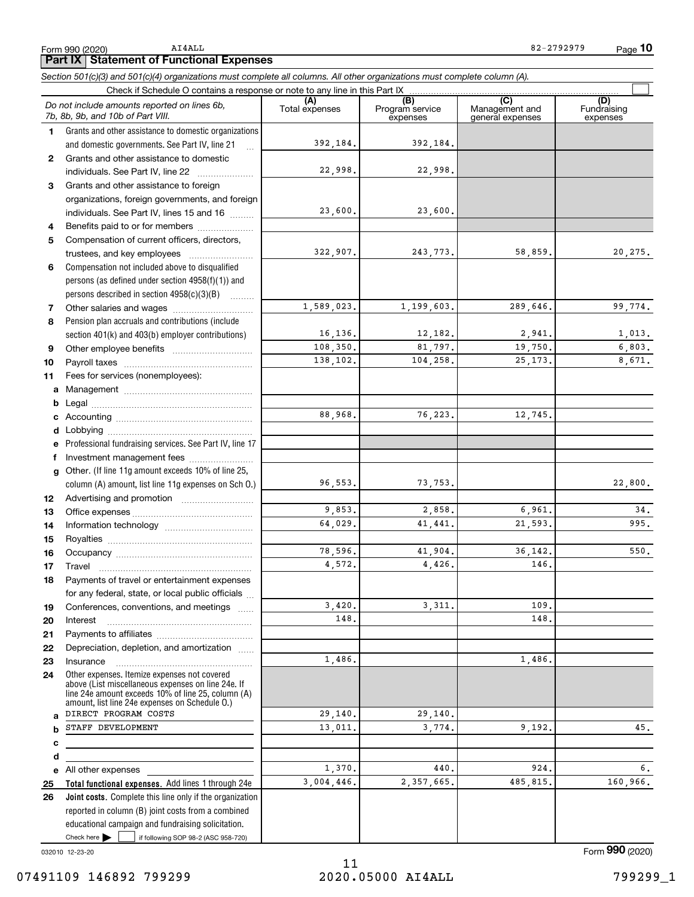AI4ALL

**10** 82-2792979

**Part IX Statement of Functional Expenses**

*Section 501(c)(3) and 501(c)(4) organizations must complete all columns. All other organizations must complete column (A).*

|              | Do not include amounts reported on lines 6b,<br>7b, 8b, 9b, and 10b of Part VIII.                                                                          | (A)<br>Total expenses | (B)<br>Program service<br>expenses | (C)<br>Management and<br>general expenses | (D)<br>Fundraising<br>expenses |
|--------------|------------------------------------------------------------------------------------------------------------------------------------------------------------|-----------------------|------------------------------------|-------------------------------------------|--------------------------------|
| 1.           | Grants and other assistance to domestic organizations                                                                                                      |                       |                                    |                                           |                                |
|              | and domestic governments. See Part IV, line 21                                                                                                             | 392, 184.             | 392,184.                           |                                           |                                |
| $\mathbf{2}$ | Grants and other assistance to domestic                                                                                                                    |                       |                                    |                                           |                                |
|              | individuals. See Part IV, line 22                                                                                                                          | 22,998.               | 22,998.                            |                                           |                                |
| 3            | Grants and other assistance to foreign                                                                                                                     |                       |                                    |                                           |                                |
|              | organizations, foreign governments, and foreign                                                                                                            |                       |                                    |                                           |                                |
|              | individuals. See Part IV, lines 15 and 16                                                                                                                  | 23,600.               | 23,600.                            |                                           |                                |
| 4            | Benefits paid to or for members                                                                                                                            |                       |                                    |                                           |                                |
| 5            | Compensation of current officers, directors,                                                                                                               |                       |                                    |                                           |                                |
|              |                                                                                                                                                            | 322,907.              | 243,773.                           | 58,859.                                   | 20, 275.                       |
| 6            | Compensation not included above to disqualified                                                                                                            |                       |                                    |                                           |                                |
|              | persons (as defined under section 4958(f)(1)) and                                                                                                          |                       |                                    |                                           |                                |
|              | persons described in section 4958(c)(3)(B)                                                                                                                 |                       |                                    |                                           |                                |
| 7            |                                                                                                                                                            | 1,589,023.            | 1,199,603.                         | 289,646.                                  | 99,774.                        |
| 8            | Pension plan accruals and contributions (include                                                                                                           |                       |                                    |                                           |                                |
|              | section 401(k) and 403(b) employer contributions)                                                                                                          | 16, 136.              | 12,182.                            | 2,941.                                    | 1,013.                         |
| 9            |                                                                                                                                                            | 108,350.              | 81,797.                            | 19,750.                                   | 6,803.                         |
| 10           |                                                                                                                                                            | 138,102.              | 104,258.                           | 25, 173.                                  | 8,671.                         |
| 11           | Fees for services (nonemployees):                                                                                                                          |                       |                                    |                                           |                                |
| a            |                                                                                                                                                            |                       |                                    |                                           |                                |
| b            |                                                                                                                                                            |                       |                                    |                                           |                                |
| c            |                                                                                                                                                            | 88,968.               | 76,223.                            | 12,745.                                   |                                |
| d            |                                                                                                                                                            |                       |                                    |                                           |                                |
| e            | Professional fundraising services. See Part IV, line 17                                                                                                    |                       |                                    |                                           |                                |
| f            | Investment management fees                                                                                                                                 |                       |                                    |                                           |                                |
| $\mathbf{q}$ | Other. (If line 11g amount exceeds 10% of line 25,                                                                                                         |                       |                                    |                                           |                                |
|              | column (A) amount, list line 11g expenses on Sch O.)                                                                                                       | 96,553.               | 73,753.                            |                                           | 22,800.                        |
| 12           |                                                                                                                                                            |                       |                                    |                                           |                                |
| 13           |                                                                                                                                                            | 9,853.                | 2,858.                             | 6,961.                                    | 34.                            |
| 14           |                                                                                                                                                            | 64,029.               | 41,441.                            | 21,593.                                   | 995.                           |
| 15           |                                                                                                                                                            |                       |                                    |                                           |                                |
| 16           |                                                                                                                                                            | 78,596.               | 41,904.                            | 36, 142.                                  | 550.                           |
| 17           | Travel                                                                                                                                                     | 4.572.                | 4,426.                             | 146.                                      |                                |
| 18           | Payments of travel or entertainment expenses                                                                                                               |                       |                                    |                                           |                                |
|              | for any federal, state, or local public officials                                                                                                          |                       | 3, 311.                            |                                           |                                |
| 19           | Conferences, conventions, and meetings                                                                                                                     | 3,420.<br>148.        |                                    | 109.<br>148.                              |                                |
| 20           | Interest                                                                                                                                                   |                       |                                    |                                           |                                |
| 21           |                                                                                                                                                            |                       |                                    |                                           |                                |
| 22           | Depreciation, depletion, and amortization                                                                                                                  | 1,486.                |                                    | 1,486.                                    |                                |
| 23           | Insurance<br>Other expenses. Itemize expenses not covered                                                                                                  |                       |                                    |                                           |                                |
| 24           | above (List miscellaneous expenses on line 24e. If<br>line 24e amount exceeds 10% of line 25, column (A)<br>amount, list line 24e expenses on Schedule O.) |                       |                                    |                                           |                                |
| a            | DIRECT PROGRAM COSTS                                                                                                                                       | 29,140.               | 29,140.                            |                                           |                                |
| b            | STAFF DEVELOPMENT                                                                                                                                          | 13,011.               | 3,774.                             | 9,192.                                    | 45.                            |
| c            |                                                                                                                                                            |                       |                                    |                                           |                                |
| d            |                                                                                                                                                            |                       |                                    |                                           |                                |
| е            | All other expenses                                                                                                                                         | 1,370.                | 440.                               | 924.                                      | б.                             |
| 25           | Total functional expenses. Add lines 1 through 24e                                                                                                         | 3,004,446.            | 2,357,665.                         | 485,815.                                  | 160,966.                       |
| 26           | Joint costs. Complete this line only if the organization                                                                                                   |                       |                                    |                                           |                                |
|              | reported in column (B) joint costs from a combined                                                                                                         |                       |                                    |                                           |                                |
|              | educational campaign and fundraising solicitation.                                                                                                         |                       |                                    |                                           |                                |
|              | Check here $\blacktriangleright$<br>if following SOP 98-2 (ASC 958-720)                                                                                    |                       |                                    |                                           |                                |

032010 12-23-20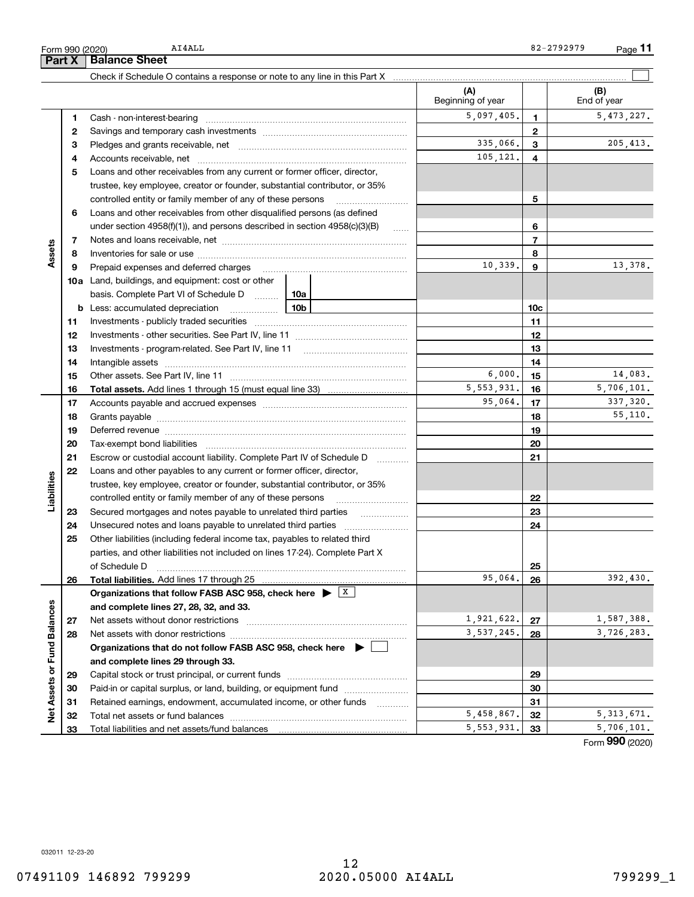**Part X Balance Sheet** AI4ALL

Check if Schedule O contains a response or note to any line in this Part X

Form 990 (2020)

L,

|                             |    |                                                                                                                                                                                                                                |          | (A)<br>Beginning of year |              | (B)<br>End of year |
|-----------------------------|----|--------------------------------------------------------------------------------------------------------------------------------------------------------------------------------------------------------------------------------|----------|--------------------------|--------------|--------------------|
|                             | 1  | Cash - non-interest-bearing                                                                                                                                                                                                    |          | 5,097,405.               | 1            | 5, 473, 227.       |
| Assets                      | 2  |                                                                                                                                                                                                                                |          |                          | $\mathbf{2}$ |                    |
|                             | З  |                                                                                                                                                                                                                                | 335,066. | 3                        | 205, 413.    |                    |
|                             | 4  |                                                                                                                                                                                                                                | 105,121. | 4                        |              |                    |
|                             | 5  | Loans and other receivables from any current or former officer, director,                                                                                                                                                      |          |                          |              |                    |
|                             |    | trustee, key employee, creator or founder, substantial contributor, or 35%                                                                                                                                                     |          |                          |              |                    |
|                             |    | controlled entity or family member of any of these persons                                                                                                                                                                     |          |                          | 5            |                    |
|                             | 6  | Loans and other receivables from other disqualified persons (as defined                                                                                                                                                        |          |                          |              |                    |
|                             |    | under section $4958(f)(1)$ , and persons described in section $4958(c)(3)(B)$                                                                                                                                                  |          |                          | 6            |                    |
|                             | 7  |                                                                                                                                                                                                                                |          |                          | 7            |                    |
|                             | 8  |                                                                                                                                                                                                                                |          |                          | 8            |                    |
|                             | 9  |                                                                                                                                                                                                                                |          | 10,339.                  | 9            | 13,378.            |
|                             |    | <b>10a</b> Land, buildings, and equipment: cost or other                                                                                                                                                                       |          |                          |              |                    |
|                             |    | basis. Complete Part VI of Schedule D  10a                                                                                                                                                                                     |          |                          |              |                    |
|                             |    |                                                                                                                                                                                                                                |          | 10c                      |              |                    |
|                             |    |                                                                                                                                                                                                                                |          | 11                       |              |                    |
|                             | 11 |                                                                                                                                                                                                                                |          |                          |              |                    |
|                             | 12 |                                                                                                                                                                                                                                |          | 12                       |              |                    |
|                             | 13 |                                                                                                                                                                                                                                |          | 13                       |              |                    |
|                             | 14 |                                                                                                                                                                                                                                | 6,000.   | 14                       | 14,083.      |                    |
|                             | 15 |                                                                                                                                                                                                                                |          | 5, 553, 931.             | 15           | 5,706,101.         |
|                             | 16 | <b>Total assets.</b> Add lines 1 through 15 (must equal line 33) <i></i>                                                                                                                                                       | 95,064.  | 16                       | 337,320.     |                    |
|                             | 17 |                                                                                                                                                                                                                                |          |                          | 17           | 55.110.            |
|                             | 18 |                                                                                                                                                                                                                                |          | 18                       |              |                    |
|                             | 19 | Deferred revenue material contracts and a contract of the contract of the contract of the contract of the contract of the contract of the contract of the contract of the contract of the contract of the contract of the cont |          | 19                       |              |                    |
|                             | 20 |                                                                                                                                                                                                                                |          | 20                       |              |                    |
|                             | 21 | Escrow or custodial account liability. Complete Part IV of Schedule D                                                                                                                                                          |          |                          | 21           |                    |
|                             | 22 | Loans and other payables to any current or former officer, director,                                                                                                                                                           |          |                          |              |                    |
|                             |    | trustee, key employee, creator or founder, substantial contributor, or 35%                                                                                                                                                     |          |                          |              |                    |
| Liabilities                 |    | controlled entity or family member of any of these persons                                                                                                                                                                     |          |                          | 22           |                    |
|                             | 23 |                                                                                                                                                                                                                                |          |                          | 23           |                    |
|                             | 24 | Unsecured notes and loans payable to unrelated third parties                                                                                                                                                                   |          |                          | 24           |                    |
|                             | 25 | Other liabilities (including federal income tax, payables to related third                                                                                                                                                     |          |                          |              |                    |
|                             |    | parties, and other liabilities not included on lines 17-24). Complete Part X                                                                                                                                                   |          |                          |              |                    |
|                             |    | of Schedule D                                                                                                                                                                                                                  |          | 95,064.                  | 25           | 392,430.           |
|                             | 26 | Organizations that follow FASB ASC 958, check here $\triangleright$ $\frac{X}{X}$                                                                                                                                              |          |                          | 26           |                    |
|                             |    | and complete lines 27, 28, 32, and 33.                                                                                                                                                                                         |          |                          |              |                    |
|                             |    | Net assets without donor restrictions                                                                                                                                                                                          |          | 1,921,622.               | 27           | 1,587,388.         |
|                             | 27 |                                                                                                                                                                                                                                |          | 3,537,245.               | 28           | 3,726,283.         |
| Net Assets or Fund Balances | 28 | Organizations that do not follow FASB ASC 958, check here $\blacktriangleright$                                                                                                                                                |          |                          |              |                    |
|                             |    |                                                                                                                                                                                                                                |          |                          |              |                    |
|                             |    | and complete lines 29 through 33.                                                                                                                                                                                              |          |                          |              |                    |
|                             | 29 |                                                                                                                                                                                                                                |          |                          | 29           |                    |
|                             | 30 | Paid-in or capital surplus, or land, building, or equipment fund                                                                                                                                                               |          |                          | 30           |                    |
|                             | 31 | Retained earnings, endowment, accumulated income, or other funds                                                                                                                                                               |          | 5,458,867.               | 31           | 5, 313, 671.       |
|                             | 32 |                                                                                                                                                                                                                                |          | 5,553,931.               | 32           | 5,706,101.         |
|                             | 33 | Total liabilities and net assets/fund balances                                                                                                                                                                                 |          |                          | 33           |                    |

Form (2020) **990**

 $\mathcal{L}^{\text{max}}$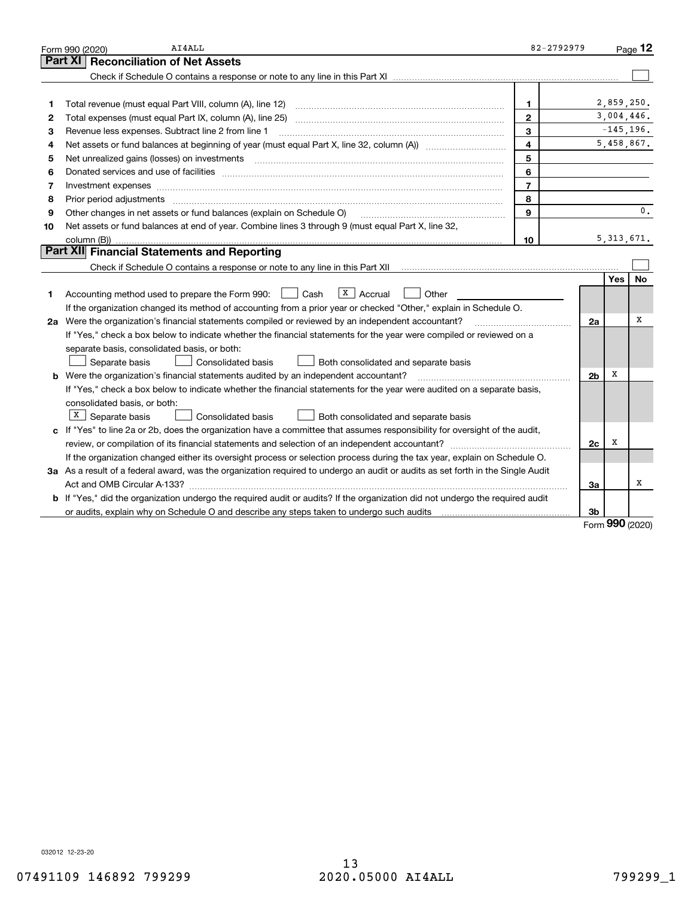|    | AI4ALL<br>Form 990 (2020)                                                                                                                                                                                                      | 82-2792979     |                |              | Page $12$      |
|----|--------------------------------------------------------------------------------------------------------------------------------------------------------------------------------------------------------------------------------|----------------|----------------|--------------|----------------|
|    | Part XI<br><b>Reconciliation of Net Assets</b>                                                                                                                                                                                 |                |                |              |                |
|    |                                                                                                                                                                                                                                |                |                |              |                |
|    |                                                                                                                                                                                                                                |                |                |              |                |
| 1  | Total revenue (must equal Part VIII, column (A), line 12)                                                                                                                                                                      | 1              |                | 2,859,250.   |                |
| 2  |                                                                                                                                                                                                                                | $\mathbf{2}$   |                | 3,004,446.   |                |
| з  | Revenue less expenses. Subtract line 2 from line 1                                                                                                                                                                             | 3              |                | $-145, 196.$ |                |
| 4  |                                                                                                                                                                                                                                | 4              |                | 5,458,867.   |                |
| 5  | Net unrealized gains (losses) on investments                                                                                                                                                                                   | 5              |                |              |                |
| 6  | Donated services and use of facilities [111] Donated and the service of facilities [11] Donated services and use of facilities [11] Donated and the service of the service of the service of the service of the service of the | 6              |                |              |                |
| 7  | Investment expenses www.communication.communication.com/www.communication.com/www.communication.com                                                                                                                            | $\overline{7}$ |                |              |                |
| 8  | Prior period adjustments                                                                                                                                                                                                       | 8              |                |              |                |
| 9  | Other changes in net assets or fund balances (explain on Schedule O)                                                                                                                                                           | $\mathbf{Q}$   |                |              | $\mathbf{0}$ . |
| 10 | Net assets or fund balances at end of year. Combine lines 3 through 9 (must equal Part X, line 32,                                                                                                                             |                |                |              |                |
|    | column (B))                                                                                                                                                                                                                    | 10             |                | 5, 313, 671. |                |
|    | Part XII Financial Statements and Reporting                                                                                                                                                                                    |                |                |              |                |
|    |                                                                                                                                                                                                                                |                |                |              |                |
|    |                                                                                                                                                                                                                                |                |                | Yes          | No             |
| 1  | $X \vert$ Accrual<br>Accounting method used to prepare the Form 990: <u>I</u> Cash<br>Other                                                                                                                                    |                |                |              |                |
|    | If the organization changed its method of accounting from a prior year or checked "Other," explain in Schedule O.                                                                                                              |                |                |              |                |
|    | 2a Were the organization's financial statements compiled or reviewed by an independent accountant?                                                                                                                             |                | 2a             |              | х              |
|    | If "Yes," check a box below to indicate whether the financial statements for the year were compiled or reviewed on a                                                                                                           |                |                |              |                |
|    | separate basis, consolidated basis, or both:                                                                                                                                                                                   |                |                |              |                |
|    | Separate basis<br>Both consolidated and separate basis<br>Consolidated basis                                                                                                                                                   |                |                |              |                |
|    | <b>b</b> Were the organization's financial statements audited by an independent accountant?                                                                                                                                    |                | 2 <sub>b</sub> | х            |                |
|    | If "Yes," check a box below to indicate whether the financial statements for the year were audited on a separate basis,                                                                                                        |                |                |              |                |
|    | consolidated basis, or both:                                                                                                                                                                                                   |                |                |              |                |
|    | $X$ Separate basis<br><b>Consolidated basis</b><br>Both consolidated and separate basis                                                                                                                                        |                |                |              |                |
|    | c If "Yes" to line 2a or 2b, does the organization have a committee that assumes responsibility for oversight of the audit,                                                                                                    |                |                |              |                |
|    | review, or compilation of its financial statements and selection of an independent accountant?                                                                                                                                 |                | 2c             | х            |                |
|    | If the organization changed either its oversight process or selection process during the tax year, explain on Schedule O.                                                                                                      |                |                |              |                |
|    | 3a As a result of a federal award, was the organization required to undergo an audit or audits as set forth in the Single Audit                                                                                                |                |                |              |                |
|    |                                                                                                                                                                                                                                |                | 3a             |              | х              |
|    | b If "Yes," did the organization undergo the required audit or audits? If the organization did not undergo the required audit                                                                                                  |                |                |              |                |
|    | or audits, explain why on Schedule O and describe any steps taken to undergo such audits                                                                                                                                       |                | 3b             | nnn          |                |

Form (2020) **990**

032012 12-23-20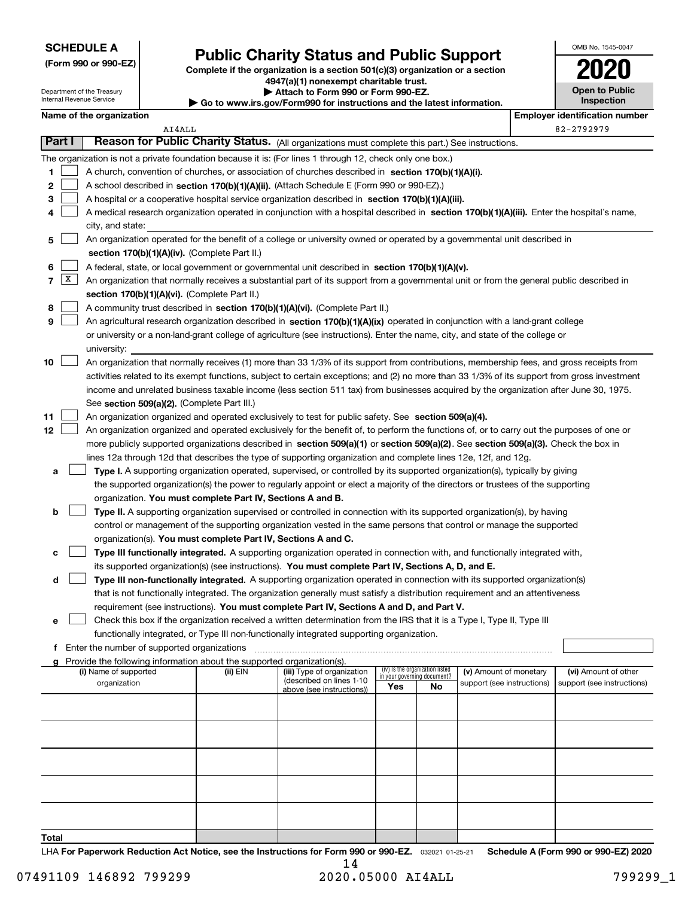| <b>SCHEDULE A</b> |  |
|-------------------|--|
|-------------------|--|

Department of the Treasury Internal Revenue Service

**(Form 990 or 990-EZ)**

# **Public Charity Status and Public Support**

**Complete if the organization is a section 501(c)(3) organization or a section 4947(a)(1) nonexempt charitable trust. | Attach to Form 990 or Form 990-EZ. | Go to www.irs.gov/Form990 for instructions and the latest information.**

| ction | 020                                        |
|-------|--------------------------------------------|
| tion. | <b>Open to Public</b><br><b>Inspection</b> |
|       |                                            |

OMB No. 1545-0047

|  | Name of the organization |
|--|--------------------------|

|                |           | Name of the organization                                                                                                                                                                                                                                        |          |                                                        |     |                                 |                                                      | <b>Employer identification number</b>              |
|----------------|-----------|-----------------------------------------------------------------------------------------------------------------------------------------------------------------------------------------------------------------------------------------------------------------|----------|--------------------------------------------------------|-----|---------------------------------|------------------------------------------------------|----------------------------------------------------|
|                | Part I    | AI4ALL                                                                                                                                                                                                                                                          |          |                                                        |     |                                 |                                                      | 82-2792979                                         |
|                |           | Reason for Public Charity Status. (All organizations must complete this part.) See instructions.                                                                                                                                                                |          |                                                        |     |                                 |                                                      |                                                    |
|                |           | The organization is not a private foundation because it is: (For lines 1 through 12, check only one box.)                                                                                                                                                       |          |                                                        |     |                                 |                                                      |                                                    |
| 1              |           | A church, convention of churches, or association of churches described in section 170(b)(1)(A)(i).                                                                                                                                                              |          |                                                        |     |                                 |                                                      |                                                    |
| 2              |           | A school described in section 170(b)(1)(A)(ii). (Attach Schedule E (Form 990 or 990-EZ).)                                                                                                                                                                       |          |                                                        |     |                                 |                                                      |                                                    |
| 3              |           | A hospital or a cooperative hospital service organization described in section $170(b)(1)(A)(iii)$ .                                                                                                                                                            |          |                                                        |     |                                 |                                                      |                                                    |
| 4              |           | A medical research organization operated in conjunction with a hospital described in section 170(b)(1)(A)(iii). Enter the hospital's name,                                                                                                                      |          |                                                        |     |                                 |                                                      |                                                    |
|                |           | city, and state:                                                                                                                                                                                                                                                |          |                                                        |     |                                 |                                                      |                                                    |
| 5              |           | An organization operated for the benefit of a college or university owned or operated by a governmental unit described in                                                                                                                                       |          |                                                        |     |                                 |                                                      |                                                    |
|                |           | section 170(b)(1)(A)(iv). (Complete Part II.)                                                                                                                                                                                                                   |          |                                                        |     |                                 |                                                      |                                                    |
| 6              | $\vert$ X | A federal, state, or local government or governmental unit described in section 170(b)(1)(A)(v).                                                                                                                                                                |          |                                                        |     |                                 |                                                      |                                                    |
| $\overline{7}$ |           | An organization that normally receives a substantial part of its support from a governmental unit or from the general public described in                                                                                                                       |          |                                                        |     |                                 |                                                      |                                                    |
|                |           | section 170(b)(1)(A)(vi). (Complete Part II.)                                                                                                                                                                                                                   |          |                                                        |     |                                 |                                                      |                                                    |
| 8<br>9         |           | A community trust described in section 170(b)(1)(A)(vi). (Complete Part II.)                                                                                                                                                                                    |          |                                                        |     |                                 |                                                      |                                                    |
|                |           | An agricultural research organization described in section 170(b)(1)(A)(ix) operated in conjunction with a land-grant college<br>or university or a non-land-grant college of agriculture (see instructions). Enter the name, city, and state of the college or |          |                                                        |     |                                 |                                                      |                                                    |
|                |           | university:                                                                                                                                                                                                                                                     |          |                                                        |     |                                 |                                                      |                                                    |
| 10             |           | An organization that normally receives (1) more than 33 1/3% of its support from contributions, membership fees, and gross receipts from                                                                                                                        |          |                                                        |     |                                 |                                                      |                                                    |
|                |           | activities related to its exempt functions, subject to certain exceptions; and (2) no more than 33 1/3% of its support from gross investment                                                                                                                    |          |                                                        |     |                                 |                                                      |                                                    |
|                |           | income and unrelated business taxable income (less section 511 tax) from businesses acquired by the organization after June 30, 1975.                                                                                                                           |          |                                                        |     |                                 |                                                      |                                                    |
|                |           | See section 509(a)(2). (Complete Part III.)                                                                                                                                                                                                                     |          |                                                        |     |                                 |                                                      |                                                    |
| 11             |           | An organization organized and operated exclusively to test for public safety. See section 509(a)(4).                                                                                                                                                            |          |                                                        |     |                                 |                                                      |                                                    |
| 12             |           | An organization organized and operated exclusively for the benefit of, to perform the functions of, or to carry out the purposes of one or                                                                                                                      |          |                                                        |     |                                 |                                                      |                                                    |
|                |           | more publicly supported organizations described in section 509(a)(1) or section 509(a)(2). See section 509(a)(3). Check the box in                                                                                                                              |          |                                                        |     |                                 |                                                      |                                                    |
|                |           | lines 12a through 12d that describes the type of supporting organization and complete lines 12e, 12f, and 12g.                                                                                                                                                  |          |                                                        |     |                                 |                                                      |                                                    |
| а              |           | Type I. A supporting organization operated, supervised, or controlled by its supported organization(s), typically by giving                                                                                                                                     |          |                                                        |     |                                 |                                                      |                                                    |
|                |           | the supported organization(s) the power to regularly appoint or elect a majority of the directors or trustees of the supporting                                                                                                                                 |          |                                                        |     |                                 |                                                      |                                                    |
|                |           | organization. You must complete Part IV, Sections A and B.                                                                                                                                                                                                      |          |                                                        |     |                                 |                                                      |                                                    |
| b              |           | Type II. A supporting organization supervised or controlled in connection with its supported organization(s), by having                                                                                                                                         |          |                                                        |     |                                 |                                                      |                                                    |
|                |           | control or management of the supporting organization vested in the same persons that control or manage the supported                                                                                                                                            |          |                                                        |     |                                 |                                                      |                                                    |
|                |           | organization(s). You must complete Part IV, Sections A and C.                                                                                                                                                                                                   |          |                                                        |     |                                 |                                                      |                                                    |
| с              |           | Type III functionally integrated. A supporting organization operated in connection with, and functionally integrated with,                                                                                                                                      |          |                                                        |     |                                 |                                                      |                                                    |
|                |           | its supported organization(s) (see instructions). You must complete Part IV, Sections A, D, and E.                                                                                                                                                              |          |                                                        |     |                                 |                                                      |                                                    |
| d              |           | Type III non-functionally integrated. A supporting organization operated in connection with its supported organization(s)                                                                                                                                       |          |                                                        |     |                                 |                                                      |                                                    |
|                |           | that is not functionally integrated. The organization generally must satisfy a distribution requirement and an attentiveness                                                                                                                                    |          |                                                        |     |                                 |                                                      |                                                    |
|                |           | requirement (see instructions). You must complete Part IV, Sections A and D, and Part V.                                                                                                                                                                        |          |                                                        |     |                                 |                                                      |                                                    |
|                |           | Check this box if the organization received a written determination from the IRS that it is a Type I, Type II, Type III                                                                                                                                         |          |                                                        |     |                                 |                                                      |                                                    |
|                |           | functionally integrated, or Type III non-functionally integrated supporting organization.                                                                                                                                                                       |          |                                                        |     |                                 |                                                      |                                                    |
|                |           | f Enter the number of supported organizations                                                                                                                                                                                                                   |          |                                                        |     |                                 |                                                      |                                                    |
|                |           | g Provide the following information about the supported organization(s).                                                                                                                                                                                        |          |                                                        |     | (iv) Is the organization listed |                                                      |                                                    |
|                |           | (i) Name of supported<br>organization                                                                                                                                                                                                                           | (ii) EIN | (iii) Type of organization<br>(described on lines 1-10 |     | in your governing document?     | (v) Amount of monetary<br>support (see instructions) | (vi) Amount of other<br>support (see instructions) |
|                |           |                                                                                                                                                                                                                                                                 |          | above (see instructions))                              | Yes | No                              |                                                      |                                                    |
|                |           |                                                                                                                                                                                                                                                                 |          |                                                        |     |                                 |                                                      |                                                    |
|                |           |                                                                                                                                                                                                                                                                 |          |                                                        |     |                                 |                                                      |                                                    |
|                |           |                                                                                                                                                                                                                                                                 |          |                                                        |     |                                 |                                                      |                                                    |
|                |           |                                                                                                                                                                                                                                                                 |          |                                                        |     |                                 |                                                      |                                                    |
|                |           |                                                                                                                                                                                                                                                                 |          |                                                        |     |                                 |                                                      |                                                    |
|                |           |                                                                                                                                                                                                                                                                 |          |                                                        |     |                                 |                                                      |                                                    |
|                |           |                                                                                                                                                                                                                                                                 |          |                                                        |     |                                 |                                                      |                                                    |
|                |           |                                                                                                                                                                                                                                                                 |          |                                                        |     |                                 |                                                      |                                                    |
|                |           |                                                                                                                                                                                                                                                                 |          |                                                        |     |                                 |                                                      |                                                    |
|                |           |                                                                                                                                                                                                                                                                 |          |                                                        |     |                                 |                                                      |                                                    |

**Total**

LHA For Paperwork Reduction Act Notice, see the Instructions for Form 990 or 990-EZ. <sub>032021</sub> o1-25-21 Schedule A (Form 990 or 990-EZ) 2020 14

٦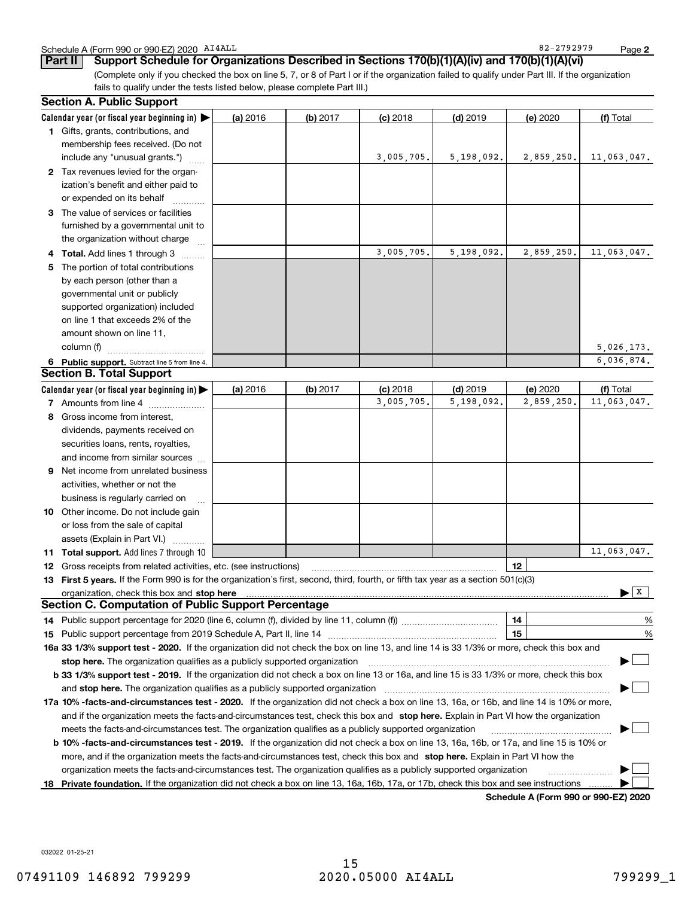|  | Schedule A (Form 990 or 990-EZ) 2020 AI4ALL |  | $-2792979$<br>$82 -$ | Page |  |
|--|---------------------------------------------|--|----------------------|------|--|
|--|---------------------------------------------|--|----------------------|------|--|

82-2792979

**2**

| Support Schedule for Organizations Described in Sections 170(b)(1)(A)(iv) and 170(b)(1)(A)(vi)<br>/ Part II /                                                                                                                |          |            |            |            |          |           |
|------------------------------------------------------------------------------------------------------------------------------------------------------------------------------------------------------------------------------|----------|------------|------------|------------|----------|-----------|
| (Complete only if you checked the box on line 5, 7, or 8 of Part I or if the organization failed to qualify under Part III. If the organization<br>fails to qualify under the tests listed below, please complete Part III.) |          |            |            |            |          |           |
| <b>Section A. Public Support</b>                                                                                                                                                                                             |          |            |            |            |          |           |
| Calendar year (or fiscal year beginning in) $\blacktriangleright$                                                                                                                                                            | (a) 2016 | $(b)$ 2017 | $(c)$ 2018 | $(d)$ 2019 | (e) 2020 | (f) Total |

|     | Calendar year (or fiscal year beginning in) $\blacktriangleright$                                                                              | (a) 2016 | (b) 2017 | $(c)$ 2018 | $(d)$ 2019   | (e) 2020                             | (f) Total                      |
|-----|------------------------------------------------------------------------------------------------------------------------------------------------|----------|----------|------------|--------------|--------------------------------------|--------------------------------|
|     | 1 Gifts, grants, contributions, and                                                                                                            |          |          |            |              |                                      |                                |
|     | membership fees received. (Do not                                                                                                              |          |          |            |              |                                      |                                |
|     | include any "unusual grants.")                                                                                                                 |          |          | 3,005,705. | 5, 198, 092. | 2,859,250.                           | 11,063,047.                    |
|     | 2 Tax revenues levied for the organ-                                                                                                           |          |          |            |              |                                      |                                |
|     | ization's benefit and either paid to                                                                                                           |          |          |            |              |                                      |                                |
|     | or expended on its behalf                                                                                                                      |          |          |            |              |                                      |                                |
|     | 3 The value of services or facilities                                                                                                          |          |          |            |              |                                      |                                |
|     | furnished by a governmental unit to                                                                                                            |          |          |            |              |                                      |                                |
|     | the organization without charge                                                                                                                |          |          |            |              |                                      |                                |
|     | Total. Add lines 1 through 3                                                                                                                   |          |          | 3,005,705. | 5,198,092.   | 2,859,250.                           | 11,063,047.                    |
| 5.  | The portion of total contributions                                                                                                             |          |          |            |              |                                      |                                |
|     | by each person (other than a                                                                                                                   |          |          |            |              |                                      |                                |
|     | governmental unit or publicly                                                                                                                  |          |          |            |              |                                      |                                |
|     | supported organization) included                                                                                                               |          |          |            |              |                                      |                                |
|     | on line 1 that exceeds 2% of the                                                                                                               |          |          |            |              |                                      |                                |
|     | amount shown on line 11,                                                                                                                       |          |          |            |              |                                      |                                |
|     | column (f)                                                                                                                                     |          |          |            |              |                                      | 5,026,173.                     |
|     | 6 Public support. Subtract line 5 from line 4.                                                                                                 |          |          |            |              |                                      | 6,036,874.                     |
|     | <b>Section B. Total Support</b>                                                                                                                |          |          |            |              |                                      |                                |
|     | Calendar year (or fiscal year beginning in)                                                                                                    | (a) 2016 | (b) 2017 | $(c)$ 2018 | $(d)$ 2019   | (e) 2020                             | (f) Total                      |
|     | 7 Amounts from line 4                                                                                                                          |          |          | 3,005,705. | 5,198,092.   | 2,859,250.                           | 11,063,047.                    |
|     | 8 Gross income from interest,                                                                                                                  |          |          |            |              |                                      |                                |
|     | dividends, payments received on                                                                                                                |          |          |            |              |                                      |                                |
|     | securities loans, rents, royalties,                                                                                                            |          |          |            |              |                                      |                                |
|     | and income from similar sources                                                                                                                |          |          |            |              |                                      |                                |
|     | <b>9</b> Net income from unrelated business                                                                                                    |          |          |            |              |                                      |                                |
|     | activities, whether or not the                                                                                                                 |          |          |            |              |                                      |                                |
|     | business is regularly carried on                                                                                                               |          |          |            |              |                                      |                                |
|     | <b>10</b> Other income. Do not include gain                                                                                                    |          |          |            |              |                                      |                                |
|     | or loss from the sale of capital                                                                                                               |          |          |            |              |                                      |                                |
|     | assets (Explain in Part VI.)                                                                                                                   |          |          |            |              |                                      |                                |
| 11. | <b>Total support.</b> Add lines 7 through 10                                                                                                   |          |          |            |              |                                      | 11,063,047.                    |
| 12  | Gross receipts from related activities, etc. (see instructions)                                                                                |          |          |            |              | 12                                   |                                |
|     | 13 First 5 years. If the Form 990 is for the organization's first, second, third, fourth, or fifth tax year as a section 501(c)(3)             |          |          |            |              |                                      |                                |
|     | organization, check this box and stop here                                                                                                     |          |          |            |              |                                      | $\blacktriangleright$ $\mid$ X |
|     | <b>Section C. Computation of Public Support Percentage</b>                                                                                     |          |          |            |              |                                      |                                |
|     |                                                                                                                                                |          |          |            |              |                                      | %                              |
| 15  | Public support percentage from 2019 Schedule A, Part II, line 14                                                                               |          |          |            |              | 15                                   | %                              |
|     | 16a 33 1/3% support test - 2020. If the organization did not check the box on line 13, and line 14 is 33 1/3% or more, check this box and      |          |          |            |              |                                      |                                |
|     | stop here. The organization qualifies as a publicly supported organization                                                                     |          |          |            |              |                                      |                                |
|     | b 33 1/3% support test - 2019. If the organization did not check a box on line 13 or 16a, and line 15 is 33 1/3% or more, check this box       |          |          |            |              |                                      |                                |
|     | and stop here. The organization qualifies as a publicly supported organization                                                                 |          |          |            |              |                                      |                                |
|     | 17a 10% -facts-and-circumstances test - 2020. If the organization did not check a box on line 13, 16a, or 16b, and line 14 is 10% or more,     |          |          |            |              |                                      |                                |
|     | and if the organization meets the facts-and-circumstances test, check this box and stop here. Explain in Part VI how the organization          |          |          |            |              |                                      |                                |
|     | meets the facts-and-circumstances test. The organization qualifies as a publicly supported organization                                        |          |          |            |              |                                      |                                |
|     | <b>b 10% -facts-and-circumstances test - 2019.</b> If the organization did not check a box on line 13, 16a, 16b, or 17a, and line 15 is 10% or |          |          |            |              |                                      |                                |
|     | more, and if the organization meets the facts-and-circumstances test, check this box and stop here. Explain in Part VI how the                 |          |          |            |              |                                      |                                |
|     | organization meets the facts-and-circumstances test. The organization qualifies as a publicly supported organization                           |          |          |            |              |                                      |                                |
| 18  | Private foundation. If the organization did not check a box on line 13, 16a, 16b, 17a, or 17b, check this box and see instructions             |          |          |            |              |                                      |                                |
|     |                                                                                                                                                |          |          |            |              | Schedule A (Form 990 or 990-EZ) 2020 |                                |

032022 01-25-21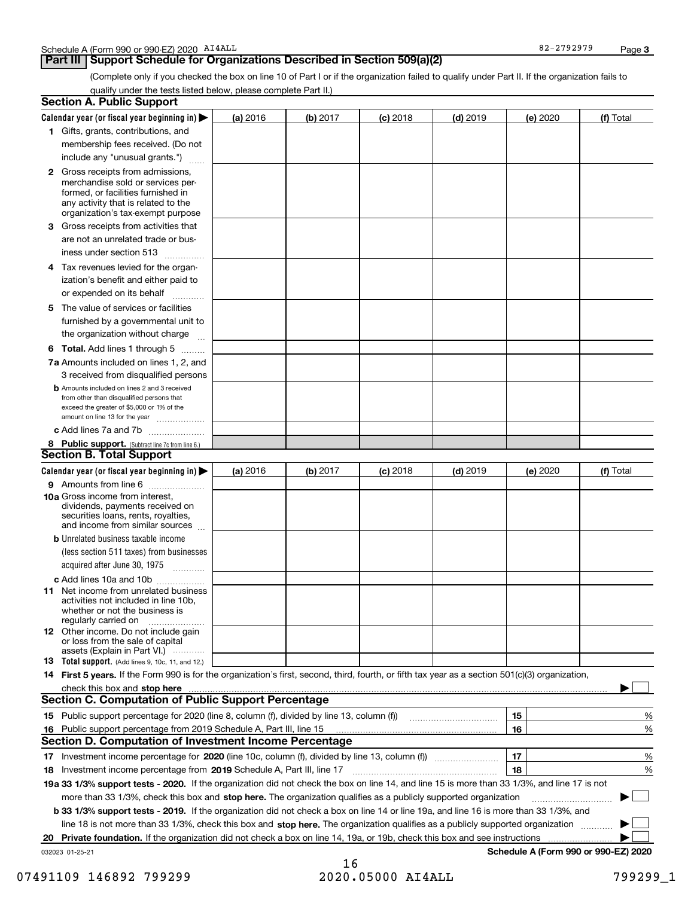### **Part III** | Support Schedule for Organizations Described in Section 509(a)(2)

(Complete only if you checked the box on line 10 of Part I or if the organization failed to qualify under Part II. If the organization fails to qualify under the tests listed below, please complete Part II.)

|     | <b>Section A. Public Support</b>                                                                                                                                                                |          |          |            |            |    |          |                                      |        |
|-----|-------------------------------------------------------------------------------------------------------------------------------------------------------------------------------------------------|----------|----------|------------|------------|----|----------|--------------------------------------|--------|
|     | Calendar year (or fiscal year beginning in) $\blacktriangleright$                                                                                                                               | (a) 2016 | (b) 2017 | $(c)$ 2018 | $(d)$ 2019 |    | (e) 2020 | (f) Total                            |        |
|     | 1 Gifts, grants, contributions, and                                                                                                                                                             |          |          |            |            |    |          |                                      |        |
|     | membership fees received. (Do not                                                                                                                                                               |          |          |            |            |    |          |                                      |        |
|     | include any "unusual grants.")                                                                                                                                                                  |          |          |            |            |    |          |                                      |        |
|     | <b>2</b> Gross receipts from admissions,<br>merchandise sold or services per-<br>formed, or facilities furnished in<br>any activity that is related to the<br>organization's tax-exempt purpose |          |          |            |            |    |          |                                      |        |
|     | 3 Gross receipts from activities that<br>are not an unrelated trade or bus-<br>iness under section 513                                                                                          |          |          |            |            |    |          |                                      |        |
|     | 4 Tax revenues levied for the organ-<br>ization's benefit and either paid to                                                                                                                    |          |          |            |            |    |          |                                      |        |
|     | or expended on its behalf<br>.<br>5 The value of services or facilities                                                                                                                         |          |          |            |            |    |          |                                      |        |
|     | furnished by a governmental unit to<br>the organization without charge                                                                                                                          |          |          |            |            |    |          |                                      |        |
|     | <b>6 Total.</b> Add lines 1 through 5                                                                                                                                                           |          |          |            |            |    |          |                                      |        |
|     | 7a Amounts included on lines 1, 2, and                                                                                                                                                          |          |          |            |            |    |          |                                      |        |
|     | 3 received from disqualified persons                                                                                                                                                            |          |          |            |            |    |          |                                      |        |
|     | <b>b</b> Amounts included on lines 2 and 3 received<br>from other than disqualified persons that<br>exceed the greater of \$5,000 or 1% of the<br>amount on line 13 for the year                |          |          |            |            |    |          |                                      |        |
|     | c Add lines 7a and 7b                                                                                                                                                                           |          |          |            |            |    |          |                                      |        |
|     | 8 Public support. (Subtract line 7c from line 6.)                                                                                                                                               |          |          |            |            |    |          |                                      |        |
|     | <b>Section B. Total Support</b>                                                                                                                                                                 |          |          |            |            |    |          |                                      |        |
|     | Calendar year (or fiscal year beginning in) $\blacktriangleright$                                                                                                                               | (a) 2016 | (b) 2017 | $(c)$ 2018 | $(d)$ 2019 |    | (e) 2020 | (f) Total                            |        |
|     | 9 Amounts from line 6                                                                                                                                                                           |          |          |            |            |    |          |                                      |        |
|     | <b>10a</b> Gross income from interest,<br>dividends, payments received on<br>securities loans, rents, royalties,<br>and income from similar sources                                             |          |          |            |            |    |          |                                      |        |
|     | <b>b</b> Unrelated business taxable income                                                                                                                                                      |          |          |            |            |    |          |                                      |        |
|     | (less section 511 taxes) from businesses<br>acquired after June 30, 1975                                                                                                                        |          |          |            |            |    |          |                                      |        |
|     | c Add lines 10a and 10b<br>11 Net income from unrelated business<br>activities not included in line 10b,<br>whether or not the business is<br>regularly carried on                              |          |          |            |            |    |          |                                      |        |
|     | <b>12</b> Other income. Do not include gain<br>or loss from the sale of capital<br>assets (Explain in Part VI.)                                                                                 |          |          |            |            |    |          |                                      |        |
|     | 13 Total support. (Add lines 9, 10c, 11, and 12.)                                                                                                                                               |          |          |            |            |    |          |                                      |        |
|     | 14 First 5 years. If the Form 990 is for the organization's first, second, third, fourth, or fifth tax year as a section 501(c)(3) organization,                                                |          |          |            |            |    |          |                                      |        |
|     | check this box and stop here measurements and the state of the state of the state of the state of the state of                                                                                  |          |          |            |            |    |          |                                      |        |
|     | <b>Section C. Computation of Public Support Percentage</b>                                                                                                                                      |          |          |            |            |    |          |                                      |        |
|     |                                                                                                                                                                                                 |          |          |            |            | 15 |          |                                      | %      |
| 16. | Public support percentage from 2019 Schedule A, Part III, line 15                                                                                                                               |          |          |            |            | 16 |          |                                      | %      |
|     | <b>Section D. Computation of Investment Income Percentage</b>                                                                                                                                   |          |          |            |            |    |          |                                      |        |
|     |                                                                                                                                                                                                 |          |          |            |            | 17 |          |                                      | %      |
|     | 18 Investment income percentage from 2019 Schedule A, Part III, line 17                                                                                                                         |          |          |            |            | 18 |          |                                      | %      |
|     | 19a 33 1/3% support tests - 2020. If the organization did not check the box on line 14, and line 15 is more than 33 1/3%, and line 17 is not                                                    |          |          |            |            |    |          |                                      |        |
|     | more than 33 1/3%, check this box and stop here. The organization qualifies as a publicly supported organization                                                                                |          |          |            |            |    |          | ▶                                    | $\sim$ |
|     | b 33 1/3% support tests - 2019. If the organization did not check a box on line 14 or line 19a, and line 16 is more than 33 1/3%, and                                                           |          |          |            |            |    |          |                                      |        |
|     | line 18 is not more than 33 1/3%, check this box and stop here. The organization qualifies as a publicly supported organization                                                                 |          |          |            |            |    |          |                                      |        |
| 20  | Private foundation. If the organization did not check a box on line 14, 19a, or 19b, check this box and see instructions                                                                        |          |          |            |            |    |          |                                      |        |
|     | 032023 01-25-21                                                                                                                                                                                 |          |          |            |            |    |          | Schedule A (Form 990 or 990-EZ) 2020 |        |

16 07491109 146892 799299 2020.05000 AI4ALL 799299\_1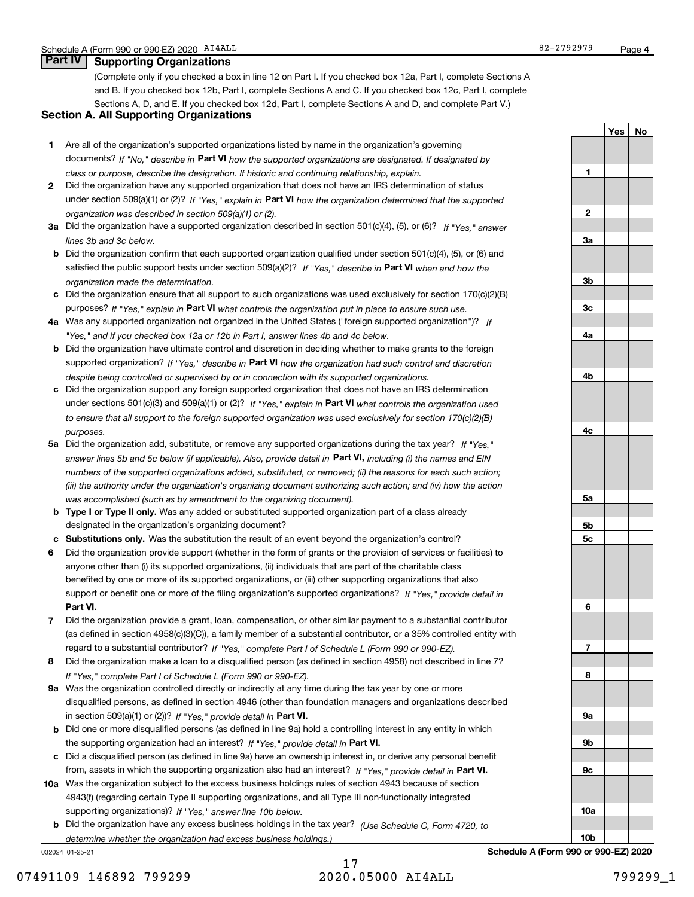**1**

**2**

**3a**

**3b**

**3c**

**4a**

**4b**

**4c**

**5a**

**5b5c**

**6**

**7**

**8**

**9a**

**9b**

**9c**

**10a**

**10b**

**YesNo**

## **Part IV Supporting Organizations**

(Complete only if you checked a box in line 12 on Part I. If you checked box 12a, Part I, complete Sections A and B. If you checked box 12b, Part I, complete Sections A and C. If you checked box 12c, Part I, complete Sections A, D, and E. If you checked box 12d, Part I, complete Sections A and D, and complete Part V.)

### **Section A. All Supporting Organizations**

- **1** Are all of the organization's supported organizations listed by name in the organization's governing documents? If "No," describe in **Part VI** how the supported organizations are designated. If designated by *class or purpose, describe the designation. If historic and continuing relationship, explain.*
- **2** Did the organization have any supported organization that does not have an IRS determination of status under section 509(a)(1) or (2)? If "Yes," explain in Part VI how the organization determined that the supported *organization was described in section 509(a)(1) or (2).*
- **3a** Did the organization have a supported organization described in section 501(c)(4), (5), or (6)? If "Yes," answer *lines 3b and 3c below.*
- **b** Did the organization confirm that each supported organization qualified under section 501(c)(4), (5), or (6) and satisfied the public support tests under section 509(a)(2)? If "Yes," describe in **Part VI** when and how the *organization made the determination.*
- **c**Did the organization ensure that all support to such organizations was used exclusively for section 170(c)(2)(B) purposes? If "Yes," explain in **Part VI** what controls the organization put in place to ensure such use.
- **4a***If* Was any supported organization not organized in the United States ("foreign supported organization")? *"Yes," and if you checked box 12a or 12b in Part I, answer lines 4b and 4c below.*
- **b** Did the organization have ultimate control and discretion in deciding whether to make grants to the foreign supported organization? If "Yes," describe in **Part VI** how the organization had such control and discretion *despite being controlled or supervised by or in connection with its supported organizations.*
- **c** Did the organization support any foreign supported organization that does not have an IRS determination under sections 501(c)(3) and 509(a)(1) or (2)? If "Yes," explain in **Part VI** what controls the organization used *to ensure that all support to the foreign supported organization was used exclusively for section 170(c)(2)(B) purposes.*
- **5a** Did the organization add, substitute, or remove any supported organizations during the tax year? If "Yes," answer lines 5b and 5c below (if applicable). Also, provide detail in **Part VI,** including (i) the names and EIN *numbers of the supported organizations added, substituted, or removed; (ii) the reasons for each such action; (iii) the authority under the organization's organizing document authorizing such action; and (iv) how the action was accomplished (such as by amendment to the organizing document).*
- **b** Type I or Type II only. Was any added or substituted supported organization part of a class already designated in the organization's organizing document?
- **cSubstitutions only.**  Was the substitution the result of an event beyond the organization's control?
- **6** Did the organization provide support (whether in the form of grants or the provision of services or facilities) to **Part VI.** *If "Yes," provide detail in* support or benefit one or more of the filing organization's supported organizations? anyone other than (i) its supported organizations, (ii) individuals that are part of the charitable class benefited by one or more of its supported organizations, or (iii) other supporting organizations that also
- **7**Did the organization provide a grant, loan, compensation, or other similar payment to a substantial contributor *If "Yes," complete Part I of Schedule L (Form 990 or 990-EZ).* regard to a substantial contributor? (as defined in section 4958(c)(3)(C)), a family member of a substantial contributor, or a 35% controlled entity with
- **8** Did the organization make a loan to a disqualified person (as defined in section 4958) not described in line 7? *If "Yes," complete Part I of Schedule L (Form 990 or 990-EZ).*
- **9a** Was the organization controlled directly or indirectly at any time during the tax year by one or more in section 509(a)(1) or (2))? If "Yes," *provide detail in* <code>Part VI.</code> disqualified persons, as defined in section 4946 (other than foundation managers and organizations described
- **b**the supporting organization had an interest? If "Yes," provide detail in P**art VI**. Did one or more disqualified persons (as defined in line 9a) hold a controlling interest in any entity in which
- **c**Did a disqualified person (as defined in line 9a) have an ownership interest in, or derive any personal benefit from, assets in which the supporting organization also had an interest? If "Yes," provide detail in P**art VI.**
- **10a** Was the organization subject to the excess business holdings rules of section 4943 because of section supporting organizations)? If "Yes," answer line 10b below. 4943(f) (regarding certain Type II supporting organizations, and all Type III non-functionally integrated
- **b** Did the organization have any excess business holdings in the tax year? (Use Schedule C, Form 4720, to *determine whether the organization had excess business holdings.)*

032024 01-25-21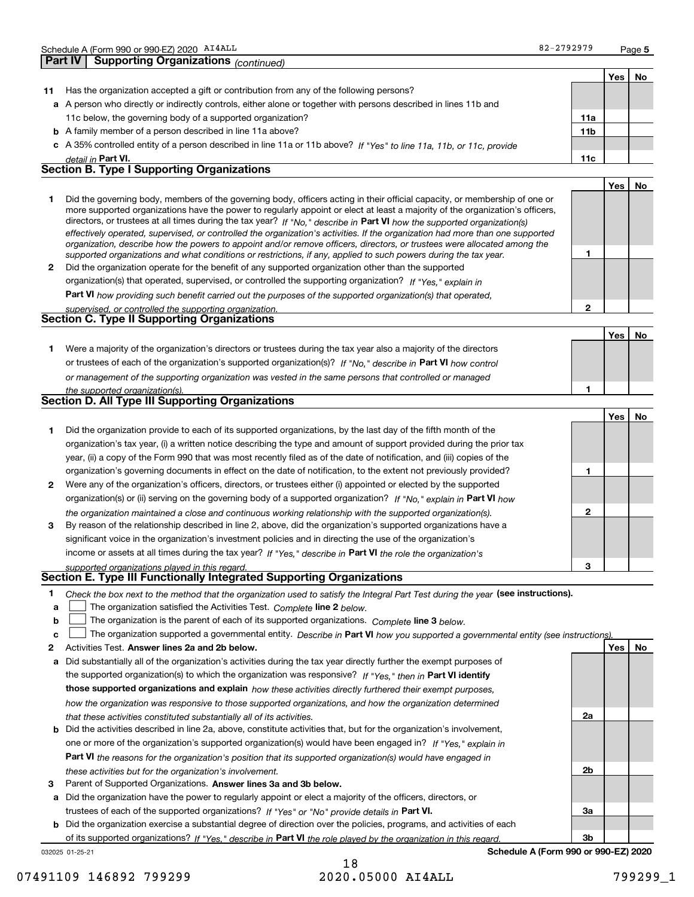| 82-2792979 |
|------------|
|            |

**5**

|              | Schedule A (Form 990 or 990-EZ) 2020 AI4ALL                                                                                                                                                                                                                                                                                                                                                                                                                                                                                                                                                                                                          | 82-2792979      |            | Page 5 |
|--------------|------------------------------------------------------------------------------------------------------------------------------------------------------------------------------------------------------------------------------------------------------------------------------------------------------------------------------------------------------------------------------------------------------------------------------------------------------------------------------------------------------------------------------------------------------------------------------------------------------------------------------------------------------|-----------------|------------|--------|
|              | <b>Supporting Organizations (continued)</b><br>Part IV                                                                                                                                                                                                                                                                                                                                                                                                                                                                                                                                                                                               |                 |            |        |
|              |                                                                                                                                                                                                                                                                                                                                                                                                                                                                                                                                                                                                                                                      |                 | Yes        | No     |
| 11           | Has the organization accepted a gift or contribution from any of the following persons?                                                                                                                                                                                                                                                                                                                                                                                                                                                                                                                                                              |                 |            |        |
|              | a A person who directly or indirectly controls, either alone or together with persons described in lines 11b and                                                                                                                                                                                                                                                                                                                                                                                                                                                                                                                                     |                 |            |        |
|              | 11c below, the governing body of a supported organization?                                                                                                                                                                                                                                                                                                                                                                                                                                                                                                                                                                                           | 11a             |            |        |
|              | <b>b</b> A family member of a person described in line 11a above?                                                                                                                                                                                                                                                                                                                                                                                                                                                                                                                                                                                    | 11 <sub>b</sub> |            |        |
|              | c A 35% controlled entity of a person described in line 11a or 11b above? If "Yes" to line 11a, 11b, or 11c, provide                                                                                                                                                                                                                                                                                                                                                                                                                                                                                                                                 |                 |            |        |
|              | detail in Part VI.                                                                                                                                                                                                                                                                                                                                                                                                                                                                                                                                                                                                                                   | 11c             |            |        |
|              | <b>Section B. Type I Supporting Organizations</b>                                                                                                                                                                                                                                                                                                                                                                                                                                                                                                                                                                                                    |                 |            |        |
|              |                                                                                                                                                                                                                                                                                                                                                                                                                                                                                                                                                                                                                                                      |                 | Yes        | No     |
| 1            | Did the governing body, members of the governing body, officers acting in their official capacity, or membership of one or<br>more supported organizations have the power to regularly appoint or elect at least a majority of the organization's officers,<br>directors, or trustees at all times during the tax year? If "No," describe in Part VI how the supported organization(s)<br>effectively operated, supervised, or controlled the organization's activities. If the organization had more than one supported<br>organization, describe how the powers to appoint and/or remove officers, directors, or trustees were allocated among the | 1.              |            |        |
| $\mathbf{2}$ | supported organizations and what conditions or restrictions, if any, applied to such powers during the tax year.<br>Did the organization operate for the benefit of any supported organization other than the supported                                                                                                                                                                                                                                                                                                                                                                                                                              |                 |            |        |
|              |                                                                                                                                                                                                                                                                                                                                                                                                                                                                                                                                                                                                                                                      |                 |            |        |
|              | organization(s) that operated, supervised, or controlled the supporting organization? If "Yes," explain in                                                                                                                                                                                                                                                                                                                                                                                                                                                                                                                                           |                 |            |        |
|              | <b>Part VI</b> how providing such benefit carried out the purposes of the supported organization(s) that operated,                                                                                                                                                                                                                                                                                                                                                                                                                                                                                                                                   | $\overline{2}$  |            |        |
|              | supervised, or controlled the supporting organization.<br><b>Section C. Type II Supporting Organizations</b>                                                                                                                                                                                                                                                                                                                                                                                                                                                                                                                                         |                 |            |        |
|              |                                                                                                                                                                                                                                                                                                                                                                                                                                                                                                                                                                                                                                                      |                 | Yes        | No     |
| 1            | Were a majority of the organization's directors or trustees during the tax year also a majority of the directors                                                                                                                                                                                                                                                                                                                                                                                                                                                                                                                                     |                 |            |        |
|              | or trustees of each of the organization's supported organization(s)? If "No," describe in Part VI how control                                                                                                                                                                                                                                                                                                                                                                                                                                                                                                                                        |                 |            |        |
|              |                                                                                                                                                                                                                                                                                                                                                                                                                                                                                                                                                                                                                                                      |                 |            |        |
|              | or management of the supporting organization was vested in the same persons that controlled or managed                                                                                                                                                                                                                                                                                                                                                                                                                                                                                                                                               | 1               |            |        |
|              | the supported organization(s).<br><b>Section D. All Type III Supporting Organizations</b>                                                                                                                                                                                                                                                                                                                                                                                                                                                                                                                                                            |                 |            |        |
|              |                                                                                                                                                                                                                                                                                                                                                                                                                                                                                                                                                                                                                                                      |                 |            |        |
|              |                                                                                                                                                                                                                                                                                                                                                                                                                                                                                                                                                                                                                                                      |                 | <b>Yes</b> | No     |
| 1            | Did the organization provide to each of its supported organizations, by the last day of the fifth month of the                                                                                                                                                                                                                                                                                                                                                                                                                                                                                                                                       |                 |            |        |
|              | organization's tax year, (i) a written notice describing the type and amount of support provided during the prior tax                                                                                                                                                                                                                                                                                                                                                                                                                                                                                                                                |                 |            |        |
|              | year, (ii) a copy of the Form 990 that was most recently filed as of the date of notification, and (iii) copies of the                                                                                                                                                                                                                                                                                                                                                                                                                                                                                                                               |                 |            |        |
|              | organization's governing documents in effect on the date of notification, to the extent not previously provided?                                                                                                                                                                                                                                                                                                                                                                                                                                                                                                                                     | 1               |            |        |
| 2            | Were any of the organization's officers, directors, or trustees either (i) appointed or elected by the supported                                                                                                                                                                                                                                                                                                                                                                                                                                                                                                                                     |                 |            |        |
|              | organization(s) or (ii) serving on the governing body of a supported organization? If "No." explain in Part VI how                                                                                                                                                                                                                                                                                                                                                                                                                                                                                                                                   |                 |            |        |
|              | the organization maintained a close and continuous working relationship with the supported organization(s).                                                                                                                                                                                                                                                                                                                                                                                                                                                                                                                                          | $\mathbf{2}$    |            |        |
| 3            | By reason of the relationship described in line 2, above, did the organization's supported organizations have a                                                                                                                                                                                                                                                                                                                                                                                                                                                                                                                                      |                 |            |        |
|              | significant voice in the organization's investment policies and in directing the use of the organization's                                                                                                                                                                                                                                                                                                                                                                                                                                                                                                                                           |                 |            |        |

income or assets at all times during the tax year? If "Yes," describe in **Part VI** the role the organization's *supported organizations played in this regard.*

### **Section E. Type III Functionally Integrated Supporting Organizations**

|  | Check the box next to the method that the organization used to satisfy the Integral Part Test during the year (see instructions). |  |  |  |
|--|-----------------------------------------------------------------------------------------------------------------------------------|--|--|--|
|--|-----------------------------------------------------------------------------------------------------------------------------------|--|--|--|

- **a**The organization satisfied the Activities Test. *Complete* line 2 below.  $\mathcal{L}^{\text{max}}$
- **b**The organization is the parent of each of its supported organizations. *Complete* line 3 *below.*  $\mathcal{L}^{\text{max}}$

|  |  | <b>c</b> $\Box$ The organization supported a governmental entity. Describe in Part VI how you supported a governmental entity (see instructions). |  |  |  |  |  |  |  |  |
|--|--|---------------------------------------------------------------------------------------------------------------------------------------------------|--|--|--|--|--|--|--|--|
|--|--|---------------------------------------------------------------------------------------------------------------------------------------------------|--|--|--|--|--|--|--|--|

- **2Answer lines 2a and 2b below. Yes No** Activities Test.
- **a** Did substantially all of the organization's activities during the tax year directly further the exempt purposes of the supported organization(s) to which the organization was responsive? If "Yes," then in **Part VI identify those supported organizations and explain**  *how these activities directly furthered their exempt purposes, how the organization was responsive to those supported organizations, and how the organization determined that these activities constituted substantially all of its activities.*
- **b** Did the activities described in line 2a, above, constitute activities that, but for the organization's involvement, **Part VI**  *the reasons for the organization's position that its supported organization(s) would have engaged in* one or more of the organization's supported organization(s) would have been engaged in? If "Yes," e*xplain in these activities but for the organization's involvement.*
- **3** Parent of Supported Organizations. Answer lines 3a and 3b below.

**a** Did the organization have the power to regularly appoint or elect a majority of the officers, directors, or trustees of each of the supported organizations? If "Yes" or "No" provide details in **Part VI.** 

**b** Did the organization exercise a substantial degree of direction over the policies, programs, and activities of each of its supported organizations? If "Yes," describe in Part VI the role played by the organization in this regard.

032025 01-25-21

18 07491109 146892 799299 2020.05000 AI4ALL 799299\_1

**2a**

**2b**

**3a**

**3**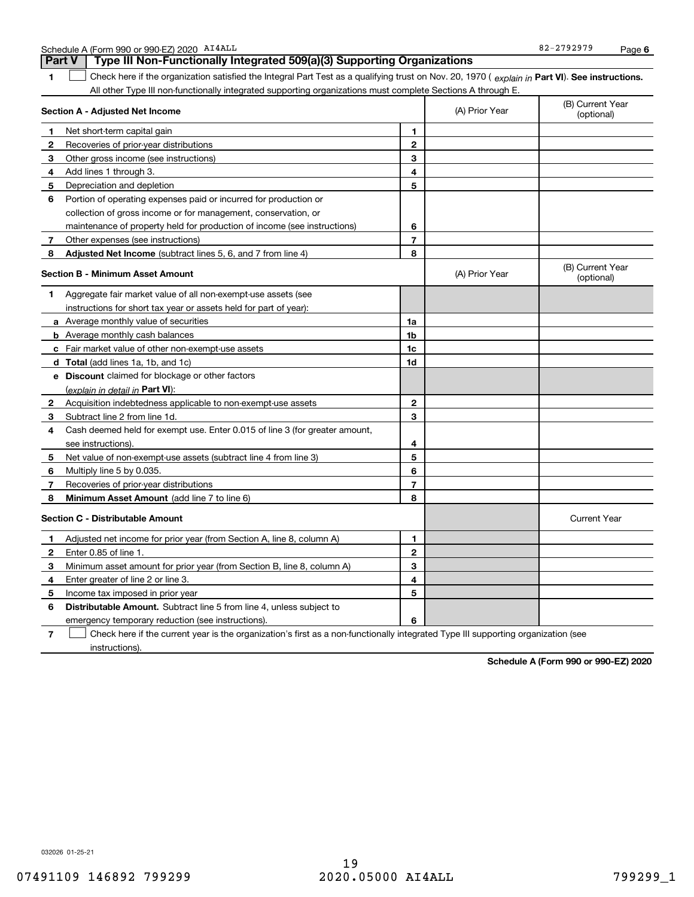|              | All other Type III non-functionally integrated supporting organizations must complete Sections A through E. |                |                |                                |
|--------------|-------------------------------------------------------------------------------------------------------------|----------------|----------------|--------------------------------|
|              | <b>Section A - Adjusted Net Income</b>                                                                      |                | (A) Prior Year | (B) Current Year<br>(optional) |
| 1            | Net short-term capital gain                                                                                 | 1              |                |                                |
| 2            | Recoveries of prior-year distributions                                                                      | $\overline{2}$ |                |                                |
| 3            | Other gross income (see instructions)                                                                       | 3              |                |                                |
| 4            | Add lines 1 through 3.                                                                                      | 4              |                |                                |
| 5            | Depreciation and depletion                                                                                  | 5              |                |                                |
| 6            | Portion of operating expenses paid or incurred for production or                                            |                |                |                                |
|              | collection of gross income or for management, conservation, or                                              |                |                |                                |
|              | maintenance of property held for production of income (see instructions)                                    | 6              |                |                                |
| 7            | Other expenses (see instructions)                                                                           | $\overline{7}$ |                |                                |
| 8            | <b>Adjusted Net Income</b> (subtract lines 5, 6, and 7 from line 4)                                         | 8              |                |                                |
|              | <b>Section B - Minimum Asset Amount</b>                                                                     |                | (A) Prior Year | (B) Current Year<br>(optional) |
| 1            | Aggregate fair market value of all non-exempt-use assets (see                                               |                |                |                                |
|              | instructions for short tax year or assets held for part of year):                                           |                |                |                                |
|              | a Average monthly value of securities                                                                       | 1a             |                |                                |
|              | <b>b</b> Average monthly cash balances                                                                      | 1 <sub>b</sub> |                |                                |
|              | <b>c</b> Fair market value of other non-exempt-use assets                                                   | 1c             |                |                                |
|              | <b>d</b> Total (add lines 1a, 1b, and 1c)                                                                   | 1d             |                |                                |
|              | e Discount claimed for blockage or other factors                                                            |                |                |                                |
|              | (explain in detail in Part VI):                                                                             |                |                |                                |
| $\mathbf{2}$ | Acquisition indebtedness applicable to non-exempt-use assets                                                | $\mathbf{2}$   |                |                                |
| 3            | Subtract line 2 from line 1d.                                                                               | 3              |                |                                |
| 4            | Cash deemed held for exempt use. Enter 0.015 of line 3 (for greater amount,                                 |                |                |                                |
|              | see instructions).                                                                                          | 4              |                |                                |
| 5            | Net value of non-exempt-use assets (subtract line 4 from line 3)                                            | 5              |                |                                |
| 6            | Multiply line 5 by 0.035.                                                                                   | 6              |                |                                |
| 7            | Recoveries of prior-year distributions                                                                      | $\overline{7}$ |                |                                |
| 8            | Minimum Asset Amount (add line 7 to line 6)                                                                 | 8              |                |                                |
|              | <b>Section C - Distributable Amount</b>                                                                     |                |                | <b>Current Year</b>            |
| 1            | Adjusted net income for prior year (from Section A, line 8, column A)                                       | 1              |                |                                |
| $\mathbf{2}$ | Enter 0.85 of line 1.                                                                                       | $\mathbf{2}$   |                |                                |
| 3            | Minimum asset amount for prior year (from Section B, line 8, column A)                                      | 3              |                |                                |
| 4            | Enter greater of line 2 or line 3.                                                                          | 4              |                |                                |
| 5            | Income tax imposed in prior year                                                                            | 5              |                |                                |
| 6            | <b>Distributable Amount.</b> Subtract line 5 from line 4, unless subject to                                 |                |                |                                |
|              | emergency temporary reduction (see instructions).                                                           | 6              |                |                                |

1 Check here if the organization satisfied the Integral Part Test as a qualifying trust on Nov. 20, 1970 (explain in Part VI). See instructions.

**7**Check here if the current year is the organization's first as a non-functionally integrated Type III supporting organization (see instructions).

**Schedule A (Form 990 or 990-EZ) 2020**

Schedule A (Form 990 or 990-EZ) 2020 Page AI4ALL

**1**

**Part V Type III Non-Functionally Integrated 509(a)(3) Supporting Organizations**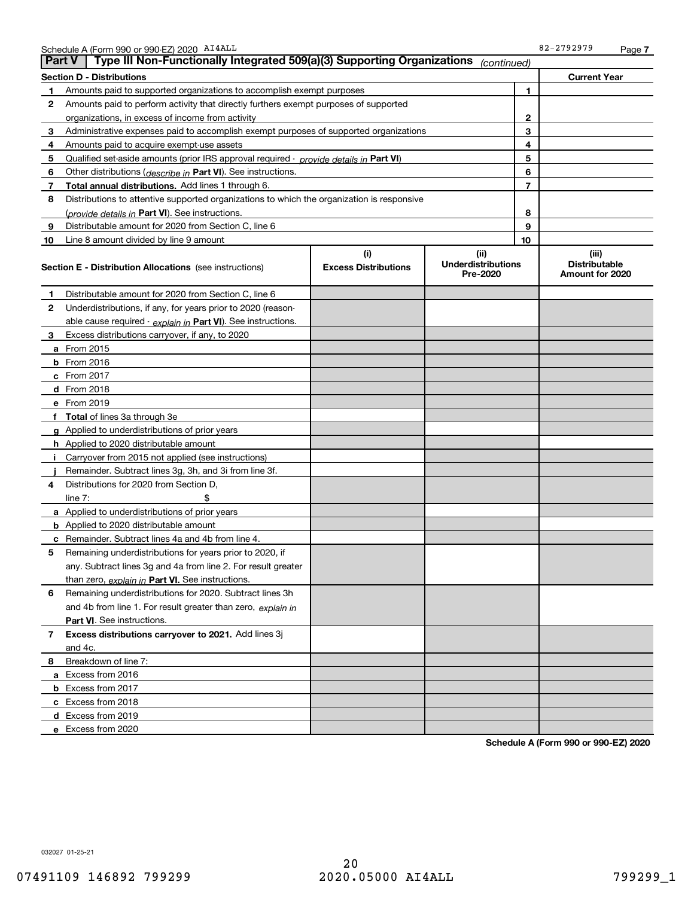|              | Schedule A (Form 990 or 990-EZ) 2020 AI4ALL                                                |                                    |                                               |    | 82-2792979                                       | Page 7 |
|--------------|--------------------------------------------------------------------------------------------|------------------------------------|-----------------------------------------------|----|--------------------------------------------------|--------|
|              | Type III Non-Functionally Integrated 509(a)(3) Supporting Organizations<br><b>Part V</b>   |                                    | (continued)                                   |    |                                                  |        |
|              | <b>Section D - Distributions</b>                                                           |                                    |                                               |    | <b>Current Year</b>                              |        |
| 1            | Amounts paid to supported organizations to accomplish exempt purposes                      |                                    |                                               | 1  |                                                  |        |
| 2            | Amounts paid to perform activity that directly furthers exempt purposes of supported       |                                    |                                               |    |                                                  |        |
|              | organizations, in excess of income from activity                                           |                                    |                                               | 2  |                                                  |        |
| 3            | Administrative expenses paid to accomplish exempt purposes of supported organizations      |                                    |                                               | 3  |                                                  |        |
| 4            | Amounts paid to acquire exempt-use assets                                                  |                                    |                                               | 4  |                                                  |        |
| 5            | Qualified set-aside amounts (prior IRS approval required - provide details in Part VI)     |                                    |                                               | 5  |                                                  |        |
| 6            | Other distributions ( <i>describe in</i> Part VI). See instructions.                       |                                    |                                               | 6  |                                                  |        |
| 7            | Total annual distributions. Add lines 1 through 6.                                         |                                    |                                               | 7  |                                                  |        |
| 8            | Distributions to attentive supported organizations to which the organization is responsive |                                    |                                               |    |                                                  |        |
|              | (provide details in Part VI). See instructions.                                            |                                    |                                               | 8  |                                                  |        |
| 9            | Distributable amount for 2020 from Section C, line 6                                       |                                    |                                               | 9  |                                                  |        |
| 10           | Line 8 amount divided by line 9 amount                                                     |                                    |                                               | 10 |                                                  |        |
|              | <b>Section E - Distribution Allocations</b> (see instructions)                             | (i)<br><b>Excess Distributions</b> | (ii)<br><b>Underdistributions</b><br>Pre-2020 |    | (iii)<br><b>Distributable</b><br>Amount for 2020 |        |
| 1            | Distributable amount for 2020 from Section C, line 6                                       |                                    |                                               |    |                                                  |        |
| $\mathbf{2}$ | Underdistributions, if any, for years prior to 2020 (reason-                               |                                    |                                               |    |                                                  |        |
|              | able cause required - explain in Part VI). See instructions.                               |                                    |                                               |    |                                                  |        |
| 3            | Excess distributions carryover, if any, to 2020                                            |                                    |                                               |    |                                                  |        |
|              | a From 2015                                                                                |                                    |                                               |    |                                                  |        |
|              | <b>b</b> From $2016$                                                                       |                                    |                                               |    |                                                  |        |
|              | c From 2017                                                                                |                                    |                                               |    |                                                  |        |
|              | d From 2018                                                                                |                                    |                                               |    |                                                  |        |
|              | e From 2019                                                                                |                                    |                                               |    |                                                  |        |
|              | f Total of lines 3a through 3e                                                             |                                    |                                               |    |                                                  |        |
|              | g Applied to underdistributions of prior years                                             |                                    |                                               |    |                                                  |        |
|              | <b>h</b> Applied to 2020 distributable amount                                              |                                    |                                               |    |                                                  |        |
| j.           | Carryover from 2015 not applied (see instructions)                                         |                                    |                                               |    |                                                  |        |
|              | Remainder. Subtract lines 3g, 3h, and 3i from line 3f.                                     |                                    |                                               |    |                                                  |        |
| 4            | Distributions for 2020 from Section D.                                                     |                                    |                                               |    |                                                  |        |
|              | \$<br>line $7:$                                                                            |                                    |                                               |    |                                                  |        |
|              | <b>a</b> Applied to underdistributions of prior years                                      |                                    |                                               |    |                                                  |        |
|              | <b>b</b> Applied to 2020 distributable amount                                              |                                    |                                               |    |                                                  |        |
|              | <b>c</b> Remainder. Subtract lines 4a and 4b from line 4.                                  |                                    |                                               |    |                                                  |        |
|              | Remaining underdistributions for years prior to 2020, if                                   |                                    |                                               |    |                                                  |        |
|              | any. Subtract lines 3q and 4a from line 2. For result greater                              |                                    |                                               |    |                                                  |        |
|              | than zero, explain in Part VI. See instructions.                                           |                                    |                                               |    |                                                  |        |
| 6            | Remaining underdistributions for 2020. Subtract lines 3h                                   |                                    |                                               |    |                                                  |        |
|              | and 4b from line 1. For result greater than zero, explain in                               |                                    |                                               |    |                                                  |        |
|              | Part VI. See instructions.                                                                 |                                    |                                               |    |                                                  |        |
| 7            | Excess distributions carryover to 2021. Add lines 3j                                       |                                    |                                               |    |                                                  |        |
|              | and 4c.                                                                                    |                                    |                                               |    |                                                  |        |
| 8            | Breakdown of line 7:                                                                       |                                    |                                               |    |                                                  |        |
|              | a Excess from 2016                                                                         |                                    |                                               |    |                                                  |        |
|              | <b>b</b> Excess from 2017                                                                  |                                    |                                               |    |                                                  |        |
|              | c Excess from 2018                                                                         |                                    |                                               |    |                                                  |        |
|              | d Excess from 2019                                                                         |                                    |                                               |    |                                                  |        |
|              | e Excess from 2020                                                                         |                                    |                                               |    |                                                  |        |

**Schedule A (Form 990 or 990-EZ) 2020**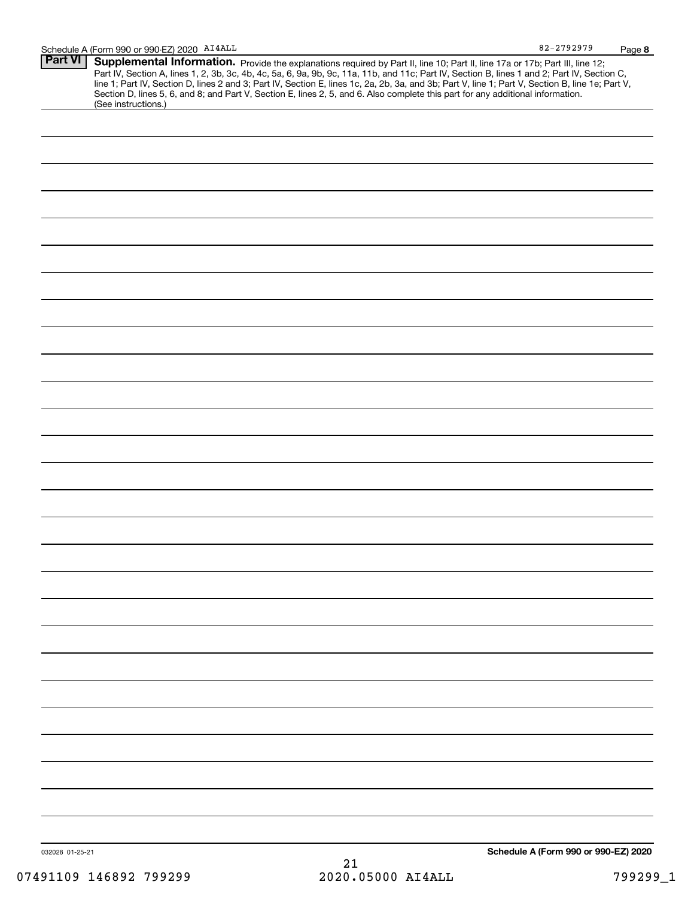| <b>Part VI</b>  | Supplemental Information. Provide the explanations required by Part II, line 10; Part II, line 17a or 17b; Part III, line 12;                                                                                                                                                                    |                                      |
|-----------------|--------------------------------------------------------------------------------------------------------------------------------------------------------------------------------------------------------------------------------------------------------------------------------------------------|--------------------------------------|
|                 | Part IV, Section A, lines 1, 2, 3b, 3c, 4b, 4c, 5a, 6, 9a, 9b, 9c, 11a, 11b, and 11c; Part IV, Section B, lines 1 and 2; Part IV, Section C,<br>line 1; Part IV, Section D, lines 2 and 3; Part IV, Section E, lines 1c, 2a, 2b, 3a, and 3b; Part V, line 1; Part V, Section B, line 1e; Part V, |                                      |
|                 | Section D, lines 5, 6, and 8; and Part V, Section E, lines 2, 5, and 6. Also complete this part for any additional information.<br>(See instructions.)                                                                                                                                           |                                      |
|                 |                                                                                                                                                                                                                                                                                                  |                                      |
|                 |                                                                                                                                                                                                                                                                                                  |                                      |
|                 |                                                                                                                                                                                                                                                                                                  |                                      |
|                 |                                                                                                                                                                                                                                                                                                  |                                      |
|                 |                                                                                                                                                                                                                                                                                                  |                                      |
|                 |                                                                                                                                                                                                                                                                                                  |                                      |
|                 |                                                                                                                                                                                                                                                                                                  |                                      |
|                 |                                                                                                                                                                                                                                                                                                  |                                      |
|                 |                                                                                                                                                                                                                                                                                                  |                                      |
|                 |                                                                                                                                                                                                                                                                                                  |                                      |
|                 |                                                                                                                                                                                                                                                                                                  |                                      |
|                 |                                                                                                                                                                                                                                                                                                  |                                      |
|                 |                                                                                                                                                                                                                                                                                                  |                                      |
|                 |                                                                                                                                                                                                                                                                                                  |                                      |
|                 |                                                                                                                                                                                                                                                                                                  |                                      |
|                 |                                                                                                                                                                                                                                                                                                  |                                      |
|                 |                                                                                                                                                                                                                                                                                                  |                                      |
|                 |                                                                                                                                                                                                                                                                                                  |                                      |
|                 |                                                                                                                                                                                                                                                                                                  |                                      |
|                 |                                                                                                                                                                                                                                                                                                  |                                      |
|                 |                                                                                                                                                                                                                                                                                                  |                                      |
|                 |                                                                                                                                                                                                                                                                                                  |                                      |
|                 |                                                                                                                                                                                                                                                                                                  |                                      |
|                 |                                                                                                                                                                                                                                                                                                  |                                      |
|                 |                                                                                                                                                                                                                                                                                                  |                                      |
|                 |                                                                                                                                                                                                                                                                                                  |                                      |
|                 |                                                                                                                                                                                                                                                                                                  |                                      |
|                 |                                                                                                                                                                                                                                                                                                  | Schedule A (Form 990 or 990-EZ) 2020 |
| 032028 01-25-21 | 21                                                                                                                                                                                                                                                                                               |                                      |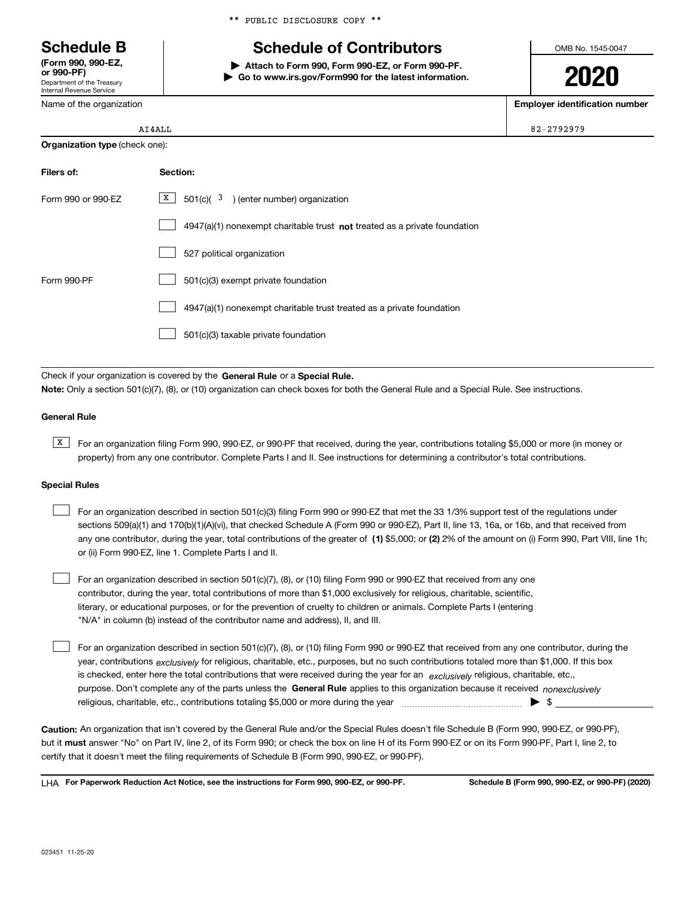Department of the Treasury Internal Revenue Service **(Form 990, 990-EZ, or 990-PF)**

Name of the organization

# **Schedule B Schedule of Contributors**

**| Attach to Form 990, Form 990-EZ, or Form 990-PF. | Go to www.irs.gov/Form990 for the latest information.** OMB No. 1545-0047

**2020**

**Employer identification number**

82-2792979

|                                       | AI4ALL |
|---------------------------------------|--------|
| <b>Organization type (check one):</b> |        |

| Filers of:         | Section:                                                                    |
|--------------------|-----------------------------------------------------------------------------|
| Form 990 or 990-EZ | X<br>$501(c)$ ( $3$ ) (enter number) organization                           |
|                    | $4947(a)(1)$ nonexempt charitable trust not treated as a private foundation |
|                    | 527 political organization                                                  |
| Form 990-PF        | 501(c)(3) exempt private foundation                                         |
|                    | 4947(a)(1) nonexempt charitable trust treated as a private foundation       |
|                    | 501(c)(3) taxable private foundation                                        |

Check if your organization is covered by the **General Rule** or a **Special Rule. Note:**  Only a section 501(c)(7), (8), or (10) organization can check boxes for both the General Rule and a Special Rule. See instructions.

#### **General Rule**

 $\overline{X}$  For an organization filing Form 990, 990-EZ, or 990-PF that received, during the year, contributions totaling \$5,000 or more (in money or property) from any one contributor. Complete Parts I and II. See instructions for determining a contributor's total contributions.

#### **Special Rules**

| For an organization described in section 501(c)(3) filing Form 990 or 990-EZ that met the 33 1/3% support test of the regulations under               |
|-------------------------------------------------------------------------------------------------------------------------------------------------------|
| sections 509(a)(1) and 170(b)(1)(A)(vi), that checked Schedule A (Form 990 or 990-EZ), Part II, line 13, 16a, or 16b, and that received from          |
| any one contributor, during the year, total contributions of the greater of (1) \$5,000; or (2) 2% of the amount on (i) Form 990, Part VIII, line 1h; |
| or (ii) Form 990-EZ, line 1. Complete Parts I and II.                                                                                                 |

For an organization described in section 501(c)(7), (8), or (10) filing Form 990 or 990-EZ that received from any one contributor, during the year, total contributions of more than \$1,000 exclusively for religious, charitable, scientific, literary, or educational purposes, or for the prevention of cruelty to children or animals. Complete Parts I (entering "N/A" in column (b) instead of the contributor name and address), II, and III.  $\mathcal{L}^{\text{max}}$ 

purpose. Don't complete any of the parts unless the **General Rule** applies to this organization because it received *nonexclusively* year, contributions <sub>exclusively</sub> for religious, charitable, etc., purposes, but no such contributions totaled more than \$1,000. If this box is checked, enter here the total contributions that were received during the year for an  $\;$ exclusively religious, charitable, etc., For an organization described in section 501(c)(7), (8), or (10) filing Form 990 or 990-EZ that received from any one contributor, during the religious, charitable, etc., contributions totaling \$5,000 or more during the year  $\Box$ — $\Box$  =  $\Box$  $\mathcal{L}^{\text{max}}$ 

**Caution:**  An organization that isn't covered by the General Rule and/or the Special Rules doesn't file Schedule B (Form 990, 990-EZ, or 990-PF),  **must** but it answer "No" on Part IV, line 2, of its Form 990; or check the box on line H of its Form 990-EZ or on its Form 990-PF, Part I, line 2, to certify that it doesn't meet the filing requirements of Schedule B (Form 990, 990-EZ, or 990-PF).

**For Paperwork Reduction Act Notice, see the instructions for Form 990, 990-EZ, or 990-PF. Schedule B (Form 990, 990-EZ, or 990-PF) (2020)** LHA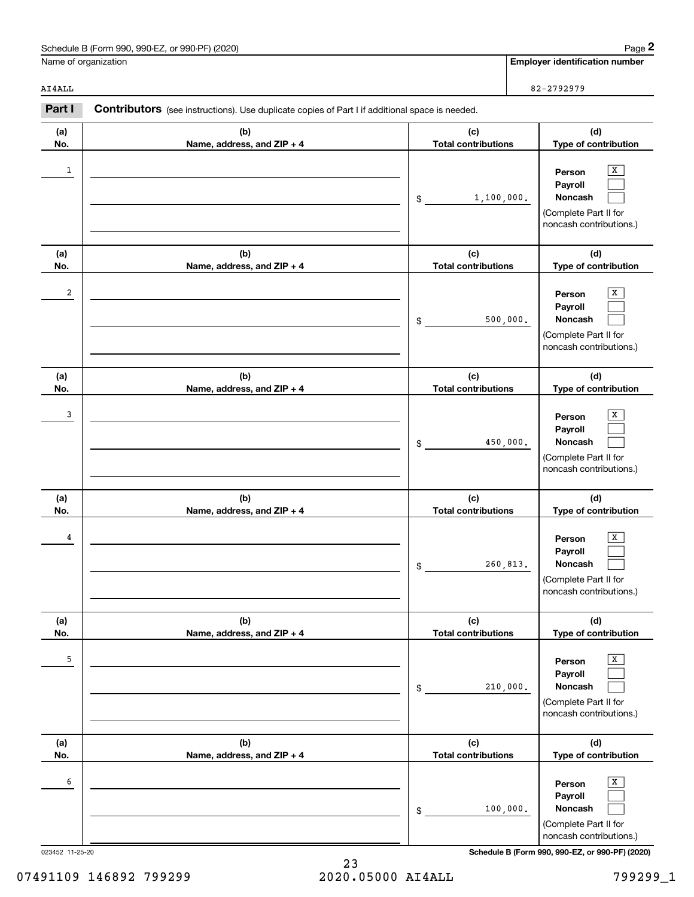| Schedule B (Form 990, 990-EZ, or 990-PF) (2020)                                                                 | Page 2                                |  |  |
|-----------------------------------------------------------------------------------------------------------------|---------------------------------------|--|--|
| Name of organization                                                                                            | <b>Employer identification number</b> |  |  |
| AI4ALL                                                                                                          | 82-2792979                            |  |  |
| Part I<br><b>Contributors</b> (see instructions). Use duplicate copies of Part I if additional space is needed. |                                       |  |  |

**(b)Name, address, and ZIP + 4**

<u>1</u> Person X

2 | Person X

and the contract of the contract of the contract of the contract of the contract of the contract of the contract of the contract of the contract of the contract of the contract of the contract of the contract of the contra

<u>die verschieden in der staat de staat de verschieden in de verschieden in de verschieden in de verschieden in de verschieden in de verschieden in de verschieden in de verschieden in de verschieden in de verschieden in de </u>

X

<u>secondary and the secondary secondary and the secondary secondary secondary secondary secondary secondary second</u>

**(b)Name, address, and ZIP + 4**

**(b)Name, address, and ZIP + 4**

**(b) Name, address, and ZIP + 4**

**(b) Name, address, and ZIP + 4**

**(b)Name, address, and ZIP + 4**

**(d)Type of contribution**

> $\lceil x \rceil$  $\mathcal{L}^{\text{max}}$  $\mathcal{L}^{\text{max}}$

 $\overline{X}$  $\mathcal{L}^{\text{max}}$  $\mathcal{L}^{\text{max}}$ 

 $\boxed{\text{X}}$  $\mathcal{L}^{\text{max}}$  $\mathcal{L}^{\text{max}}$ 

 $\boxed{\text{X}}$  $\mathcal{L}^{\text{max}}$  $\mathcal{L}^{\text{max}}$ 

 $\boxed{\text{X}}$  $\mathcal{L}^{\text{max}}$  $\mathcal{L}^{\text{max}}$ 

 $\boxed{\text{X}}$  $\mathcal{L}^{\text{max}}$  $\mathcal{L}^{\text{max}}$ 

**(d)Type of contribution**

(Complete Part II for noncash contributions.)

> **(d)Type of contribution**

(Complete Part II for noncash contributions.)

**(d) Type of contribution**

**(d) Type of contribution**

**(d) Type of contribution**

**PersonPayrollNoncash**

**PersonPayrollNoncash**

**PersonPayrollNoncash**

(Complete Part II for noncash contributions.)

> **PersonPayrollNoncash**

(Complete Part II for noncash contributions.)

> **PersonPayrollNoncash**

(Complete Part II for noncash contributions.)

> **PersonPayrollNoncash**

(Complete Part II for noncash contributions.)

**(c)Total contributions**

**(c)Total contributions**

1,100,000.

500,000.

450,000.

260,813.

210,000.

100,000.

\$

\$

\$

\$

\$

\$

**(c)Total contributions**

**(c) Total contributions**

**(c) Total contributions**

**(c) Total contributions**

**(a)No.**

1

**(a)No.**

2

**(a)No.**

3

**(a) No.**

4

**(a) No.**

5

**(a) No.**

6

023452 11-25-20 **Schedule B (Form 990, 990-EZ, or 990-PF) (2020)**

| 07491109 146892 799299 | 2020.05000 AI4ALL |  | 799299 1 |
|------------------------|-------------------|--|----------|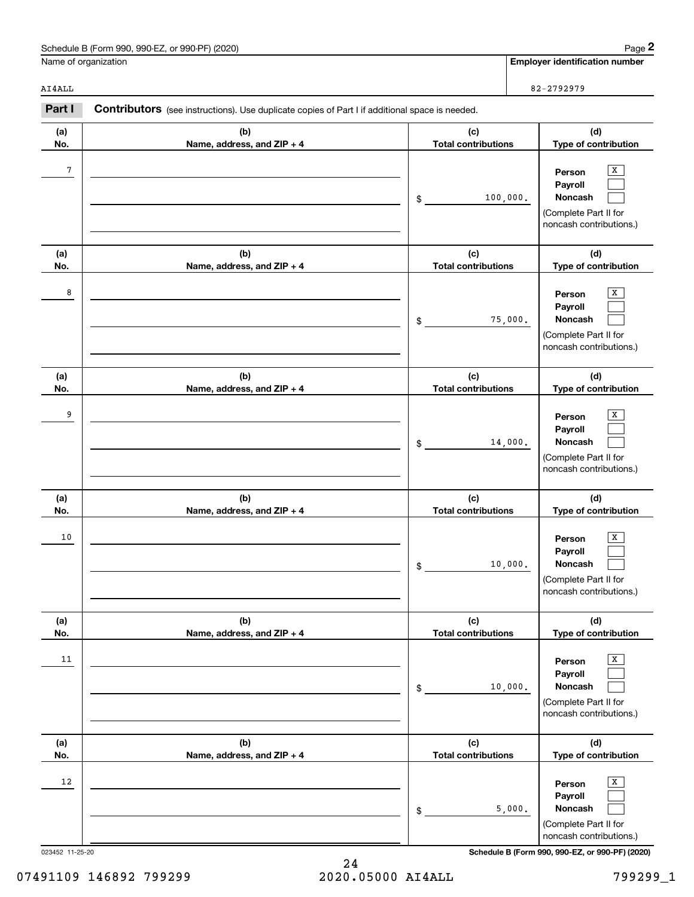| Schedule B (Form 990, 990-EZ, or 990-PF) (2020) | Page                           |
|-------------------------------------------------|--------------------------------|
| Name of organization                            | Emplover identification number |

| . . | 82-2792979 |
|-----|------------|
|     |            |

|                      | Schedule B (Form 990, 990-EZ, or 990-PF) (2020)                                                |                                   | Page 2                                                                                |
|----------------------|------------------------------------------------------------------------------------------------|-----------------------------------|---------------------------------------------------------------------------------------|
| Name of organization |                                                                                                |                                   | <b>Employer identification number</b>                                                 |
| AI4ALL               |                                                                                                |                                   | 82-2792979                                                                            |
| Part I               | Contributors (see instructions). Use duplicate copies of Part I if additional space is needed. |                                   |                                                                                       |
| (a)<br>No.           | (b)<br>Name, address, and ZIP + 4                                                              | (c)<br><b>Total contributions</b> | (d)<br>Type of contribution                                                           |
| 7                    |                                                                                                | 100,000.<br>\$                    | X<br>Person<br>Payroll<br>Noncash<br>(Complete Part II for<br>noncash contributions.) |
| (a)<br>No.           | (b)<br>Name, address, and ZIP + 4                                                              | (c)<br><b>Total contributions</b> | (d)<br>Type of contribution                                                           |
| 8                    |                                                                                                | 75,000.<br>\$                     | X<br>Person<br>Payroll<br>Noncash<br>(Complete Part II for<br>noncash contributions.) |
| (a)<br>No.           | (b)<br>Name, address, and ZIP + 4                                                              | (c)<br><b>Total contributions</b> | (d)<br>Type of contribution                                                           |
| 9                    |                                                                                                | 14,000.<br>\$                     | x<br>Person<br>Payroll<br>Noncash<br>(Complete Part II for<br>noncash contributions.) |
| (a)<br>No.           | (b)<br>Name, address, and ZIP + 4                                                              | (c)<br><b>Total contributions</b> | (d)<br>Type of contribution                                                           |
| 10                   |                                                                                                | 10,000.<br>\$                     | х<br>Person<br>Payroll<br>Noncash<br>(Complete Part II for<br>noncash contributions.) |
| (a)<br>No.           | (b)<br>Name, address, and ZIP + 4                                                              | (c)<br><b>Total contributions</b> | (d)<br>Type of contribution                                                           |
| 11                   |                                                                                                | 10,000.<br>\$                     | X<br>Person<br>Payroll<br>Noncash<br>(Complete Part II for<br>noncash contributions.) |
| (a)<br>No.           | (b)<br>Name, address, and ZIP + 4                                                              | (c)<br><b>Total contributions</b> | (d)<br>Type of contribution                                                           |
| 12                   |                                                                                                | 5,000.<br>\$                      | X<br>Person<br>Payroll<br>Noncash<br>(Complete Part II for<br>noncash contributions.) |

023452 11-25-20 **Schedule B (Form 990, 990-EZ, or 990-PF) (2020)**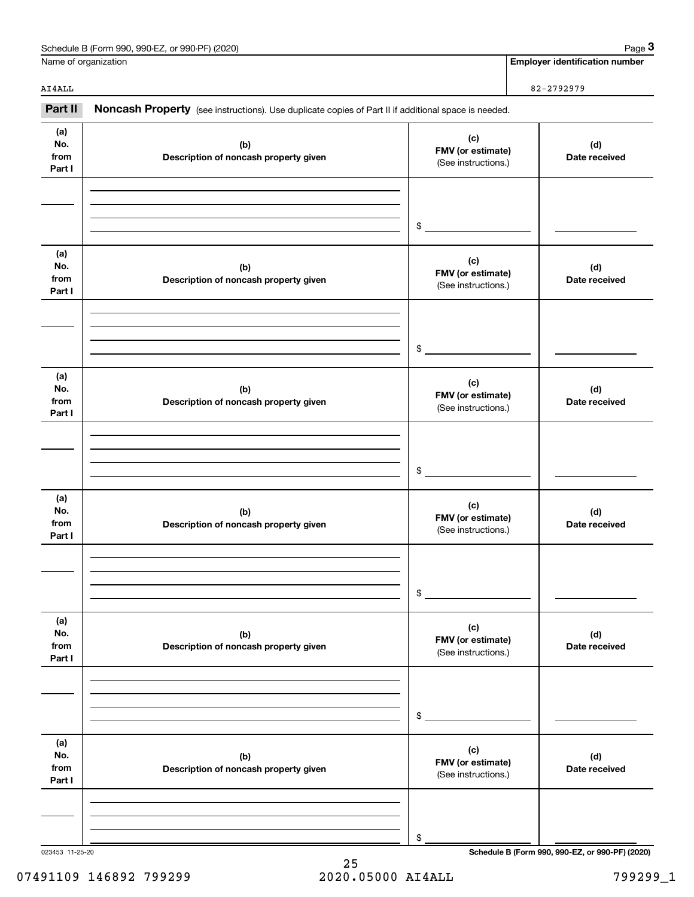| Schedule B (Form 990, 990-EZ, or 990-PF) (2020) | Page                           |
|-------------------------------------------------|--------------------------------|
| Name of organization                            | Emplover identification number |

|                              | Schedule B (Form 990, 990-EZ, or 990-PF) (2020)                                                     |                                                 | Page 3                                          |
|------------------------------|-----------------------------------------------------------------------------------------------------|-------------------------------------------------|-------------------------------------------------|
|                              | Name of organization                                                                                |                                                 | <b>Employer identification number</b>           |
| AI4ALL                       |                                                                                                     |                                                 | 82-2792979                                      |
| Part II                      | Noncash Property (see instructions). Use duplicate copies of Part II if additional space is needed. |                                                 |                                                 |
| (a)<br>No.<br>from<br>Part I | (b)<br>Description of noncash property given                                                        | (c)<br>FMV (or estimate)<br>(See instructions.) | (d)<br>Date received                            |
|                              |                                                                                                     | \$                                              |                                                 |
| (a)<br>No.<br>from<br>Part I | (b)<br>Description of noncash property given                                                        | (c)<br>FMV (or estimate)<br>(See instructions.) | (d)<br>Date received                            |
|                              |                                                                                                     | \$                                              |                                                 |
| (a)<br>No.<br>from<br>Part I | (b)<br>Description of noncash property given                                                        | (c)<br>FMV (or estimate)<br>(See instructions.) | (d)<br>Date received                            |
|                              |                                                                                                     | \$                                              |                                                 |
| (a)<br>No.<br>from<br>Part I | (b)<br>Description of noncash property given                                                        | (c)<br>FMV (or estimate)<br>(See instructions.) | (d)<br>Date received                            |
|                              |                                                                                                     | \$                                              |                                                 |
| (a)<br>No.<br>from<br>Part I | (b)<br>Description of noncash property given                                                        | (c)<br>FMV (or estimate)<br>(See instructions.) | (d)<br>Date received                            |
|                              |                                                                                                     | \$                                              |                                                 |
| (a)<br>No.<br>from<br>Part I | (b)<br>Description of noncash property given                                                        | (c)<br>FMV (or estimate)<br>(See instructions.) | (d)<br>Date received                            |
|                              |                                                                                                     | \$                                              |                                                 |
| 023453 11-25-20              |                                                                                                     |                                                 | Schedule B (Form 990, 990-EZ, or 990-PF) (2020) |

25 07491109 146892 799299 2020.05000 AI4ALL 799299\_1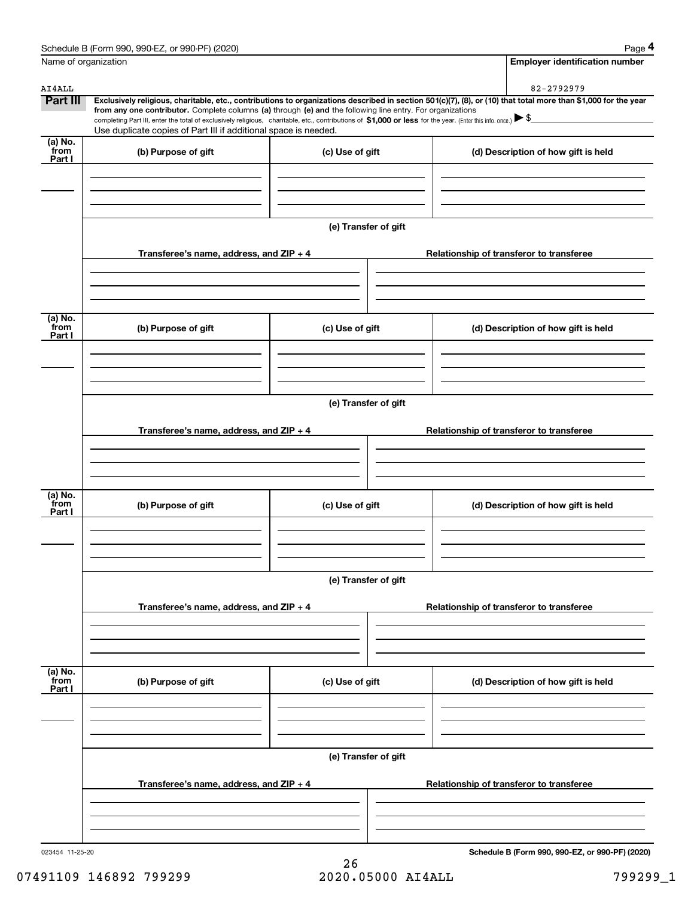|                           | Schedule B (Form 990, 990-EZ, or 990-PF) (2020)                                                                                                                                                                                                                            |                      |  | Page 4                                          |  |  |  |
|---------------------------|----------------------------------------------------------------------------------------------------------------------------------------------------------------------------------------------------------------------------------------------------------------------------|----------------------|--|-------------------------------------------------|--|--|--|
| Name of organization      |                                                                                                                                                                                                                                                                            |                      |  | <b>Employer identification number</b>           |  |  |  |
| AI4ALL                    |                                                                                                                                                                                                                                                                            |                      |  | 82-2792979                                      |  |  |  |
| <b>Part III</b>           | Exclusively religious, charitable, etc., contributions to organizations described in section 501(c)(7), (8), or (10) that total more than \$1,000 for the year                                                                                                             |                      |  |                                                 |  |  |  |
|                           | from any one contributor. Complete columns (a) through (e) and the following line entry. For organizations<br>completing Part III, enter the total of exclusively religious, charitable, etc., contributions of \$1,000 or less for the year. (Enter this info. once.) \\$ |                      |  |                                                 |  |  |  |
|                           | Use duplicate copies of Part III if additional space is needed.                                                                                                                                                                                                            |                      |  |                                                 |  |  |  |
| $(a)$ No.                 |                                                                                                                                                                                                                                                                            |                      |  |                                                 |  |  |  |
| from<br>Part I            | (b) Purpose of gift                                                                                                                                                                                                                                                        | (c) Use of gift      |  | (d) Description of how gift is held             |  |  |  |
|                           |                                                                                                                                                                                                                                                                            |                      |  |                                                 |  |  |  |
|                           |                                                                                                                                                                                                                                                                            |                      |  |                                                 |  |  |  |
|                           |                                                                                                                                                                                                                                                                            |                      |  |                                                 |  |  |  |
|                           |                                                                                                                                                                                                                                                                            |                      |  |                                                 |  |  |  |
|                           |                                                                                                                                                                                                                                                                            | (e) Transfer of gift |  |                                                 |  |  |  |
|                           |                                                                                                                                                                                                                                                                            |                      |  |                                                 |  |  |  |
|                           | Transferee's name, address, and ZIP + 4                                                                                                                                                                                                                                    |                      |  | Relationship of transferor to transferee        |  |  |  |
|                           |                                                                                                                                                                                                                                                                            |                      |  |                                                 |  |  |  |
|                           |                                                                                                                                                                                                                                                                            |                      |  |                                                 |  |  |  |
|                           |                                                                                                                                                                                                                                                                            |                      |  |                                                 |  |  |  |
| (a) No.                   |                                                                                                                                                                                                                                                                            |                      |  |                                                 |  |  |  |
| from<br>Part I            | (b) Purpose of gift                                                                                                                                                                                                                                                        | (c) Use of gift      |  | (d) Description of how gift is held             |  |  |  |
|                           |                                                                                                                                                                                                                                                                            |                      |  |                                                 |  |  |  |
|                           |                                                                                                                                                                                                                                                                            |                      |  |                                                 |  |  |  |
|                           |                                                                                                                                                                                                                                                                            |                      |  |                                                 |  |  |  |
|                           |                                                                                                                                                                                                                                                                            |                      |  |                                                 |  |  |  |
|                           | (e) Transfer of gift                                                                                                                                                                                                                                                       |                      |  |                                                 |  |  |  |
|                           |                                                                                                                                                                                                                                                                            |                      |  |                                                 |  |  |  |
| (a) No.<br>from           | Transferee's name, address, and ZIP + 4                                                                                                                                                                                                                                    |                      |  | Relationship of transferor to transferee        |  |  |  |
|                           |                                                                                                                                                                                                                                                                            |                      |  |                                                 |  |  |  |
|                           |                                                                                                                                                                                                                                                                            |                      |  |                                                 |  |  |  |
|                           |                                                                                                                                                                                                                                                                            |                      |  |                                                 |  |  |  |
|                           | (b) Purpose of gift<br>(c) Use of gift                                                                                                                                                                                                                                     |                      |  |                                                 |  |  |  |
|                           |                                                                                                                                                                                                                                                                            |                      |  | (d) Description of how gift is held             |  |  |  |
| Part I                    |                                                                                                                                                                                                                                                                            |                      |  |                                                 |  |  |  |
|                           |                                                                                                                                                                                                                                                                            |                      |  |                                                 |  |  |  |
|                           |                                                                                                                                                                                                                                                                            |                      |  |                                                 |  |  |  |
|                           |                                                                                                                                                                                                                                                                            |                      |  |                                                 |  |  |  |
|                           | (e) Transfer of gift                                                                                                                                                                                                                                                       |                      |  |                                                 |  |  |  |
|                           |                                                                                                                                                                                                                                                                            |                      |  |                                                 |  |  |  |
|                           | Transferee's name, address, and ZIP + 4                                                                                                                                                                                                                                    |                      |  | Relationship of transferor to transferee        |  |  |  |
|                           |                                                                                                                                                                                                                                                                            |                      |  |                                                 |  |  |  |
|                           |                                                                                                                                                                                                                                                                            |                      |  |                                                 |  |  |  |
|                           |                                                                                                                                                                                                                                                                            |                      |  |                                                 |  |  |  |
|                           |                                                                                                                                                                                                                                                                            |                      |  |                                                 |  |  |  |
| (a) No.<br>from<br>Part I | (b) Purpose of gift                                                                                                                                                                                                                                                        | (c) Use of gift      |  | (d) Description of how gift is held             |  |  |  |
|                           |                                                                                                                                                                                                                                                                            |                      |  |                                                 |  |  |  |
|                           |                                                                                                                                                                                                                                                                            |                      |  |                                                 |  |  |  |
|                           |                                                                                                                                                                                                                                                                            |                      |  |                                                 |  |  |  |
|                           |                                                                                                                                                                                                                                                                            |                      |  |                                                 |  |  |  |
|                           | (e) Transfer of gift                                                                                                                                                                                                                                                       |                      |  |                                                 |  |  |  |
|                           | Transferee's name, address, and ZIP + 4                                                                                                                                                                                                                                    |                      |  | Relationship of transferor to transferee        |  |  |  |
|                           |                                                                                                                                                                                                                                                                            |                      |  |                                                 |  |  |  |
|                           |                                                                                                                                                                                                                                                                            |                      |  |                                                 |  |  |  |
|                           |                                                                                                                                                                                                                                                                            |                      |  |                                                 |  |  |  |
|                           |                                                                                                                                                                                                                                                                            |                      |  |                                                 |  |  |  |
| 023454 11-25-20           |                                                                                                                                                                                                                                                                            |                      |  | Schedule B (Form 990, 990-EZ, or 990-PF) (2020) |  |  |  |

26 07491109 146892 799299 2020.05000 AI4ALL 2020.05000 AT4ALL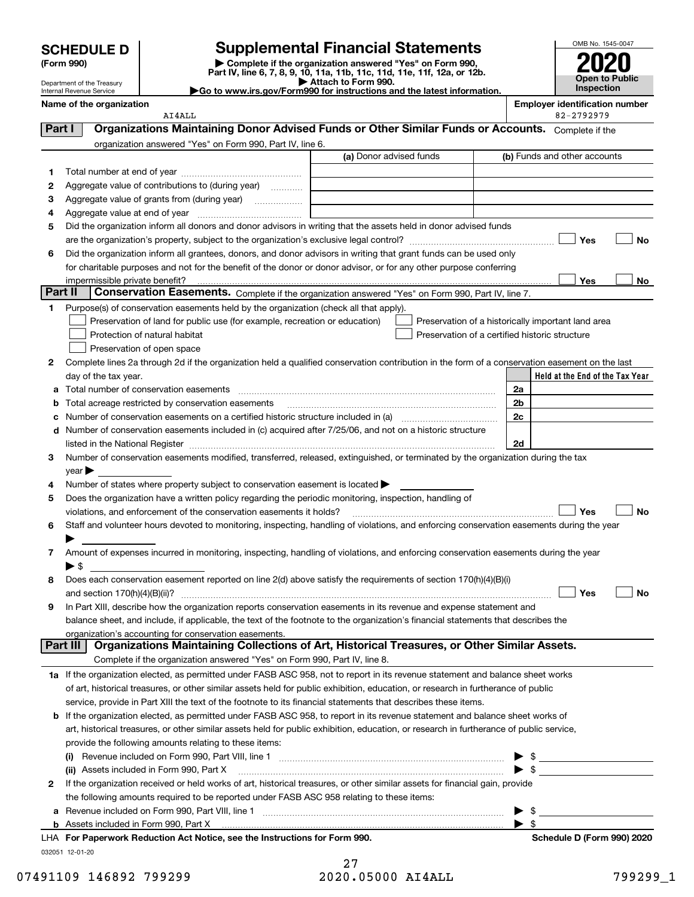# **SCHEDULE D Supplemental Financial Statements**

(Form 990)<br>
Pepartment of the Treasury<br>
Department of the Treasury<br>
Department of the Treasury<br>
Department of the Treasury<br> **Co to www.irs.gov/Form990 for instructions and the latest information.**<br> **Co to www.irs.gov/Form9** 



Department of the Treasury Internal Revenue Service

**Name of the organization Employer identification number**

|         | name or the organization<br>AI4ALL                                                                                                                                                                                                                  |                         | Eilipiover luelitilitation number<br>82-2792979    |
|---------|-----------------------------------------------------------------------------------------------------------------------------------------------------------------------------------------------------------------------------------------------------|-------------------------|----------------------------------------------------|
| Part I  | Organizations Maintaining Donor Advised Funds or Other Similar Funds or Accounts. Complete if the                                                                                                                                                   |                         |                                                    |
|         | organization answered "Yes" on Form 990, Part IV, line 6.                                                                                                                                                                                           |                         |                                                    |
|         |                                                                                                                                                                                                                                                     | (a) Donor advised funds | (b) Funds and other accounts                       |
| 1.      |                                                                                                                                                                                                                                                     |                         |                                                    |
| 2       | Aggregate value of contributions to (during year)                                                                                                                                                                                                   |                         |                                                    |
| з       | Aggregate value of grants from (during year)                                                                                                                                                                                                        |                         |                                                    |
| 4       |                                                                                                                                                                                                                                                     |                         |                                                    |
| 5       | Did the organization inform all donors and donor advisors in writing that the assets held in donor advised funds                                                                                                                                    |                         |                                                    |
|         | are the organization's property, subject to the organization's exclusive legal control? <i>manual control</i> contents                                                                                                                              |                         | Yes<br>No                                          |
| 6       | Did the organization inform all grantees, donors, and donor advisors in writing that grant funds can be used only                                                                                                                                   |                         |                                                    |
|         | for charitable purposes and not for the benefit of the donor or donor advisor, or for any other purpose conferring                                                                                                                                  |                         |                                                    |
|         | impermissible private benefit?                                                                                                                                                                                                                      |                         | Yes<br>No                                          |
| Part II | Conservation Easements. Complete if the organization answered "Yes" on Form 990, Part IV, line 7.                                                                                                                                                   |                         |                                                    |
| 1       | Purpose(s) of conservation easements held by the organization (check all that apply).                                                                                                                                                               |                         |                                                    |
|         | Preservation of land for public use (for example, recreation or education)                                                                                                                                                                          |                         | Preservation of a historically important land area |
|         | Protection of natural habitat                                                                                                                                                                                                                       |                         | Preservation of a certified historic structure     |
|         | Preservation of open space                                                                                                                                                                                                                          |                         |                                                    |
| 2       | Complete lines 2a through 2d if the organization held a qualified conservation contribution in the form of a conservation easement on the last                                                                                                      |                         |                                                    |
|         | day of the tax year.                                                                                                                                                                                                                                |                         | Held at the End of the Tax Year                    |
| a       | Total number of conservation easements                                                                                                                                                                                                              |                         | 2a                                                 |
| b       | Total acreage restricted by conservation easements<br>Number of conservation easements on a certified historic structure included in (a) manufacture included in (a)                                                                                |                         | 2 <sub>b</sub><br>2c                               |
| с<br>d  | Number of conservation easements included in (c) acquired after 7/25/06, and not on a historic structure                                                                                                                                            |                         |                                                    |
|         | listed in the National Register [111] Marshall Register [11] Marshall Register [11] Marshall Register [11] Marshall Register [11] Marshall Register [11] Marshall Register [11] Marshall Register [11] Marshall Register [11]                       |                         | 2d                                                 |
| 3.      | Number of conservation easements modified, transferred, released, extinguished, or terminated by the organization during the tax                                                                                                                    |                         |                                                    |
|         | $\gamma$ ear                                                                                                                                                                                                                                        |                         |                                                    |
| 4       | Number of states where property subject to conservation easement is located >                                                                                                                                                                       |                         |                                                    |
| 5       | Does the organization have a written policy regarding the periodic monitoring, inspection, handling of                                                                                                                                              |                         |                                                    |
|         | violations, and enforcement of the conservation easements it holds?                                                                                                                                                                                 |                         | Yes<br>No                                          |
| 6       | Staff and volunteer hours devoted to monitoring, inspecting, handling of violations, and enforcing conservation easements during the year                                                                                                           |                         |                                                    |
|         |                                                                                                                                                                                                                                                     |                         |                                                    |
| 7       | Amount of expenses incurred in monitoring, inspecting, handling of violations, and enforcing conservation easements during the year                                                                                                                 |                         |                                                    |
|         | ▶ \$                                                                                                                                                                                                                                                |                         |                                                    |
| 8       | Does each conservation easement reported on line 2(d) above satisfy the requirements of section 170(h)(4)(B)(i)                                                                                                                                     |                         |                                                    |
|         | and section $170(h)(4)(B)(ii)?$                                                                                                                                                                                                                     |                         | Yes<br>No                                          |
| 9       | In Part XIII, describe how the organization reports conservation easements in its revenue and expense statement and                                                                                                                                 |                         |                                                    |
|         | balance sheet, and include, if applicable, the text of the footnote to the organization's financial statements that describes the                                                                                                                   |                         |                                                    |
|         | organization's accounting for conservation easements.                                                                                                                                                                                               |                         |                                                    |
|         | Organizations Maintaining Collections of Art, Historical Treasures, or Other Similar Assets.<br>Part III                                                                                                                                            |                         |                                                    |
|         | Complete if the organization answered "Yes" on Form 990, Part IV, line 8.                                                                                                                                                                           |                         |                                                    |
|         | 1a If the organization elected, as permitted under FASB ASC 958, not to report in its revenue statement and balance sheet works                                                                                                                     |                         |                                                    |
|         | of art, historical treasures, or other similar assets held for public exhibition, education, or research in furtherance of public<br>service, provide in Part XIII the text of the footnote to its financial statements that describes these items. |                         |                                                    |
|         | b If the organization elected, as permitted under FASB ASC 958, to report in its revenue statement and balance sheet works of                                                                                                                       |                         |                                                    |
|         | art, historical treasures, or other similar assets held for public exhibition, education, or research in furtherance of public service,                                                                                                             |                         |                                                    |
|         | provide the following amounts relating to these items:                                                                                                                                                                                              |                         |                                                    |
|         |                                                                                                                                                                                                                                                     |                         | $\triangleright$ \$                                |
|         |                                                                                                                                                                                                                                                     |                         | $\triangleright$ \$                                |
| 2       | If the organization received or held works of art, historical treasures, or other similar assets for financial gain, provide                                                                                                                        |                         |                                                    |
|         | the following amounts required to be reported under FASB ASC 958 relating to these items:                                                                                                                                                           |                         |                                                    |
| a       |                                                                                                                                                                                                                                                     |                         | $\triangleright$ \$                                |
|         |                                                                                                                                                                                                                                                     |                         | $\blacktriangleright$ \$                           |

032051 12-01-20 **For Paperwork Reduction Act Notice, see the Instructions for Form 990. Schedule D (Form 990) 2020** LHA

27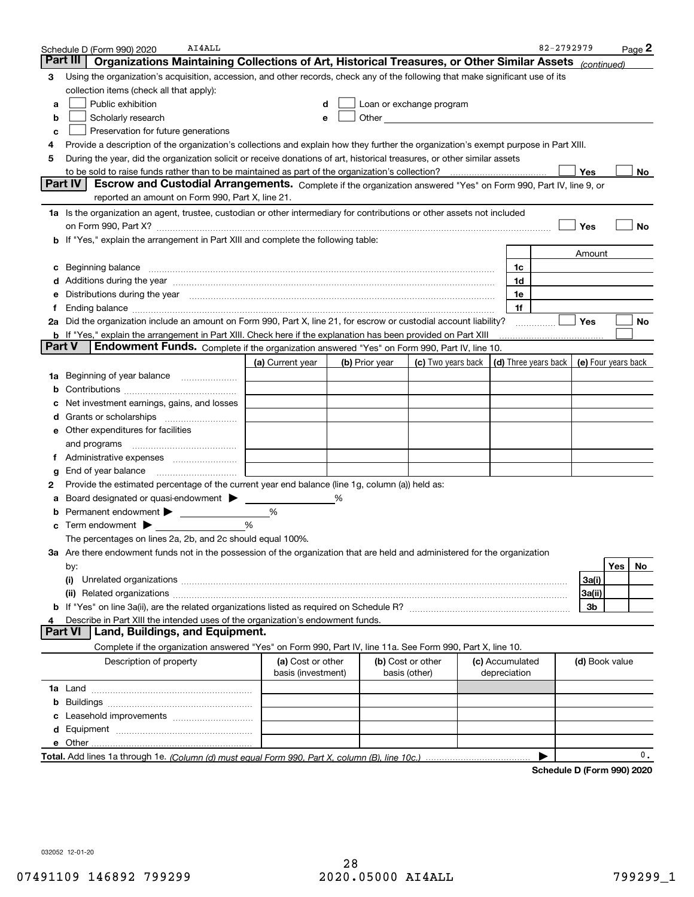| Part III<br>Organizations Maintaining Collections of Art, Historical Treasures, or Other Similar Assets<br>(continued)<br>Using the organization's acquisition, accession, and other records, check any of the following that make significant use of its<br>З<br>collection items (check all that apply):<br>Public exhibition<br>Loan or exchange program<br>а<br>d<br>Scholarly research<br>b<br>Preservation for future generations<br>c<br>Provide a description of the organization's collections and explain how they further the organization's exempt purpose in Part XIII.<br>4<br>During the year, did the organization solicit or receive donations of art, historical treasures, or other similar assets<br>5<br>Yes<br>to be sold to raise funds rather than to be maintained as part of the organization's collection?<br><b>Part IV</b><br>Escrow and Custodial Arrangements. Complete if the organization answered "Yes" on Form 990, Part IV, line 9, or<br>reported an amount on Form 990, Part X, line 21.<br>1a Is the organization an agent, trustee, custodian or other intermediary for contributions or other assets not included<br>Yes<br>b If "Yes," explain the arrangement in Part XIII and complete the following table:<br>Amount<br>1c<br>1d<br>Additions during the year manufactured and an account of the year and account of the year manufactured and account of the year and account of the year and account of the year and account of the state of the state of the st<br>Distributions during the year manufactured and continuum control of the year manufactured and the year manufactured and the year manufactured and the year manufactured and the year manufactured and the year manufactured an<br>1e<br>1f<br>Ending balance manufacture contract contract contract contract contract contract contract contract contract contract contract contract contract contract contract contract contract contract contract contract contract contra<br>Ť<br>Yes<br>2a Did the organization include an amount on Form 990, Part X, line 21, for escrow or custodial account liability?<br>b If "Yes," explain the arrangement in Part XIII. Check here if the explanation has been provided on Part XIII<br>Part V<br>Endowment Funds. Complete if the organization answered "Yes" on Form 990, Part IV, line 10.<br>(c) Two years back $ $ (d) Three years back $ $<br>(a) Current year<br>(e) Four years back<br>(b) Prior year<br>Beginning of year balance<br>1a<br>Net investment earnings, gains, and losses<br>e Other expenditures for facilities<br>and programs<br>Ť.<br>End of year balance<br>Provide the estimated percentage of the current year end balance (line 1g, column (a)) held as:<br>2<br>Board designated or quasi-endowment<br>%<br>Permanent endowment<br>%<br>%<br>Term endowment $\blacktriangleright$<br>с<br>The percentages on lines 2a, 2b, and 2c should equal 100%.<br>3a Are there endowment funds not in the possession of the organization that are held and administered for the organization<br>Yes<br>by:<br>3a(i)<br>(i)<br>3a(ii)<br>3b<br>Describe in Part XIII the intended uses of the organization's endowment funds. | Page <sup>2</sup> |
|-----------------------------------------------------------------------------------------------------------------------------------------------------------------------------------------------------------------------------------------------------------------------------------------------------------------------------------------------------------------------------------------------------------------------------------------------------------------------------------------------------------------------------------------------------------------------------------------------------------------------------------------------------------------------------------------------------------------------------------------------------------------------------------------------------------------------------------------------------------------------------------------------------------------------------------------------------------------------------------------------------------------------------------------------------------------------------------------------------------------------------------------------------------------------------------------------------------------------------------------------------------------------------------------------------------------------------------------------------------------------------------------------------------------------------------------------------------------------------------------------------------------------------------------------------------------------------------------------------------------------------------------------------------------------------------------------------------------------------------------------------------------------------------------------------------------------------------------------------------------------------------------------------------------------------------------------------------------------------------------------------------------------------------------------------------------------------------------------------------------------------------------------------------------------------------------------------------------------------------------------------------------------------------------------------------------------------------------------------------------------------------------------------------------------------------------------------------------------------------------------------------------------------------------------------------------------------------------------------------------------------------------------------------------------------------------------------------------------------------------------------------------------------------------------------------------------------------------------------------------------------------------------------------------------------------------------------------------------------------------------------------------------------------------------------------------------------------------------------------------------------------------------------------------------------------------------------------------|-------------------|
|                                                                                                                                                                                                                                                                                                                                                                                                                                                                                                                                                                                                                                                                                                                                                                                                                                                                                                                                                                                                                                                                                                                                                                                                                                                                                                                                                                                                                                                                                                                                                                                                                                                                                                                                                                                                                                                                                                                                                                                                                                                                                                                                                                                                                                                                                                                                                                                                                                                                                                                                                                                                                                                                                                                                                                                                                                                                                                                                                                                                                                                                                                                                                                                                                 |                   |
|                                                                                                                                                                                                                                                                                                                                                                                                                                                                                                                                                                                                                                                                                                                                                                                                                                                                                                                                                                                                                                                                                                                                                                                                                                                                                                                                                                                                                                                                                                                                                                                                                                                                                                                                                                                                                                                                                                                                                                                                                                                                                                                                                                                                                                                                                                                                                                                                                                                                                                                                                                                                                                                                                                                                                                                                                                                                                                                                                                                                                                                                                                                                                                                                                 |                   |
|                                                                                                                                                                                                                                                                                                                                                                                                                                                                                                                                                                                                                                                                                                                                                                                                                                                                                                                                                                                                                                                                                                                                                                                                                                                                                                                                                                                                                                                                                                                                                                                                                                                                                                                                                                                                                                                                                                                                                                                                                                                                                                                                                                                                                                                                                                                                                                                                                                                                                                                                                                                                                                                                                                                                                                                                                                                                                                                                                                                                                                                                                                                                                                                                                 |                   |
|                                                                                                                                                                                                                                                                                                                                                                                                                                                                                                                                                                                                                                                                                                                                                                                                                                                                                                                                                                                                                                                                                                                                                                                                                                                                                                                                                                                                                                                                                                                                                                                                                                                                                                                                                                                                                                                                                                                                                                                                                                                                                                                                                                                                                                                                                                                                                                                                                                                                                                                                                                                                                                                                                                                                                                                                                                                                                                                                                                                                                                                                                                                                                                                                                 |                   |
|                                                                                                                                                                                                                                                                                                                                                                                                                                                                                                                                                                                                                                                                                                                                                                                                                                                                                                                                                                                                                                                                                                                                                                                                                                                                                                                                                                                                                                                                                                                                                                                                                                                                                                                                                                                                                                                                                                                                                                                                                                                                                                                                                                                                                                                                                                                                                                                                                                                                                                                                                                                                                                                                                                                                                                                                                                                                                                                                                                                                                                                                                                                                                                                                                 |                   |
|                                                                                                                                                                                                                                                                                                                                                                                                                                                                                                                                                                                                                                                                                                                                                                                                                                                                                                                                                                                                                                                                                                                                                                                                                                                                                                                                                                                                                                                                                                                                                                                                                                                                                                                                                                                                                                                                                                                                                                                                                                                                                                                                                                                                                                                                                                                                                                                                                                                                                                                                                                                                                                                                                                                                                                                                                                                                                                                                                                                                                                                                                                                                                                                                                 |                   |
|                                                                                                                                                                                                                                                                                                                                                                                                                                                                                                                                                                                                                                                                                                                                                                                                                                                                                                                                                                                                                                                                                                                                                                                                                                                                                                                                                                                                                                                                                                                                                                                                                                                                                                                                                                                                                                                                                                                                                                                                                                                                                                                                                                                                                                                                                                                                                                                                                                                                                                                                                                                                                                                                                                                                                                                                                                                                                                                                                                                                                                                                                                                                                                                                                 |                   |
|                                                                                                                                                                                                                                                                                                                                                                                                                                                                                                                                                                                                                                                                                                                                                                                                                                                                                                                                                                                                                                                                                                                                                                                                                                                                                                                                                                                                                                                                                                                                                                                                                                                                                                                                                                                                                                                                                                                                                                                                                                                                                                                                                                                                                                                                                                                                                                                                                                                                                                                                                                                                                                                                                                                                                                                                                                                                                                                                                                                                                                                                                                                                                                                                                 |                   |
|                                                                                                                                                                                                                                                                                                                                                                                                                                                                                                                                                                                                                                                                                                                                                                                                                                                                                                                                                                                                                                                                                                                                                                                                                                                                                                                                                                                                                                                                                                                                                                                                                                                                                                                                                                                                                                                                                                                                                                                                                                                                                                                                                                                                                                                                                                                                                                                                                                                                                                                                                                                                                                                                                                                                                                                                                                                                                                                                                                                                                                                                                                                                                                                                                 | No                |
|                                                                                                                                                                                                                                                                                                                                                                                                                                                                                                                                                                                                                                                                                                                                                                                                                                                                                                                                                                                                                                                                                                                                                                                                                                                                                                                                                                                                                                                                                                                                                                                                                                                                                                                                                                                                                                                                                                                                                                                                                                                                                                                                                                                                                                                                                                                                                                                                                                                                                                                                                                                                                                                                                                                                                                                                                                                                                                                                                                                                                                                                                                                                                                                                                 |                   |
|                                                                                                                                                                                                                                                                                                                                                                                                                                                                                                                                                                                                                                                                                                                                                                                                                                                                                                                                                                                                                                                                                                                                                                                                                                                                                                                                                                                                                                                                                                                                                                                                                                                                                                                                                                                                                                                                                                                                                                                                                                                                                                                                                                                                                                                                                                                                                                                                                                                                                                                                                                                                                                                                                                                                                                                                                                                                                                                                                                                                                                                                                                                                                                                                                 |                   |
|                                                                                                                                                                                                                                                                                                                                                                                                                                                                                                                                                                                                                                                                                                                                                                                                                                                                                                                                                                                                                                                                                                                                                                                                                                                                                                                                                                                                                                                                                                                                                                                                                                                                                                                                                                                                                                                                                                                                                                                                                                                                                                                                                                                                                                                                                                                                                                                                                                                                                                                                                                                                                                                                                                                                                                                                                                                                                                                                                                                                                                                                                                                                                                                                                 |                   |
|                                                                                                                                                                                                                                                                                                                                                                                                                                                                                                                                                                                                                                                                                                                                                                                                                                                                                                                                                                                                                                                                                                                                                                                                                                                                                                                                                                                                                                                                                                                                                                                                                                                                                                                                                                                                                                                                                                                                                                                                                                                                                                                                                                                                                                                                                                                                                                                                                                                                                                                                                                                                                                                                                                                                                                                                                                                                                                                                                                                                                                                                                                                                                                                                                 | No                |
|                                                                                                                                                                                                                                                                                                                                                                                                                                                                                                                                                                                                                                                                                                                                                                                                                                                                                                                                                                                                                                                                                                                                                                                                                                                                                                                                                                                                                                                                                                                                                                                                                                                                                                                                                                                                                                                                                                                                                                                                                                                                                                                                                                                                                                                                                                                                                                                                                                                                                                                                                                                                                                                                                                                                                                                                                                                                                                                                                                                                                                                                                                                                                                                                                 |                   |
|                                                                                                                                                                                                                                                                                                                                                                                                                                                                                                                                                                                                                                                                                                                                                                                                                                                                                                                                                                                                                                                                                                                                                                                                                                                                                                                                                                                                                                                                                                                                                                                                                                                                                                                                                                                                                                                                                                                                                                                                                                                                                                                                                                                                                                                                                                                                                                                                                                                                                                                                                                                                                                                                                                                                                                                                                                                                                                                                                                                                                                                                                                                                                                                                                 |                   |
|                                                                                                                                                                                                                                                                                                                                                                                                                                                                                                                                                                                                                                                                                                                                                                                                                                                                                                                                                                                                                                                                                                                                                                                                                                                                                                                                                                                                                                                                                                                                                                                                                                                                                                                                                                                                                                                                                                                                                                                                                                                                                                                                                                                                                                                                                                                                                                                                                                                                                                                                                                                                                                                                                                                                                                                                                                                                                                                                                                                                                                                                                                                                                                                                                 |                   |
|                                                                                                                                                                                                                                                                                                                                                                                                                                                                                                                                                                                                                                                                                                                                                                                                                                                                                                                                                                                                                                                                                                                                                                                                                                                                                                                                                                                                                                                                                                                                                                                                                                                                                                                                                                                                                                                                                                                                                                                                                                                                                                                                                                                                                                                                                                                                                                                                                                                                                                                                                                                                                                                                                                                                                                                                                                                                                                                                                                                                                                                                                                                                                                                                                 |                   |
|                                                                                                                                                                                                                                                                                                                                                                                                                                                                                                                                                                                                                                                                                                                                                                                                                                                                                                                                                                                                                                                                                                                                                                                                                                                                                                                                                                                                                                                                                                                                                                                                                                                                                                                                                                                                                                                                                                                                                                                                                                                                                                                                                                                                                                                                                                                                                                                                                                                                                                                                                                                                                                                                                                                                                                                                                                                                                                                                                                                                                                                                                                                                                                                                                 |                   |
|                                                                                                                                                                                                                                                                                                                                                                                                                                                                                                                                                                                                                                                                                                                                                                                                                                                                                                                                                                                                                                                                                                                                                                                                                                                                                                                                                                                                                                                                                                                                                                                                                                                                                                                                                                                                                                                                                                                                                                                                                                                                                                                                                                                                                                                                                                                                                                                                                                                                                                                                                                                                                                                                                                                                                                                                                                                                                                                                                                                                                                                                                                                                                                                                                 | No                |
|                                                                                                                                                                                                                                                                                                                                                                                                                                                                                                                                                                                                                                                                                                                                                                                                                                                                                                                                                                                                                                                                                                                                                                                                                                                                                                                                                                                                                                                                                                                                                                                                                                                                                                                                                                                                                                                                                                                                                                                                                                                                                                                                                                                                                                                                                                                                                                                                                                                                                                                                                                                                                                                                                                                                                                                                                                                                                                                                                                                                                                                                                                                                                                                                                 |                   |
|                                                                                                                                                                                                                                                                                                                                                                                                                                                                                                                                                                                                                                                                                                                                                                                                                                                                                                                                                                                                                                                                                                                                                                                                                                                                                                                                                                                                                                                                                                                                                                                                                                                                                                                                                                                                                                                                                                                                                                                                                                                                                                                                                                                                                                                                                                                                                                                                                                                                                                                                                                                                                                                                                                                                                                                                                                                                                                                                                                                                                                                                                                                                                                                                                 |                   |
|                                                                                                                                                                                                                                                                                                                                                                                                                                                                                                                                                                                                                                                                                                                                                                                                                                                                                                                                                                                                                                                                                                                                                                                                                                                                                                                                                                                                                                                                                                                                                                                                                                                                                                                                                                                                                                                                                                                                                                                                                                                                                                                                                                                                                                                                                                                                                                                                                                                                                                                                                                                                                                                                                                                                                                                                                                                                                                                                                                                                                                                                                                                                                                                                                 |                   |
|                                                                                                                                                                                                                                                                                                                                                                                                                                                                                                                                                                                                                                                                                                                                                                                                                                                                                                                                                                                                                                                                                                                                                                                                                                                                                                                                                                                                                                                                                                                                                                                                                                                                                                                                                                                                                                                                                                                                                                                                                                                                                                                                                                                                                                                                                                                                                                                                                                                                                                                                                                                                                                                                                                                                                                                                                                                                                                                                                                                                                                                                                                                                                                                                                 |                   |
|                                                                                                                                                                                                                                                                                                                                                                                                                                                                                                                                                                                                                                                                                                                                                                                                                                                                                                                                                                                                                                                                                                                                                                                                                                                                                                                                                                                                                                                                                                                                                                                                                                                                                                                                                                                                                                                                                                                                                                                                                                                                                                                                                                                                                                                                                                                                                                                                                                                                                                                                                                                                                                                                                                                                                                                                                                                                                                                                                                                                                                                                                                                                                                                                                 |                   |
|                                                                                                                                                                                                                                                                                                                                                                                                                                                                                                                                                                                                                                                                                                                                                                                                                                                                                                                                                                                                                                                                                                                                                                                                                                                                                                                                                                                                                                                                                                                                                                                                                                                                                                                                                                                                                                                                                                                                                                                                                                                                                                                                                                                                                                                                                                                                                                                                                                                                                                                                                                                                                                                                                                                                                                                                                                                                                                                                                                                                                                                                                                                                                                                                                 |                   |
|                                                                                                                                                                                                                                                                                                                                                                                                                                                                                                                                                                                                                                                                                                                                                                                                                                                                                                                                                                                                                                                                                                                                                                                                                                                                                                                                                                                                                                                                                                                                                                                                                                                                                                                                                                                                                                                                                                                                                                                                                                                                                                                                                                                                                                                                                                                                                                                                                                                                                                                                                                                                                                                                                                                                                                                                                                                                                                                                                                                                                                                                                                                                                                                                                 |                   |
|                                                                                                                                                                                                                                                                                                                                                                                                                                                                                                                                                                                                                                                                                                                                                                                                                                                                                                                                                                                                                                                                                                                                                                                                                                                                                                                                                                                                                                                                                                                                                                                                                                                                                                                                                                                                                                                                                                                                                                                                                                                                                                                                                                                                                                                                                                                                                                                                                                                                                                                                                                                                                                                                                                                                                                                                                                                                                                                                                                                                                                                                                                                                                                                                                 |                   |
|                                                                                                                                                                                                                                                                                                                                                                                                                                                                                                                                                                                                                                                                                                                                                                                                                                                                                                                                                                                                                                                                                                                                                                                                                                                                                                                                                                                                                                                                                                                                                                                                                                                                                                                                                                                                                                                                                                                                                                                                                                                                                                                                                                                                                                                                                                                                                                                                                                                                                                                                                                                                                                                                                                                                                                                                                                                                                                                                                                                                                                                                                                                                                                                                                 |                   |
|                                                                                                                                                                                                                                                                                                                                                                                                                                                                                                                                                                                                                                                                                                                                                                                                                                                                                                                                                                                                                                                                                                                                                                                                                                                                                                                                                                                                                                                                                                                                                                                                                                                                                                                                                                                                                                                                                                                                                                                                                                                                                                                                                                                                                                                                                                                                                                                                                                                                                                                                                                                                                                                                                                                                                                                                                                                                                                                                                                                                                                                                                                                                                                                                                 |                   |
|                                                                                                                                                                                                                                                                                                                                                                                                                                                                                                                                                                                                                                                                                                                                                                                                                                                                                                                                                                                                                                                                                                                                                                                                                                                                                                                                                                                                                                                                                                                                                                                                                                                                                                                                                                                                                                                                                                                                                                                                                                                                                                                                                                                                                                                                                                                                                                                                                                                                                                                                                                                                                                                                                                                                                                                                                                                                                                                                                                                                                                                                                                                                                                                                                 |                   |
|                                                                                                                                                                                                                                                                                                                                                                                                                                                                                                                                                                                                                                                                                                                                                                                                                                                                                                                                                                                                                                                                                                                                                                                                                                                                                                                                                                                                                                                                                                                                                                                                                                                                                                                                                                                                                                                                                                                                                                                                                                                                                                                                                                                                                                                                                                                                                                                                                                                                                                                                                                                                                                                                                                                                                                                                                                                                                                                                                                                                                                                                                                                                                                                                                 |                   |
|                                                                                                                                                                                                                                                                                                                                                                                                                                                                                                                                                                                                                                                                                                                                                                                                                                                                                                                                                                                                                                                                                                                                                                                                                                                                                                                                                                                                                                                                                                                                                                                                                                                                                                                                                                                                                                                                                                                                                                                                                                                                                                                                                                                                                                                                                                                                                                                                                                                                                                                                                                                                                                                                                                                                                                                                                                                                                                                                                                                                                                                                                                                                                                                                                 |                   |
|                                                                                                                                                                                                                                                                                                                                                                                                                                                                                                                                                                                                                                                                                                                                                                                                                                                                                                                                                                                                                                                                                                                                                                                                                                                                                                                                                                                                                                                                                                                                                                                                                                                                                                                                                                                                                                                                                                                                                                                                                                                                                                                                                                                                                                                                                                                                                                                                                                                                                                                                                                                                                                                                                                                                                                                                                                                                                                                                                                                                                                                                                                                                                                                                                 |                   |
|                                                                                                                                                                                                                                                                                                                                                                                                                                                                                                                                                                                                                                                                                                                                                                                                                                                                                                                                                                                                                                                                                                                                                                                                                                                                                                                                                                                                                                                                                                                                                                                                                                                                                                                                                                                                                                                                                                                                                                                                                                                                                                                                                                                                                                                                                                                                                                                                                                                                                                                                                                                                                                                                                                                                                                                                                                                                                                                                                                                                                                                                                                                                                                                                                 |                   |
|                                                                                                                                                                                                                                                                                                                                                                                                                                                                                                                                                                                                                                                                                                                                                                                                                                                                                                                                                                                                                                                                                                                                                                                                                                                                                                                                                                                                                                                                                                                                                                                                                                                                                                                                                                                                                                                                                                                                                                                                                                                                                                                                                                                                                                                                                                                                                                                                                                                                                                                                                                                                                                                                                                                                                                                                                                                                                                                                                                                                                                                                                                                                                                                                                 |                   |
|                                                                                                                                                                                                                                                                                                                                                                                                                                                                                                                                                                                                                                                                                                                                                                                                                                                                                                                                                                                                                                                                                                                                                                                                                                                                                                                                                                                                                                                                                                                                                                                                                                                                                                                                                                                                                                                                                                                                                                                                                                                                                                                                                                                                                                                                                                                                                                                                                                                                                                                                                                                                                                                                                                                                                                                                                                                                                                                                                                                                                                                                                                                                                                                                                 |                   |
|                                                                                                                                                                                                                                                                                                                                                                                                                                                                                                                                                                                                                                                                                                                                                                                                                                                                                                                                                                                                                                                                                                                                                                                                                                                                                                                                                                                                                                                                                                                                                                                                                                                                                                                                                                                                                                                                                                                                                                                                                                                                                                                                                                                                                                                                                                                                                                                                                                                                                                                                                                                                                                                                                                                                                                                                                                                                                                                                                                                                                                                                                                                                                                                                                 | No                |
|                                                                                                                                                                                                                                                                                                                                                                                                                                                                                                                                                                                                                                                                                                                                                                                                                                                                                                                                                                                                                                                                                                                                                                                                                                                                                                                                                                                                                                                                                                                                                                                                                                                                                                                                                                                                                                                                                                                                                                                                                                                                                                                                                                                                                                                                                                                                                                                                                                                                                                                                                                                                                                                                                                                                                                                                                                                                                                                                                                                                                                                                                                                                                                                                                 |                   |
|                                                                                                                                                                                                                                                                                                                                                                                                                                                                                                                                                                                                                                                                                                                                                                                                                                                                                                                                                                                                                                                                                                                                                                                                                                                                                                                                                                                                                                                                                                                                                                                                                                                                                                                                                                                                                                                                                                                                                                                                                                                                                                                                                                                                                                                                                                                                                                                                                                                                                                                                                                                                                                                                                                                                                                                                                                                                                                                                                                                                                                                                                                                                                                                                                 |                   |
|                                                                                                                                                                                                                                                                                                                                                                                                                                                                                                                                                                                                                                                                                                                                                                                                                                                                                                                                                                                                                                                                                                                                                                                                                                                                                                                                                                                                                                                                                                                                                                                                                                                                                                                                                                                                                                                                                                                                                                                                                                                                                                                                                                                                                                                                                                                                                                                                                                                                                                                                                                                                                                                                                                                                                                                                                                                                                                                                                                                                                                                                                                                                                                                                                 |                   |
|                                                                                                                                                                                                                                                                                                                                                                                                                                                                                                                                                                                                                                                                                                                                                                                                                                                                                                                                                                                                                                                                                                                                                                                                                                                                                                                                                                                                                                                                                                                                                                                                                                                                                                                                                                                                                                                                                                                                                                                                                                                                                                                                                                                                                                                                                                                                                                                                                                                                                                                                                                                                                                                                                                                                                                                                                                                                                                                                                                                                                                                                                                                                                                                                                 |                   |
| Land, Buildings, and Equipment.<br>Part VI                                                                                                                                                                                                                                                                                                                                                                                                                                                                                                                                                                                                                                                                                                                                                                                                                                                                                                                                                                                                                                                                                                                                                                                                                                                                                                                                                                                                                                                                                                                                                                                                                                                                                                                                                                                                                                                                                                                                                                                                                                                                                                                                                                                                                                                                                                                                                                                                                                                                                                                                                                                                                                                                                                                                                                                                                                                                                                                                                                                                                                                                                                                                                                      |                   |
| Complete if the organization answered "Yes" on Form 990, Part IV, line 11a. See Form 990, Part X, line 10.                                                                                                                                                                                                                                                                                                                                                                                                                                                                                                                                                                                                                                                                                                                                                                                                                                                                                                                                                                                                                                                                                                                                                                                                                                                                                                                                                                                                                                                                                                                                                                                                                                                                                                                                                                                                                                                                                                                                                                                                                                                                                                                                                                                                                                                                                                                                                                                                                                                                                                                                                                                                                                                                                                                                                                                                                                                                                                                                                                                                                                                                                                      |                   |
| Description of property<br>(a) Cost or other<br>(b) Cost or other<br>(c) Accumulated<br>(d) Book value<br>basis (investment)<br>basis (other)<br>depreciation                                                                                                                                                                                                                                                                                                                                                                                                                                                                                                                                                                                                                                                                                                                                                                                                                                                                                                                                                                                                                                                                                                                                                                                                                                                                                                                                                                                                                                                                                                                                                                                                                                                                                                                                                                                                                                                                                                                                                                                                                                                                                                                                                                                                                                                                                                                                                                                                                                                                                                                                                                                                                                                                                                                                                                                                                                                                                                                                                                                                                                                   |                   |
|                                                                                                                                                                                                                                                                                                                                                                                                                                                                                                                                                                                                                                                                                                                                                                                                                                                                                                                                                                                                                                                                                                                                                                                                                                                                                                                                                                                                                                                                                                                                                                                                                                                                                                                                                                                                                                                                                                                                                                                                                                                                                                                                                                                                                                                                                                                                                                                                                                                                                                                                                                                                                                                                                                                                                                                                                                                                                                                                                                                                                                                                                                                                                                                                                 |                   |
| b                                                                                                                                                                                                                                                                                                                                                                                                                                                                                                                                                                                                                                                                                                                                                                                                                                                                                                                                                                                                                                                                                                                                                                                                                                                                                                                                                                                                                                                                                                                                                                                                                                                                                                                                                                                                                                                                                                                                                                                                                                                                                                                                                                                                                                                                                                                                                                                                                                                                                                                                                                                                                                                                                                                                                                                                                                                                                                                                                                                                                                                                                                                                                                                                               |                   |
|                                                                                                                                                                                                                                                                                                                                                                                                                                                                                                                                                                                                                                                                                                                                                                                                                                                                                                                                                                                                                                                                                                                                                                                                                                                                                                                                                                                                                                                                                                                                                                                                                                                                                                                                                                                                                                                                                                                                                                                                                                                                                                                                                                                                                                                                                                                                                                                                                                                                                                                                                                                                                                                                                                                                                                                                                                                                                                                                                                                                                                                                                                                                                                                                                 |                   |
|                                                                                                                                                                                                                                                                                                                                                                                                                                                                                                                                                                                                                                                                                                                                                                                                                                                                                                                                                                                                                                                                                                                                                                                                                                                                                                                                                                                                                                                                                                                                                                                                                                                                                                                                                                                                                                                                                                                                                                                                                                                                                                                                                                                                                                                                                                                                                                                                                                                                                                                                                                                                                                                                                                                                                                                                                                                                                                                                                                                                                                                                                                                                                                                                                 |                   |
|                                                                                                                                                                                                                                                                                                                                                                                                                                                                                                                                                                                                                                                                                                                                                                                                                                                                                                                                                                                                                                                                                                                                                                                                                                                                                                                                                                                                                                                                                                                                                                                                                                                                                                                                                                                                                                                                                                                                                                                                                                                                                                                                                                                                                                                                                                                                                                                                                                                                                                                                                                                                                                                                                                                                                                                                                                                                                                                                                                                                                                                                                                                                                                                                                 |                   |
|                                                                                                                                                                                                                                                                                                                                                                                                                                                                                                                                                                                                                                                                                                                                                                                                                                                                                                                                                                                                                                                                                                                                                                                                                                                                                                                                                                                                                                                                                                                                                                                                                                                                                                                                                                                                                                                                                                                                                                                                                                                                                                                                                                                                                                                                                                                                                                                                                                                                                                                                                                                                                                                                                                                                                                                                                                                                                                                                                                                                                                                                                                                                                                                                                 | 0.                |

**Schedule D (Form 990) 2020**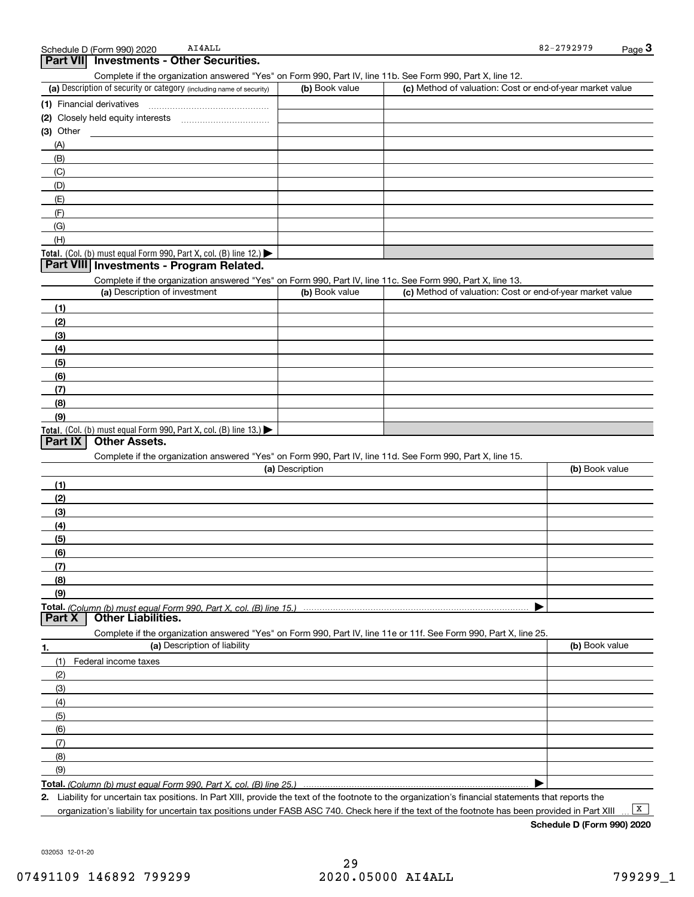|           | chedule D (Form 990) 2020 | AI4ALL                            | -2792979<br>$82 -$ | $P$ aqe $\sim$ |
|-----------|---------------------------|-----------------------------------|--------------------|----------------|
| Part VIII |                           | ' Investments - Other Securities. |                    |                |

Complete if the organization answered "Yes" on Form 990, Part IV, line 11b. See Form 990, Part X, line 12.

| (a) Description of security or category (including name of security) | (b) Book value | (c) Method of valuation: Cost or end-of-year market value |
|----------------------------------------------------------------------|----------------|-----------------------------------------------------------|
| (1) Financial derivatives                                            |                |                                                           |
| (2) Closely held equity interests                                    |                |                                                           |
| $(3)$ Other                                                          |                |                                                           |
| (A)                                                                  |                |                                                           |
| (B)                                                                  |                |                                                           |
| (C)                                                                  |                |                                                           |
| (D)                                                                  |                |                                                           |
| (E)                                                                  |                |                                                           |
| (F)                                                                  |                |                                                           |
| (G)                                                                  |                |                                                           |
| (H)                                                                  |                |                                                           |
| Total. (Col. (b) must equal Form 990, Part X, col. (B) line $12$ .)  |                |                                                           |

#### **Part VIII Investments - Program Related.**

Complete if the organization answered "Yes" on Form 990, Part IV, line 11c. See Form 990, Part X, line 13.

| (a) Description of investment                                                          | (b) Book value | (c) Method of valuation: Cost or end-of-year market value |
|----------------------------------------------------------------------------------------|----------------|-----------------------------------------------------------|
| (1)                                                                                    |                |                                                           |
| (2)                                                                                    |                |                                                           |
| $\frac{1}{2}$                                                                          |                |                                                           |
| (4)                                                                                    |                |                                                           |
| $\frac{1}{2}$                                                                          |                |                                                           |
| (6)                                                                                    |                |                                                           |
| $\sqrt{(7)}$                                                                           |                |                                                           |
| (8)                                                                                    |                |                                                           |
| (9)                                                                                    |                |                                                           |
| Total. (Col. (b) must equal Form 990, Part X, col. (B) line 13.) $\blacktriangleright$ |                |                                                           |

#### **Part IX Other Assets.**

Complete if the organization answered "Yes" on Form 990, Part IV, line 11d. See Form 990, Part X, line 15.

| (a) Description                                                                                                   | (b) Book value   |
|-------------------------------------------------------------------------------------------------------------------|------------------|
| (1)                                                                                                               |                  |
| (2)                                                                                                               |                  |
| $\qquad \qquad (3)$                                                                                               |                  |
| (4)                                                                                                               |                  |
| (5)                                                                                                               |                  |
| (6)                                                                                                               |                  |
| (7)                                                                                                               |                  |
| (8)                                                                                                               |                  |
| (9)                                                                                                               |                  |
|                                                                                                                   |                  |
| Part X<br><b>Other Liabilities.</b>                                                                               |                  |
| Complete if the organization answered "Yes" on Form 990, Part IV, line 11e or 11f. See Form 990, Part X, line 25. |                  |
| (a) Deccription of liability                                                                                      | $\ln$ Rook value |

| 1.                | (a) Description of liability | (b) Book value |
|-------------------|------------------------------|----------------|
| (1)               | Federal income taxes         |                |
| (2)               |                              |                |
| (3)               |                              |                |
| (4)               |                              |                |
| (5)               |                              |                |
| (6)               |                              |                |
| $\left( 7\right)$ |                              |                |
| (8)               |                              |                |
| (9)               |                              |                |
|                   |                              |                |

*(Column (b) must equal Form 990, Part X, col. (B) line 25.)* 

**2.**Liability for uncertain tax positions. In Part XIII, provide the text of the footnote to the organization's financial statements that reports the organization's liability for uncertain tax positions under FASB ASC 740. Check here if the text of the footnote has been provided in Part XIII

 $\boxed{\mathbf{X}}$ 

**Schedule D (Form 990) 2020**

032053 12-01-20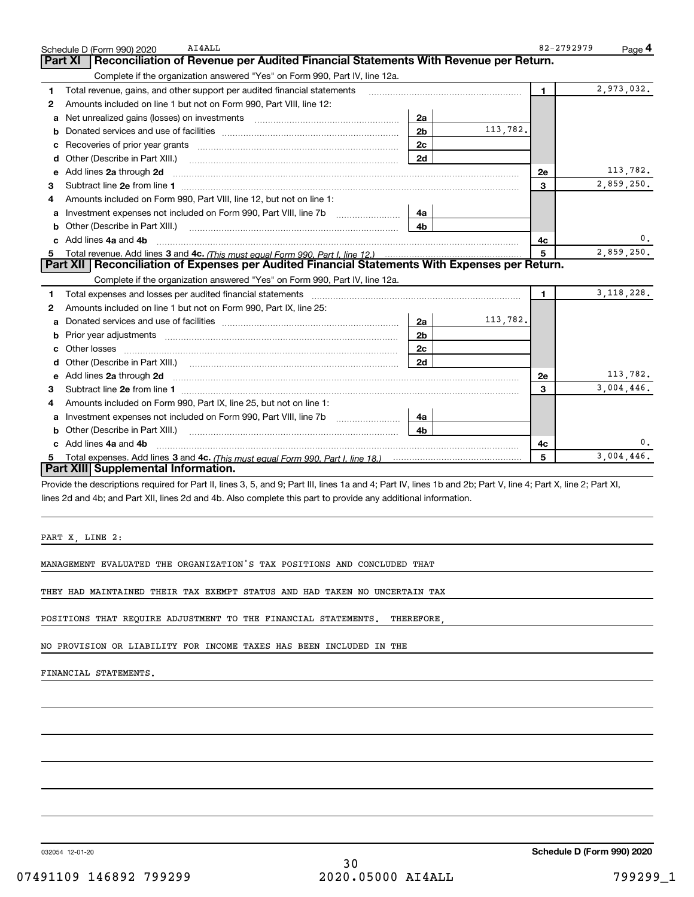|    | AI4ALL<br>Schedule D (Form 990) 2020                                                                                  |                |                                                                                                                                                                                                                                                                                                                                                                                                                                                                                                                                          | 82-2792979     | Page <sup>4</sup> |
|----|-----------------------------------------------------------------------------------------------------------------------|----------------|------------------------------------------------------------------------------------------------------------------------------------------------------------------------------------------------------------------------------------------------------------------------------------------------------------------------------------------------------------------------------------------------------------------------------------------------------------------------------------------------------------------------------------------|----------------|-------------------|
|    | Reconciliation of Revenue per Audited Financial Statements With Revenue per Return.<br>Part XI                        |                |                                                                                                                                                                                                                                                                                                                                                                                                                                                                                                                                          |                |                   |
|    | Complete if the organization answered "Yes" on Form 990, Part IV, line 12a.                                           |                |                                                                                                                                                                                                                                                                                                                                                                                                                                                                                                                                          |                |                   |
| 1  | Total revenue, gains, and other support per audited financial statements                                              |                | $\label{eq:1} \begin{minipage}{0.95\textwidth} \begin{minipage}{0.95\textwidth} \centering \begin{minipage}{0.95\textwidth} \centering \end{minipage} \begin{minipage}{0.95\textwidth} \centering \begin{minipage}{0.95\textwidth} \centering \end{minipage} \begin{minipage}{0.95\textwidth} \centering \end{minipage} \begin{minipage}{0.95\textwidth} \centering \begin{minipage}{0.95\textwidth} \centering \end{minipage} \begin{minipage}{0.95\textwidth} \centering \end{minipage} \begin{minipage}{0.95\textwidth} \centering \$ | $\blacksquare$ | 2,973,032.        |
| 2  | Amounts included on line 1 but not on Form 990, Part VIII, line 12:                                                   |                |                                                                                                                                                                                                                                                                                                                                                                                                                                                                                                                                          |                |                   |
| a  |                                                                                                                       | 2a             |                                                                                                                                                                                                                                                                                                                                                                                                                                                                                                                                          |                |                   |
| b  |                                                                                                                       | 2 <sub>b</sub> | 113,782.                                                                                                                                                                                                                                                                                                                                                                                                                                                                                                                                 |                |                   |
|    |                                                                                                                       | 2c             |                                                                                                                                                                                                                                                                                                                                                                                                                                                                                                                                          |                |                   |
| d  | Other (Describe in Part XIII.) <b>Construction Contract Construction</b> Chern Construction Construction Construction | 2d             |                                                                                                                                                                                                                                                                                                                                                                                                                                                                                                                                          |                |                   |
| е  | Add lines 2a through 2d                                                                                               |                |                                                                                                                                                                                                                                                                                                                                                                                                                                                                                                                                          | <b>2e</b>      | 113,782.          |
| 3  |                                                                                                                       |                |                                                                                                                                                                                                                                                                                                                                                                                                                                                                                                                                          | 3              | 2,859,250.        |
| 4  | Amounts included on Form 990, Part VIII, line 12, but not on line 1:                                                  |                |                                                                                                                                                                                                                                                                                                                                                                                                                                                                                                                                          |                |                   |
|    |                                                                                                                       | 4a             |                                                                                                                                                                                                                                                                                                                                                                                                                                                                                                                                          |                |                   |
| b  |                                                                                                                       | 4b             |                                                                                                                                                                                                                                                                                                                                                                                                                                                                                                                                          |                |                   |
| c. | Add lines 4a and 4b                                                                                                   |                |                                                                                                                                                                                                                                                                                                                                                                                                                                                                                                                                          | 4с             | 0.                |
|    |                                                                                                                       |                |                                                                                                                                                                                                                                                                                                                                                                                                                                                                                                                                          | 5              | 2,859,250.        |
|    | Part XII   Reconciliation of Expenses per Audited Financial Statements With Expenses per Return.                      |                |                                                                                                                                                                                                                                                                                                                                                                                                                                                                                                                                          |                |                   |
|    | Complete if the organization answered "Yes" on Form 990, Part IV, line 12a.                                           |                |                                                                                                                                                                                                                                                                                                                                                                                                                                                                                                                                          |                |                   |
| 1. |                                                                                                                       |                |                                                                                                                                                                                                                                                                                                                                                                                                                                                                                                                                          | $\mathbf{1}$   | 3, 118, 228.      |
| 2  | Amounts included on line 1 but not on Form 990, Part IX, line 25:                                                     |                |                                                                                                                                                                                                                                                                                                                                                                                                                                                                                                                                          |                |                   |
| a  |                                                                                                                       | 2a             | 113,782.                                                                                                                                                                                                                                                                                                                                                                                                                                                                                                                                 |                |                   |
| b  |                                                                                                                       | 2 <sub>b</sub> |                                                                                                                                                                                                                                                                                                                                                                                                                                                                                                                                          |                |                   |
| c  |                                                                                                                       | 2 <sub>c</sub> |                                                                                                                                                                                                                                                                                                                                                                                                                                                                                                                                          |                |                   |
| d  |                                                                                                                       | 2d             |                                                                                                                                                                                                                                                                                                                                                                                                                                                                                                                                          |                |                   |
|    |                                                                                                                       |                |                                                                                                                                                                                                                                                                                                                                                                                                                                                                                                                                          | 2e             | 113,782.          |
| 3  |                                                                                                                       |                |                                                                                                                                                                                                                                                                                                                                                                                                                                                                                                                                          | 3              | 3,004,446.        |
| 4  | Amounts included on Form 990, Part IX, line 25, but not on line 1:                                                    |                |                                                                                                                                                                                                                                                                                                                                                                                                                                                                                                                                          |                |                   |
| a  | Investment expenses not included on Form 990, Part VIII, line 7b [1000000000000000000000000000000000                  | 4a             |                                                                                                                                                                                                                                                                                                                                                                                                                                                                                                                                          |                |                   |
| b  | Other (Describe in Part XIII.) <b>Construction Contract Construction</b> Chern Construction Construction Construction | 4b.            |                                                                                                                                                                                                                                                                                                                                                                                                                                                                                                                                          |                |                   |
|    | c Add lines 4a and 4b                                                                                                 |                |                                                                                                                                                                                                                                                                                                                                                                                                                                                                                                                                          | 4c             | 0.                |
|    |                                                                                                                       |                |                                                                                                                                                                                                                                                                                                                                                                                                                                                                                                                                          | 5              | 3,004,446.        |
|    | Part XIII Supplemental Information.                                                                                   |                |                                                                                                                                                                                                                                                                                                                                                                                                                                                                                                                                          |                |                   |

Provide the descriptions required for Part II, lines 3, 5, and 9; Part III, lines 1a and 4; Part IV, lines 1b and 2b; Part V, line 4; Part X, line 2; Part XI, lines 2d and 4b; and Part XII, lines 2d and 4b. Also complete this part to provide any additional information.

PART X, LINE 2:

MANAGEMENT EVALUATED THE ORGANIZATION'S TAX POSITIONS AND CONCLUDED THAT

THEY HAD MAINTAINED THEIR TAX EXEMPT STATUS AND HAD TAKEN NO UNCERTAIN TAX

POSITIONS THAT REQUIRE ADJUSTMENT TO THE FINANCIAL STATEMENTS. THEREFORE,

NO PROVISION OR LIABILITY FOR INCOME TAXES HAS BEEN INCLUDED IN THE

FINANCIAL STATEMENTS.

032054 12-01-20

**Schedule D (Form 990) 2020**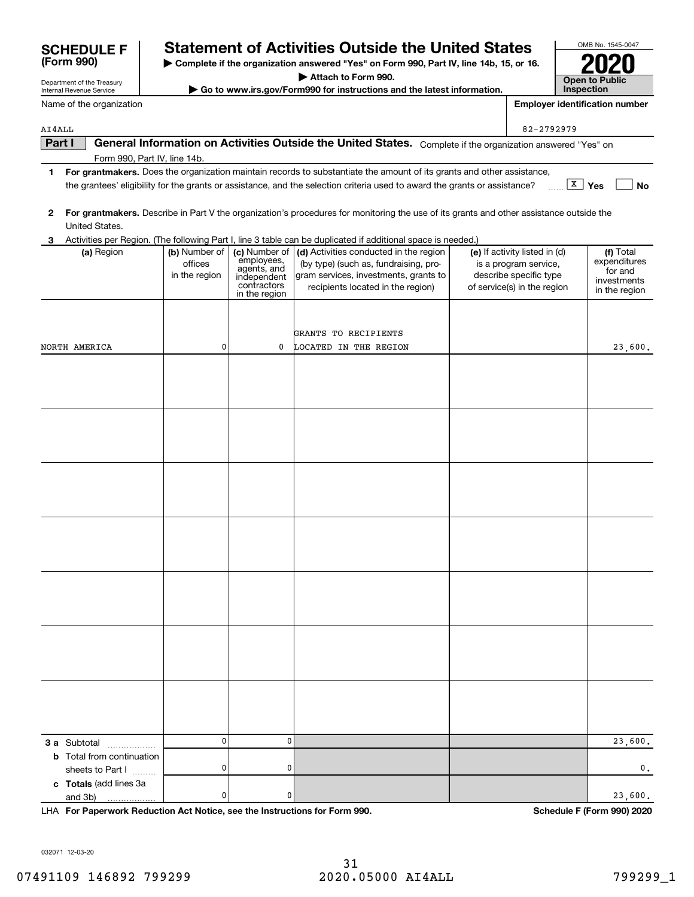| Part I | General Information on Activities Outside the United States. Complete if the organization answered "Yes" on                |                |
|--------|----------------------------------------------------------------------------------------------------------------------------|----------------|
|        | Form 990, Part IV, line 14b.                                                                                               |                |
|        | For grantmakers. Does the organization maintain records to substantiate the amount of its grants and other assistance,     |                |
|        | the grantees' eligibility for the grants or assistance, and the selection criteria used to award the grants or assistance? | , x  <br>∣ Yes |

**3** Activities per Region. (The following Part I, line 3 table can be duplicated if additional space is needed.)

employees, agents, and independent contractors

| 2 For grantmakers. Describe in Part V the organization's procedures for monitoring the use of its grants and other assistance outside the |
|-------------------------------------------------------------------------------------------------------------------------------------------|
| United States.                                                                                                                            |

**(a)** Region  $\begin{pmatrix} \mathbf{b} \end{pmatrix}$  Number of  $\begin{pmatrix} \mathbf{c} \end{pmatrix}$  Activities conducted in the region  $\begin{pmatrix} \mathbf{e} \end{pmatrix}$  If activity listed in (d)  $\begin{pmatrix} \mathbf{f} \end{pmatrix}$ 

(by type) (such as, fundraising, program services, investments, grants to recipients located in the region)

|                                                                            |           | in the region | $\checkmark$            | $\sqrt{2}$ | in the region              |
|----------------------------------------------------------------------------|-----------|---------------|-------------------------|------------|----------------------------|
|                                                                            |           |               |                         |            |                            |
|                                                                            |           |               |                         |            |                            |
|                                                                            |           |               | GRANTS TO RECIPIENTS    |            |                            |
| NORTH AMERICA                                                              | 0         |               | 0 LOCATED IN THE REGION |            | 23,600.                    |
|                                                                            |           |               |                         |            |                            |
|                                                                            |           |               |                         |            |                            |
|                                                                            |           |               |                         |            |                            |
|                                                                            |           |               |                         |            |                            |
|                                                                            |           |               |                         |            |                            |
|                                                                            |           |               |                         |            |                            |
|                                                                            |           |               |                         |            |                            |
|                                                                            |           |               |                         |            |                            |
|                                                                            |           |               |                         |            |                            |
|                                                                            |           |               |                         |            |                            |
|                                                                            |           |               |                         |            |                            |
|                                                                            |           |               |                         |            |                            |
|                                                                            |           |               |                         |            |                            |
|                                                                            |           |               |                         |            |                            |
|                                                                            |           |               |                         |            |                            |
|                                                                            |           |               |                         |            |                            |
|                                                                            |           |               |                         |            |                            |
|                                                                            |           |               |                         |            |                            |
|                                                                            |           |               |                         |            |                            |
|                                                                            |           |               |                         |            |                            |
|                                                                            |           |               |                         |            |                            |
|                                                                            |           |               |                         |            |                            |
|                                                                            |           |               |                         |            |                            |
|                                                                            |           |               |                         |            |                            |
|                                                                            |           |               |                         |            |                            |
|                                                                            |           |               |                         |            |                            |
| 3 a Subtotal                                                               | $\pmb{0}$ | $\pmb{0}$     |                         |            | 23,600.                    |
| <b>b</b> Total from continuation                                           | $\pmb{0}$ | $\pmb{0}$     |                         |            | $\mathbf 0$ .              |
| sheets to Part I                                                           |           |               |                         |            |                            |
| c Totals (add lines 3a<br>and 3b)                                          | $\pmb{0}$ | $\pmb{0}$     |                         |            | 23,600.                    |
| LHA For Paperwork Reduction Act Notice, see the Instructions for Form 990. |           |               |                         |            | Schedule F (Form 990) 2020 |

| Internal Revenue Service |  |
|--------------------------|--|
| Name of the organization |  |

(a) Region (b) Number of

officesin the region

Department of the Treasury

AI4ALL

| Attach to Form 990.                                                      |  |
|--------------------------------------------------------------------------|--|
| ► Go to www.irs.gov/Form990 for instructions and the latest information. |  |

**Open to Public Inspection**

OMB No. 1545-0047

**2020**

**Employer identification number**

**Yes No** X

Total expenditures for and investmentsin the region

82-2792979

(e) If activity listed in (d) is a program service, describe specific type of service(s) in the region

**| Complete if the organization answered "Yes" on Form 990, Part IV, line 14b, 15, or 16. (Form 990) SCHEDULE F Statement of Activities Outside the United States**

032071 12-03-20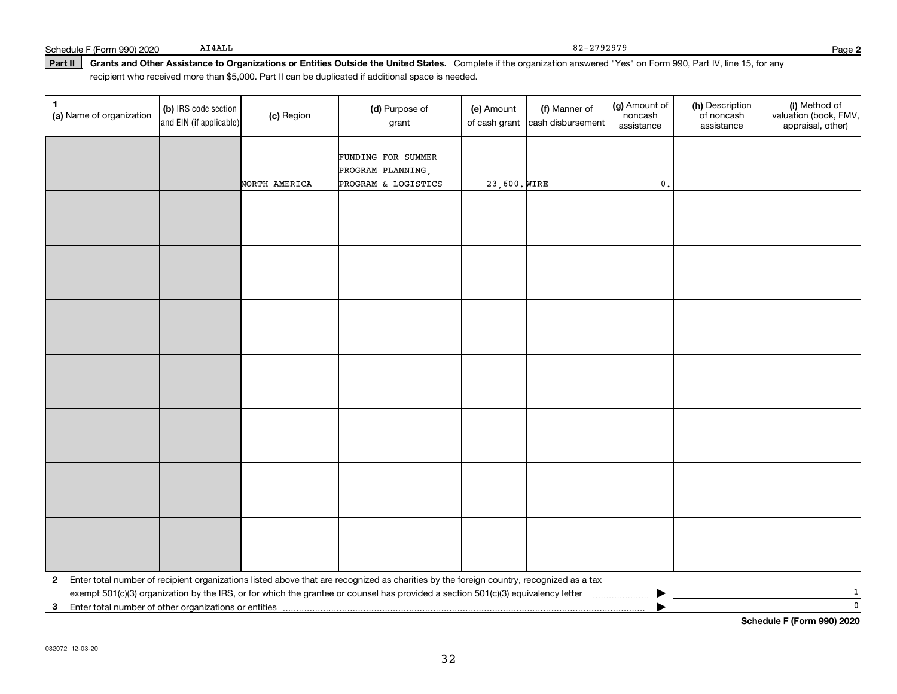#### Part II | Grants and Other Assistance to Organizations or Entities Outside the United States. Complete if the organization answered "Yes" on Form 990, Part IV, line 15, for any recipient who received more than \$5,000. Part II can be duplicated if additional space is needed.

| 1<br>(a) Name of organization                                         | (b) IRS code section<br>and EIN (if applicable) | (c) Region    | (d) Purpose of<br>grant                                                                                                                 | (e) Amount   | (f) Manner of<br>of cash grant cash disbursement | (g) Amount of<br>noncash<br>assistance | (h) Description<br>of noncash<br>assistance | (i) Method of<br>valuation (book, FMV,<br>appraisal, other) |
|-----------------------------------------------------------------------|-------------------------------------------------|---------------|-----------------------------------------------------------------------------------------------------------------------------------------|--------------|--------------------------------------------------|----------------------------------------|---------------------------------------------|-------------------------------------------------------------|
|                                                                       |                                                 |               | FUNDING FOR SUMMER<br>PROGRAM PLANNING,                                                                                                 |              |                                                  |                                        |                                             |                                                             |
|                                                                       |                                                 | NORTH AMERICA | PROGRAM & LOGISTICS                                                                                                                     | 23,600. WIRE |                                                  | $\mathsf{0}$ .                         |                                             |                                                             |
|                                                                       |                                                 |               |                                                                                                                                         |              |                                                  |                                        |                                             |                                                             |
|                                                                       |                                                 |               |                                                                                                                                         |              |                                                  |                                        |                                             |                                                             |
|                                                                       |                                                 |               |                                                                                                                                         |              |                                                  |                                        |                                             |                                                             |
|                                                                       |                                                 |               |                                                                                                                                         |              |                                                  |                                        |                                             |                                                             |
|                                                                       |                                                 |               |                                                                                                                                         |              |                                                  |                                        |                                             |                                                             |
|                                                                       |                                                 |               |                                                                                                                                         |              |                                                  |                                        |                                             |                                                             |
|                                                                       |                                                 |               |                                                                                                                                         |              |                                                  |                                        |                                             |                                                             |
|                                                                       |                                                 |               |                                                                                                                                         |              |                                                  |                                        |                                             |                                                             |
|                                                                       |                                                 |               |                                                                                                                                         |              |                                                  |                                        |                                             |                                                             |
|                                                                       |                                                 |               |                                                                                                                                         |              |                                                  |                                        |                                             |                                                             |
|                                                                       |                                                 |               |                                                                                                                                         |              |                                                  |                                        |                                             |                                                             |
|                                                                       |                                                 |               |                                                                                                                                         |              |                                                  |                                        |                                             |                                                             |
|                                                                       |                                                 |               |                                                                                                                                         |              |                                                  |                                        |                                             |                                                             |
|                                                                       |                                                 |               |                                                                                                                                         |              |                                                  |                                        |                                             |                                                             |
|                                                                       |                                                 |               |                                                                                                                                         |              |                                                  |                                        |                                             |                                                             |
|                                                                       |                                                 |               |                                                                                                                                         |              |                                                  |                                        |                                             |                                                             |
|                                                                       |                                                 |               |                                                                                                                                         |              |                                                  |                                        |                                             |                                                             |
|                                                                       |                                                 |               |                                                                                                                                         |              |                                                  |                                        |                                             |                                                             |
|                                                                       |                                                 |               |                                                                                                                                         |              |                                                  |                                        |                                             |                                                             |
| $\mathbf{2}$                                                          |                                                 |               | Enter total number of recipient organizations listed above that are recognized as charities by the foreign country, recognized as a tax |              |                                                  |                                        |                                             |                                                             |
|                                                                       |                                                 |               | exempt 501(c)(3) organization by the IRS, or for which the grantee or counsel has provided a section 501(c)(3) equivalency letter       |              |                                                  |                                        |                                             | 1                                                           |
| Enter total number of other organizations or entities<br>$\mathbf{3}$ |                                                 |               |                                                                                                                                         |              |                                                  |                                        |                                             | $\mathbf 0$                                                 |

**Schedule F (Form 990) 2020**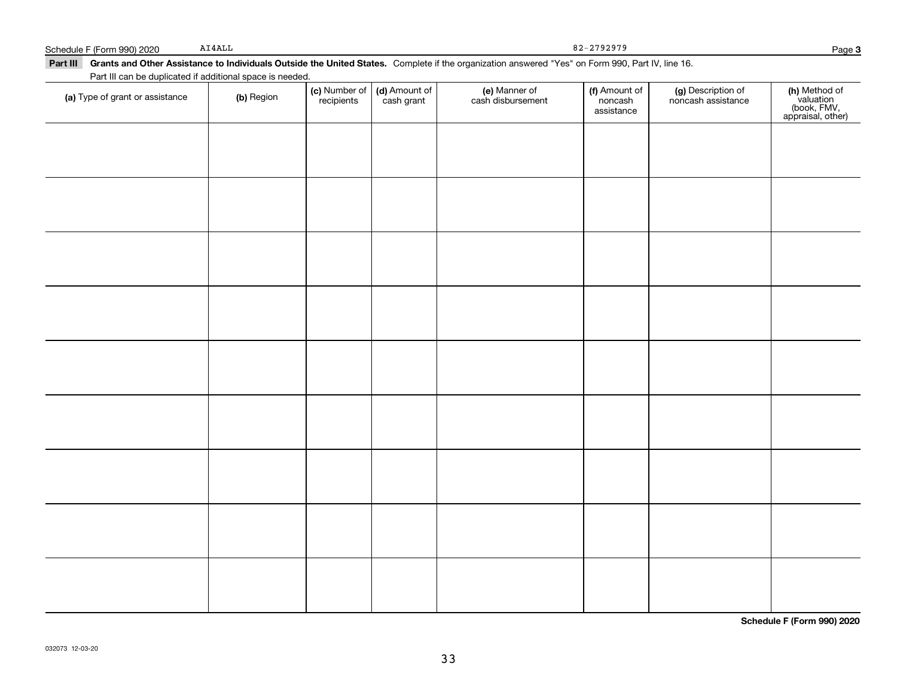82-2792979

#### Part III Grants and Other Assistance to Individuals Outside the United States. Complete if the organization answered "Yes" on Form 990, Part IV, line 16. Part III can be duplicated if additional space is needed. (f) Amount of (g) Description of (e) Manner of **(c)** Number of **| (d)** Amount of **| (e)** Manner of **| (f)** Amount of **| (g)** Description of **| (h) (a)** Type of grant or assistance  $\qquad$  **(b)** Region ,<br>recipients cash grant cash disbursement noncashnoncash assistance assistance $\overline{\phantom{a}}$

| (a) Type of grant or assistance | (b) Region | (c) Number of (d) Amount of recipients cash grant | e) Manner of<br>cash disbursement | <b>f)</b> Amount of<br>noncash<br>assistance | (g) Description of<br>noncash assistance | (h) Method of<br>valuation<br>(book, FMV,<br>appraisal, other) |
|---------------------------------|------------|---------------------------------------------------|-----------------------------------|----------------------------------------------|------------------------------------------|----------------------------------------------------------------|
|                                 |            |                                                   |                                   |                                              |                                          |                                                                |
|                                 |            |                                                   |                                   |                                              |                                          |                                                                |
|                                 |            |                                                   |                                   |                                              |                                          |                                                                |
|                                 |            |                                                   |                                   |                                              |                                          |                                                                |
|                                 |            |                                                   |                                   |                                              |                                          |                                                                |
|                                 |            |                                                   |                                   |                                              |                                          |                                                                |
|                                 |            |                                                   |                                   |                                              |                                          |                                                                |
|                                 |            |                                                   |                                   |                                              |                                          |                                                                |
|                                 |            |                                                   |                                   |                                              |                                          |                                                                |
|                                 |            |                                                   |                                   |                                              |                                          |                                                                |
|                                 |            |                                                   |                                   |                                              |                                          |                                                                |

**Schedule F (Form 990) 2020**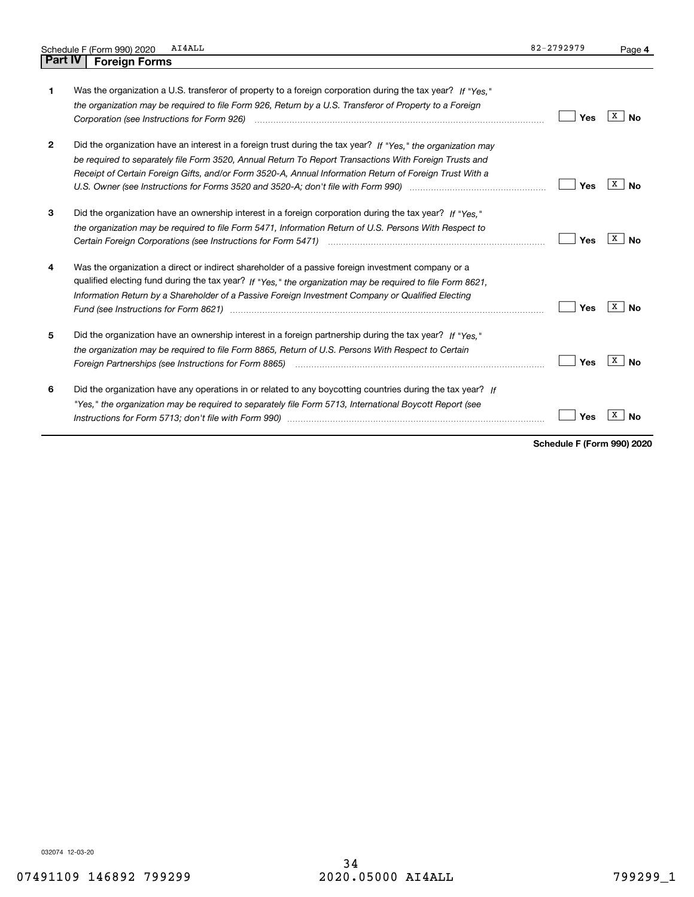|                | AI4ALL<br>Schedule F (Form 990) 2020                                                                                                                                                                                                                                                                                                                                                                                                                                                                                                                    | 82-2792979 | Page 4  |
|----------------|---------------------------------------------------------------------------------------------------------------------------------------------------------------------------------------------------------------------------------------------------------------------------------------------------------------------------------------------------------------------------------------------------------------------------------------------------------------------------------------------------------------------------------------------------------|------------|---------|
| <b>Part IV</b> | <b>Foreign Forms</b>                                                                                                                                                                                                                                                                                                                                                                                                                                                                                                                                    |            |         |
| 1              | Was the organization a U.S. transferor of property to a foreign corporation during the tax year? If "Yes."<br>the organization may be required to file Form 926, Return by a U.S. Transferor of Property to a Foreign                                                                                                                                                                                                                                                                                                                                   | Yes        | х<br>No |
| 2              | Did the organization have an interest in a foreign trust during the tax year? If "Yes," the organization may<br>be required to separately file Form 3520, Annual Return To Report Transactions With Foreign Trusts and<br>Receipt of Certain Foreign Gifts, and/or Form 3520-A, Annual Information Return of Foreign Trust With a<br>U.S. Owner (see Instructions for Forms 3520 and 3520-A; don't file with Form 990) manufactured uncontrolled to                                                                                                     | Yes        | х<br>No |
| З              | Did the organization have an ownership interest in a foreign corporation during the tax year? If "Yes."<br>the organization may be required to file Form 5471, Information Return of U.S. Persons With Respect to<br>Certain Foreign Corporations (see Instructions for Form 5471) [11] [12] [12] [12] [12] Certain Foreign Corporations (see Instructions for Form 5471)                                                                                                                                                                               | Yes        | х<br>No |
| 4              | Was the organization a direct or indirect shareholder of a passive foreign investment company or a<br>qualified electing fund during the tax year? If "Yes," the organization may be required to file Form 8621,<br>Information Return by a Shareholder of a Passive Foreign Investment Company or Qualified Electing<br>Fund (see Instructions for Form 8621) manufactured control and the control of the state of the control of the state of the state of the state of the state of the state of the state of the state of the state of the state of | Yes        | х<br>No |
| 5              | Did the organization have an ownership interest in a foreign partnership during the tax year? If "Yes."<br>the organization may be required to file Form 8865, Return of U.S. Persons With Respect to Certain                                                                                                                                                                                                                                                                                                                                           | Yes        | x<br>No |
| 6              | Did the organization have any operations in or related to any boycotting countries during the tax year? If<br>"Yes," the organization may be required to separately file Form 5713, International Boycott Report (see                                                                                                                                                                                                                                                                                                                                   | Yes        | Nο      |

**Schedule F (Form 990) 2020**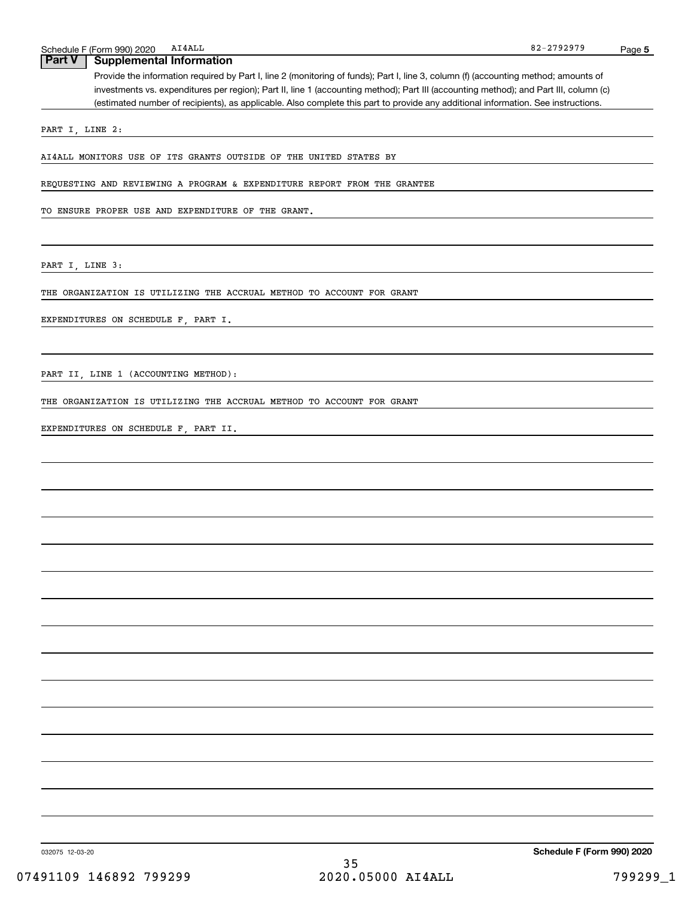# **Part V Supplemental Information**

Provide the information required by Part I, line 2 (monitoring of funds); Part I, line 3, column (f) (accounting method; amounts of investments vs. expenditures per region); Part II, line 1 (accounting method); Part III (accounting method); and Part III, column (c) (estimated number of recipients), as applicable. Also complete this part to provide any additional information. See instructions.

PART I, LINE 2:

AI4ALL MONITORS USE OF ITS GRANTS OUTSIDE OF THE UNITED STATES BY

REQUESTING AND REVIEWING A PROGRAM & EXPENDITURE REPORT FROM THE GRANTEE

TO ENSURE PROPER USE AND EXPENDITURE OF THE GRANT.

PART I, LINE 3:

THE ORGANIZATION IS UTILIZING THE ACCRUAL METHOD TO ACCOUNT FOR GRANT

EXPENDITURES ON SCHEDULE F, PART I.

PART II, LINE 1 (ACCOUNTING METHOD):

THE ORGANIZATION IS UTILIZING THE ACCRUAL METHOD TO ACCOUNT FOR GRANT

EXPENDITURES ON SCHEDULE F, PART II.

032075 12-03-20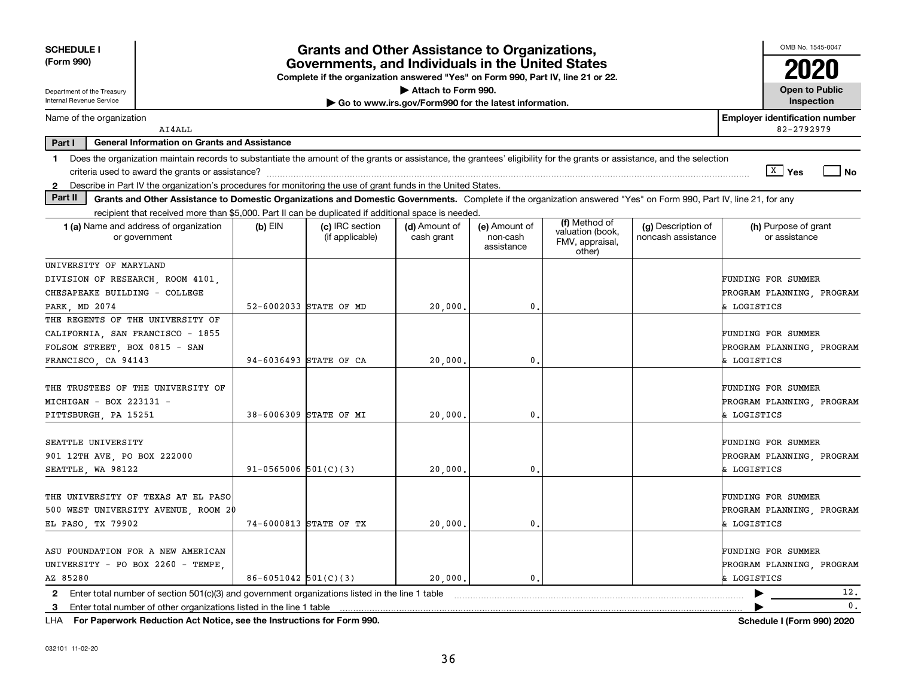| <b>SCHEDULE I</b><br>(Form 990)                                                                                                                                                         |                            | <b>Grants and Other Assistance to Organizations,</b><br>Governments, and Individuals in the United States |                                                       |                                         |                                                                |                                          | OMB No. 1545-0047                                              |
|-----------------------------------------------------------------------------------------------------------------------------------------------------------------------------------------|----------------------------|-----------------------------------------------------------------------------------------------------------|-------------------------------------------------------|-----------------------------------------|----------------------------------------------------------------|------------------------------------------|----------------------------------------------------------------|
|                                                                                                                                                                                         |                            | Complete if the organization answered "Yes" on Form 990, Part IV, line 21 or 22.                          |                                                       |                                         |                                                                |                                          |                                                                |
| Department of the Treasury<br>Internal Revenue Service                                                                                                                                  |                            |                                                                                                           | Attach to Form 990.                                   |                                         |                                                                |                                          | <b>Open to Public</b>                                          |
|                                                                                                                                                                                         |                            |                                                                                                           | Go to www.irs.gov/Form990 for the latest information. |                                         |                                                                |                                          | Inspection                                                     |
| Name of the organization<br>AI4ALL                                                                                                                                                      |                            |                                                                                                           |                                                       |                                         |                                                                |                                          | <b>Employer identification number</b><br>82-2792979            |
| Part I<br><b>General Information on Grants and Assistance</b>                                                                                                                           |                            |                                                                                                           |                                                       |                                         |                                                                |                                          |                                                                |
| Does the organization maintain records to substantiate the amount of the grants or assistance, the grantees' eligibility for the grants or assistance, and the selection<br>$\mathbf 1$ |                            |                                                                                                           |                                                       |                                         |                                                                |                                          |                                                                |
|                                                                                                                                                                                         |                            |                                                                                                           |                                                       |                                         |                                                                |                                          | $\sqrt{X}$ Yes<br>$\overline{\phantom{a}}$ No                  |
| 2 Describe in Part IV the organization's procedures for monitoring the use of grant funds in the United States.                                                                         |                            |                                                                                                           |                                                       |                                         |                                                                |                                          |                                                                |
| Part II<br>Grants and Other Assistance to Domestic Organizations and Domestic Governments. Complete if the organization answered "Yes" on Form 990, Part IV, line 21, for any           |                            |                                                                                                           |                                                       |                                         |                                                                |                                          |                                                                |
| recipient that received more than \$5,000. Part II can be duplicated if additional space is needed.                                                                                     |                            |                                                                                                           |                                                       |                                         |                                                                |                                          |                                                                |
| <b>1 (a)</b> Name and address of organization<br>or government                                                                                                                          | $(b)$ EIN                  | (c) IRC section<br>(if applicable)                                                                        | (d) Amount of<br>cash grant                           | (e) Amount of<br>non-cash<br>assistance | (f) Method of<br>valuation (book,<br>FMV, appraisal,<br>other) | (g) Description of<br>noncash assistance | (h) Purpose of grant<br>or assistance                          |
| UNIVERSITY OF MARYLAND                                                                                                                                                                  |                            |                                                                                                           |                                                       |                                         |                                                                |                                          |                                                                |
| DIVISION OF RESEARCH, ROOM 4101,                                                                                                                                                        |                            |                                                                                                           |                                                       |                                         |                                                                |                                          | FUNDING FOR SUMMER                                             |
| CHESAPEAKE BUILDING - COLLEGE                                                                                                                                                           |                            |                                                                                                           |                                                       |                                         |                                                                |                                          | PROGRAM PLANNING, PROGRAM                                      |
| PARK, MD 2074                                                                                                                                                                           |                            | 52-6002033 STATE OF MD                                                                                    | 20,000                                                | 0.                                      |                                                                |                                          | & LOGISTICS                                                    |
| THE REGENTS OF THE UNIVERSITY OF                                                                                                                                                        |                            |                                                                                                           |                                                       |                                         |                                                                |                                          |                                                                |
| CALIFORNIA, SAN FRANCISCO - 1855                                                                                                                                                        |                            |                                                                                                           |                                                       |                                         |                                                                |                                          | FUNDING FOR SUMMER                                             |
| FOLSOM STREET, BOX 0815 - SAN                                                                                                                                                           |                            |                                                                                                           |                                                       |                                         |                                                                |                                          | PROGRAM PLANNING, PROGRAM                                      |
| FRANCISCO, CA 94143                                                                                                                                                                     |                            | 94-6036493 STATE OF CA                                                                                    | 20,000                                                | $\mathbf{0}$                            |                                                                |                                          | & LOGISTICS                                                    |
| THE TRUSTEES OF THE UNIVERSITY OF<br>$MICHIGAN - BOX 223131 -$<br>PITTSBURGH, PA 15251                                                                                                  |                            | 38-6006309 STATE OF MI                                                                                    | 20,000.                                               | 0.                                      |                                                                |                                          | FUNDING FOR SUMMER<br>PROGRAM PLANNING, PROGRAM<br>& LOGISTICS |
|                                                                                                                                                                                         |                            |                                                                                                           |                                                       |                                         |                                                                |                                          |                                                                |
| SEATTLE UNIVERSITY                                                                                                                                                                      |                            |                                                                                                           |                                                       |                                         |                                                                |                                          | FUNDING FOR SUMMER                                             |
| 901 12TH AVE, PO BOX 222000                                                                                                                                                             |                            |                                                                                                           |                                                       |                                         |                                                                |                                          | PROGRAM PLANNING, PROGRAM                                      |
| SEATTLE, WA 98122                                                                                                                                                                       | $91 - 0565006$ $501(C)(3)$ |                                                                                                           | 20,000                                                | 0.                                      |                                                                |                                          | & LOGISTICS                                                    |
| THE UNIVERSITY OF TEXAS AT EL PASO<br>500 WEST UNIVERSITY AVENUE, ROOM 20<br>EL PASO, TX 79902                                                                                          |                            | 74-6000813 STATE OF TX                                                                                    | 20,000.                                               | $\mathbf{0}$ .                          |                                                                |                                          | FUNDING FOR SUMMER<br>PROGRAM PLANNING, PROGRAM<br>& LOGISTICS |
|                                                                                                                                                                                         |                            |                                                                                                           |                                                       |                                         |                                                                |                                          |                                                                |
| ASU FOUNDATION FOR A NEW AMERICAN                                                                                                                                                       |                            |                                                                                                           |                                                       |                                         |                                                                |                                          | FUNDING FOR SUMMER                                             |
| UNIVERSITY - PO BOX 2260 - TEMPE                                                                                                                                                        |                            |                                                                                                           |                                                       |                                         |                                                                |                                          | PROGRAM PLANNING, PROGRAM                                      |
| AZ 85280                                                                                                                                                                                | $86 - 6051042$ 501(C)(3)   |                                                                                                           | 20,000,                                               | $\mathbf{0}$                            |                                                                |                                          | & LOGISTICS                                                    |
| 2 Enter total number of section 501(c)(3) and government organizations listed in the line 1 table                                                                                       |                            |                                                                                                           |                                                       |                                         |                                                                |                                          | 12.                                                            |
| 3 Enter total number of other organizations listed in the line 1 table                                                                                                                  |                            |                                                                                                           |                                                       |                                         |                                                                |                                          | $\mathbf{0}$ .                                                 |

**For Paperwork Reduction Act Notice, see the Instructions for Form 990. Schedule I (Form 990) 2020** LHA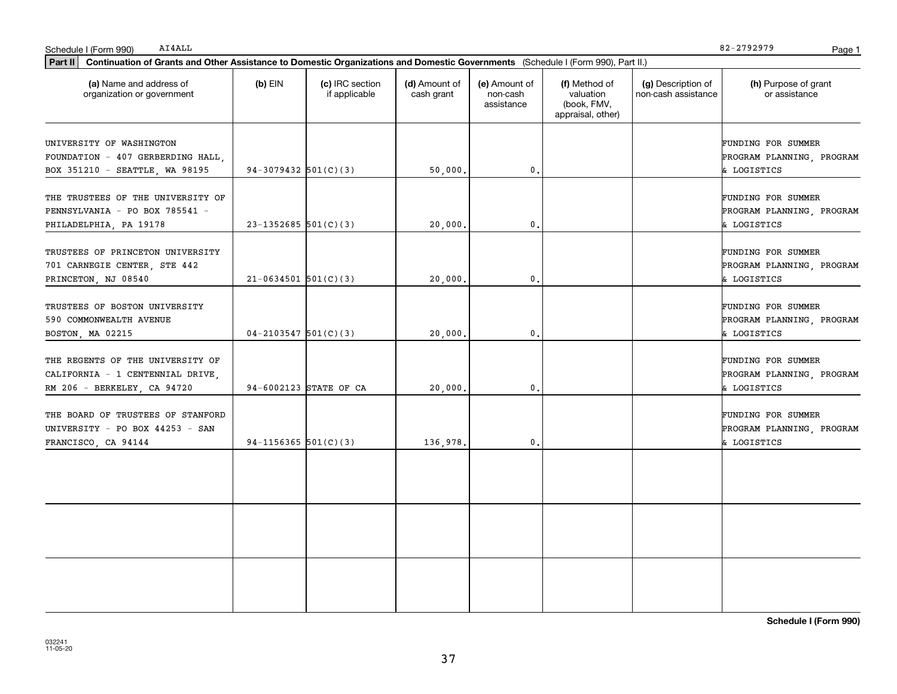| AI4ALL<br>Schedule I (Form 990)                                                                                                             |                          |                                  |                             |                                         |                                                                |                                           | 82-2792979                                                            | Page 1 |
|---------------------------------------------------------------------------------------------------------------------------------------------|--------------------------|----------------------------------|-----------------------------|-----------------------------------------|----------------------------------------------------------------|-------------------------------------------|-----------------------------------------------------------------------|--------|
| Part II<br>Continuation of Grants and Other Assistance to Domestic Organizations and Domestic Governments (Schedule I (Form 990), Part II.) |                          |                                  |                             |                                         |                                                                |                                           |                                                                       |        |
| (a) Name and address of<br>organization or government                                                                                       | $(b)$ EIN                | (c) IRC section<br>if applicable | (d) Amount of<br>cash grant | (e) Amount of<br>non-cash<br>assistance | (f) Method of<br>valuation<br>(book, FMV,<br>appraisal, other) | (g) Description of<br>non-cash assistance | (h) Purpose of grant<br>or assistance                                 |        |
| UNIVERSITY OF WASHINGTON<br>FOUNDATION - 407 GERBERDING HALL,<br>BOX 351210 - SEATTLE, WA 98195                                             | $94-3079432$ 501(C)(3)   |                                  | 50,000.                     | 0.                                      |                                                                |                                           | FUNDING FOR SUMMER<br>PROGRAM PLANNING, PROGRAM<br>& LOGISTICS        |        |
| THE TRUSTEES OF THE UNIVERSITY OF<br>PENNSYLVANIA - PO BOX 785541 -<br>PHILADELPHIA, PA 19178                                               | $23-1352685$ 501(C)(3)   |                                  | 20,000                      | 0.                                      |                                                                |                                           | FUNDING FOR SUMMER<br>PROGRAM PLANNING, PROGRAM<br>& LOGISTICS        |        |
| TRUSTEES OF PRINCETON UNIVERSITY<br>701 CARNEGIE CENTER, STE 442<br>PRINCETON, NJ 08540                                                     | $21-0634501$ 501(C)(3)   |                                  | 20,000                      | 0.                                      |                                                                |                                           | FUNDING FOR SUMMER<br>PROGRAM PLANNING, PROGRAM<br>& LOGISTICS        |        |
| TRUSTEES OF BOSTON UNIVERSITY<br>590 COMMONWEALTH AVENUE<br>BOSTON, MA 02215                                                                | $04-2103547$ 501(C)(3)   |                                  | 20,000                      | 0.                                      |                                                                |                                           | FUNDING FOR SUMMER<br>PROGRAM PLANNING, PROGRAM<br>& LOGISTICS        |        |
| THE REGENTS OF THE UNIVERSITY OF<br>CALIFORNIA - 1 CENTENNIAL DRIVE,<br>RM 206 - BERKELEY, CA 94720                                         |                          | 94-6002123 STATE OF CA           | 20,000                      | 0.                                      |                                                                |                                           | <b>FUNDING FOR SUMMER</b><br>PROGRAM PLANNING, PROGRAM<br>& LOGISTICS |        |
| THE BOARD OF TRUSTEES OF STANFORD<br>UNIVERSITY - PO BOX 44253 - SAN<br>FRANCISCO, CA 94144                                                 | $94-1156365$ $501(C)(3)$ |                                  | 136,978.                    | 0.                                      |                                                                |                                           | <b>FUNDING FOR SUMMER</b><br>PROGRAM PLANNING, PROGRAM<br>& LOGISTICS |        |
|                                                                                                                                             |                          |                                  |                             |                                         |                                                                |                                           |                                                                       |        |
|                                                                                                                                             |                          |                                  |                             |                                         |                                                                |                                           |                                                                       |        |
|                                                                                                                                             |                          |                                  |                             |                                         |                                                                |                                           |                                                                       |        |

**Schedule I (Form 990)**

82-2792979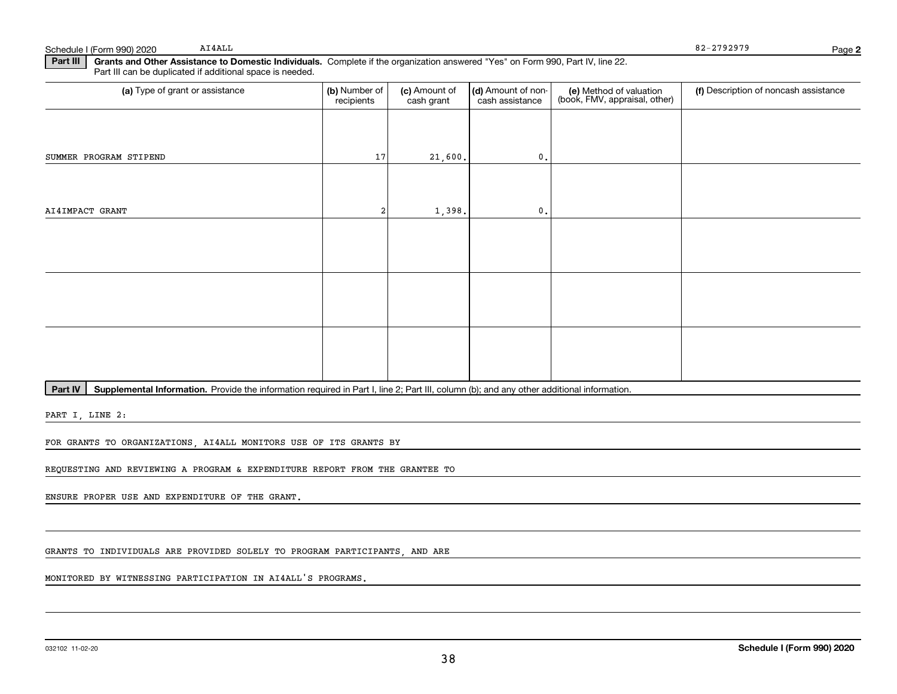Schedule I (Form 990) 2020 Page AI4ALL

82-2792979

**2**

**Part III | Grants and Other Assistance to Domestic Individuals. Complete if the organization answered "Yes" on Form 990, Part IV, line 22.** Part III can be duplicated if additional space is needed.

| (a) Type of grant or assistance | (b) Number of<br>recipients | (c) Amount of<br>cash grant | (d) Amount of non-<br>cash assistance | (e) Method of valuation<br>(book, FMV, appraisal, other) | (f) Description of noncash assistance |
|---------------------------------|-----------------------------|-----------------------------|---------------------------------------|----------------------------------------------------------|---------------------------------------|
|                                 |                             |                             |                                       |                                                          |                                       |
| SUMMER PROGRAM STIPEND          | 17                          | 21,600.                     | $\mathbf 0$ .                         |                                                          |                                       |
|                                 |                             |                             |                                       |                                                          |                                       |
| AI4IMPACT GRANT                 | 2                           | 1,398.                      | $\mathbf{0}$ .                        |                                                          |                                       |
|                                 |                             |                             |                                       |                                                          |                                       |
|                                 |                             |                             |                                       |                                                          |                                       |
|                                 |                             |                             |                                       |                                                          |                                       |
|                                 |                             |                             |                                       |                                                          |                                       |
|                                 |                             |                             |                                       |                                                          |                                       |
|                                 |                             |                             |                                       |                                                          |                                       |

Part IV | Supplemental Information. Provide the information required in Part I, line 2; Part III, column (b); and any other additional information.

PART I, LINE 2:

FOR GRANTS TO ORGANIZATIONS, AI4ALL MONITORS USE OF ITS GRANTS BY

REQUESTING AND REVIEWING A PROGRAM & EXPENDITURE REPORT FROM THE GRANTEE TO

ENSURE PROPER USE AND EXPENDITURE OF THE GRANT.

GRANTS TO INDIVIDUALS ARE PROVIDED SOLELY TO PROGRAM PARTICIPANTS, AND ARE

MONITORED BY WITNESSING PARTICIPATION IN AI4ALL'S PROGRAMS.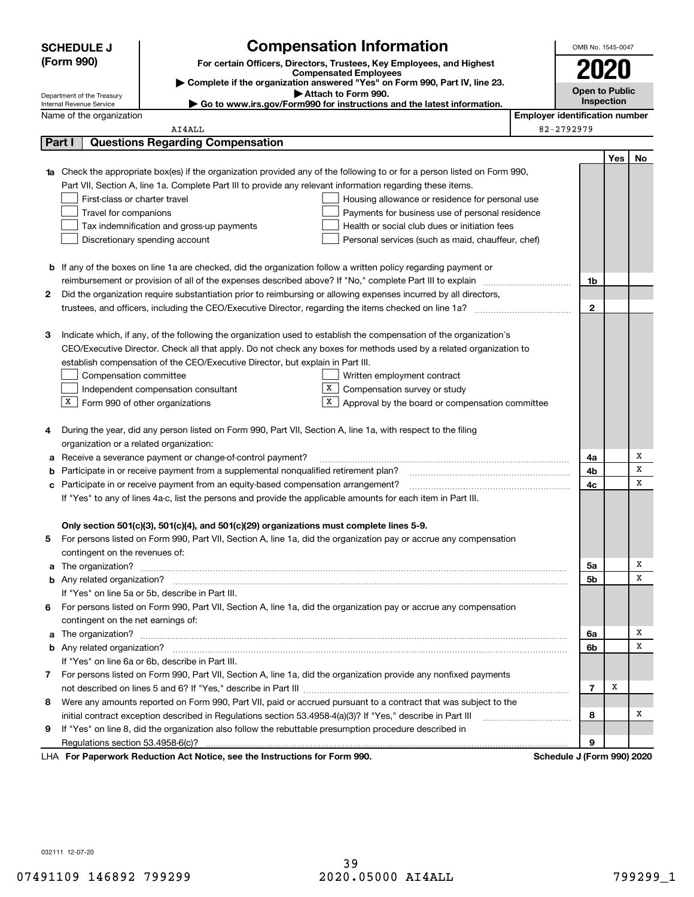|                                                                                                                                  | <b>Compensation Information</b><br><b>SCHEDULE J</b>                                                                                                                                                 |                                                                                          | OMB No. 1545-0047                                                                                                   |                                       |                       |     |        |  |  |
|----------------------------------------------------------------------------------------------------------------------------------|------------------------------------------------------------------------------------------------------------------------------------------------------------------------------------------------------|------------------------------------------------------------------------------------------|---------------------------------------------------------------------------------------------------------------------|---------------------------------------|-----------------------|-----|--------|--|--|
| (Form 990)                                                                                                                       |                                                                                                                                                                                                      | For certain Officers, Directors, Trustees, Key Employees, and Highest                    |                                                                                                                     |                                       |                       |     |        |  |  |
|                                                                                                                                  | <b>Compensated Employees</b>                                                                                                                                                                         |                                                                                          |                                                                                                                     |                                       |                       |     |        |  |  |
|                                                                                                                                  |                                                                                                                                                                                                      |                                                                                          | Complete if the organization answered "Yes" on Form 990, Part IV, line 23.                                          |                                       | <b>Open to Public</b> |     |        |  |  |
|                                                                                                                                  | Attach to Form 990.<br>Department of the Treasury<br>Go to www.irs.gov/Form990 for instructions and the latest information.<br>Internal Revenue Service                                              |                                                                                          |                                                                                                                     |                                       |                       |     |        |  |  |
|                                                                                                                                  | Name of the organization                                                                                                                                                                             |                                                                                          |                                                                                                                     | <b>Employer identification number</b> |                       |     |        |  |  |
|                                                                                                                                  |                                                                                                                                                                                                      | AI4ALL                                                                                   |                                                                                                                     |                                       | 82-2792979            |     |        |  |  |
|                                                                                                                                  | Part I                                                                                                                                                                                               | <b>Questions Regarding Compensation</b>                                                  |                                                                                                                     |                                       |                       |     |        |  |  |
|                                                                                                                                  |                                                                                                                                                                                                      |                                                                                          |                                                                                                                     |                                       |                       | Yes | No     |  |  |
| <b>1a</b> Check the appropriate box(es) if the organization provided any of the following to or for a person listed on Form 990, |                                                                                                                                                                                                      |                                                                                          |                                                                                                                     |                                       |                       |     |        |  |  |
| Part VII, Section A, line 1a. Complete Part III to provide any relevant information regarding these items.                       |                                                                                                                                                                                                      |                                                                                          |                                                                                                                     |                                       |                       |     |        |  |  |
|                                                                                                                                  | First-class or charter travel                                                                                                                                                                        |                                                                                          | Housing allowance or residence for personal use                                                                     |                                       |                       |     |        |  |  |
|                                                                                                                                  | Travel for companions<br>Payments for business use of personal residence                                                                                                                             |                                                                                          |                                                                                                                     |                                       |                       |     |        |  |  |
|                                                                                                                                  | Tax indemnification and gross-up payments<br>Health or social club dues or initiation fees                                                                                                           |                                                                                          |                                                                                                                     |                                       |                       |     |        |  |  |
|                                                                                                                                  | Discretionary spending account<br>Personal services (such as maid, chauffeur, chef)                                                                                                                  |                                                                                          |                                                                                                                     |                                       |                       |     |        |  |  |
|                                                                                                                                  |                                                                                                                                                                                                      |                                                                                          |                                                                                                                     |                                       |                       |     |        |  |  |
|                                                                                                                                  | <b>b</b> If any of the boxes on line 1a are checked, did the organization follow a written policy regarding payment or                                                                               |                                                                                          |                                                                                                                     |                                       |                       |     |        |  |  |
|                                                                                                                                  | reimbursement or provision of all of the expenses described above? If "No," complete Part III to explain                                                                                             |                                                                                          |                                                                                                                     |                                       |                       |     |        |  |  |
| 2                                                                                                                                | Did the organization require substantiation prior to reimbursing or allowing expenses incurred by all directors,                                                                                     |                                                                                          |                                                                                                                     |                                       |                       |     |        |  |  |
|                                                                                                                                  |                                                                                                                                                                                                      |                                                                                          |                                                                                                                     |                                       | $\mathbf{2}$          |     |        |  |  |
|                                                                                                                                  |                                                                                                                                                                                                      |                                                                                          |                                                                                                                     |                                       |                       |     |        |  |  |
| з                                                                                                                                |                                                                                                                                                                                                      |                                                                                          | Indicate which, if any, of the following the organization used to establish the compensation of the organization's  |                                       |                       |     |        |  |  |
|                                                                                                                                  | CEO/Executive Director. Check all that apply. Do not check any boxes for methods used by a related organization to<br>establish compensation of the CEO/Executive Director, but explain in Part III. |                                                                                          |                                                                                                                     |                                       |                       |     |        |  |  |
|                                                                                                                                  |                                                                                                                                                                                                      |                                                                                          |                                                                                                                     |                                       |                       |     |        |  |  |
|                                                                                                                                  | Compensation committee                                                                                                                                                                               |                                                                                          | Written employment contract                                                                                         |                                       |                       |     |        |  |  |
|                                                                                                                                  |                                                                                                                                                                                                      | Independent compensation consultant                                                      | X<br>Compensation survey or study                                                                                   |                                       |                       |     |        |  |  |
|                                                                                                                                  | X                                                                                                                                                                                                    | Form 990 of other organizations                                                          | х<br>Approval by the board or compensation committee                                                                |                                       |                       |     |        |  |  |
|                                                                                                                                  |                                                                                                                                                                                                      |                                                                                          |                                                                                                                     |                                       |                       |     |        |  |  |
| 4                                                                                                                                |                                                                                                                                                                                                      |                                                                                          | During the year, did any person listed on Form 990, Part VII, Section A, line 1a, with respect to the filing        |                                       |                       |     |        |  |  |
|                                                                                                                                  | organization or a related organization:                                                                                                                                                              |                                                                                          |                                                                                                                     |                                       |                       |     |        |  |  |
| a                                                                                                                                | Receive a severance payment or change-of-control payment?                                                                                                                                            |                                                                                          |                                                                                                                     |                                       | 4a                    |     | х      |  |  |
|                                                                                                                                  | Participate in or receive payment from a supplemental nonqualified retirement plan?                                                                                                                  |                                                                                          |                                                                                                                     |                                       | 4b                    |     | х<br>x |  |  |
| с                                                                                                                                | Participate in or receive payment from an equity-based compensation arrangement?                                                                                                                     |                                                                                          |                                                                                                                     |                                       | 4c                    |     |        |  |  |
|                                                                                                                                  | If "Yes" to any of lines 4a-c, list the persons and provide the applicable amounts for each item in Part III.                                                                                        |                                                                                          |                                                                                                                     |                                       |                       |     |        |  |  |
|                                                                                                                                  |                                                                                                                                                                                                      |                                                                                          |                                                                                                                     |                                       |                       |     |        |  |  |
|                                                                                                                                  |                                                                                                                                                                                                      | Only section 501(c)(3), 501(c)(4), and 501(c)(29) organizations must complete lines 5-9. |                                                                                                                     |                                       |                       |     |        |  |  |
| 5                                                                                                                                |                                                                                                                                                                                                      |                                                                                          | For persons listed on Form 990, Part VII, Section A, line 1a, did the organization pay or accrue any compensation   |                                       |                       |     |        |  |  |
|                                                                                                                                  | contingent on the revenues of:                                                                                                                                                                       |                                                                                          |                                                                                                                     |                                       |                       |     | х      |  |  |
|                                                                                                                                  |                                                                                                                                                                                                      |                                                                                          |                                                                                                                     |                                       | 5a<br>5b              |     | х      |  |  |
|                                                                                                                                  |                                                                                                                                                                                                      | If "Yes" on line 5a or 5b, describe in Part III.                                         |                                                                                                                     |                                       |                       |     |        |  |  |
|                                                                                                                                  |                                                                                                                                                                                                      |                                                                                          | 6 For persons listed on Form 990, Part VII, Section A, line 1a, did the organization pay or accrue any compensation |                                       |                       |     |        |  |  |
|                                                                                                                                  | contingent on the net earnings of:                                                                                                                                                                   |                                                                                          |                                                                                                                     |                                       |                       |     |        |  |  |
| a                                                                                                                                |                                                                                                                                                                                                      |                                                                                          |                                                                                                                     |                                       | 6a                    |     | х      |  |  |
|                                                                                                                                  |                                                                                                                                                                                                      |                                                                                          |                                                                                                                     |                                       | 6b                    |     | х      |  |  |
|                                                                                                                                  |                                                                                                                                                                                                      | If "Yes" on line 6a or 6b, describe in Part III.                                         |                                                                                                                     |                                       |                       |     |        |  |  |
|                                                                                                                                  |                                                                                                                                                                                                      |                                                                                          | 7 For persons listed on Form 990, Part VII, Section A, line 1a, did the organization provide any nonfixed payments  |                                       |                       |     |        |  |  |
|                                                                                                                                  |                                                                                                                                                                                                      |                                                                                          |                                                                                                                     |                                       | 7                     | х   |        |  |  |
| 8                                                                                                                                |                                                                                                                                                                                                      |                                                                                          |                                                                                                                     |                                       |                       |     |        |  |  |
|                                                                                                                                  | Were any amounts reported on Form 990, Part VII, paid or accrued pursuant to a contract that was subject to the                                                                                      |                                                                                          |                                                                                                                     |                                       |                       |     | х      |  |  |
| 9                                                                                                                                | If "Yes" on line 8, did the organization also follow the rebuttable presumption procedure described in                                                                                               |                                                                                          |                                                                                                                     |                                       | 8                     |     |        |  |  |
|                                                                                                                                  | Regulations section 53.4958-6(c)?                                                                                                                                                                    |                                                                                          |                                                                                                                     |                                       | 9                     |     |        |  |  |
|                                                                                                                                  | LHA For Paperwork Reduction Act Notice, see the Instructions for Form 990.<br>Schedule J (Form 990) 2020                                                                                             |                                                                                          |                                                                                                                     |                                       |                       |     |        |  |  |

032111 12-07-20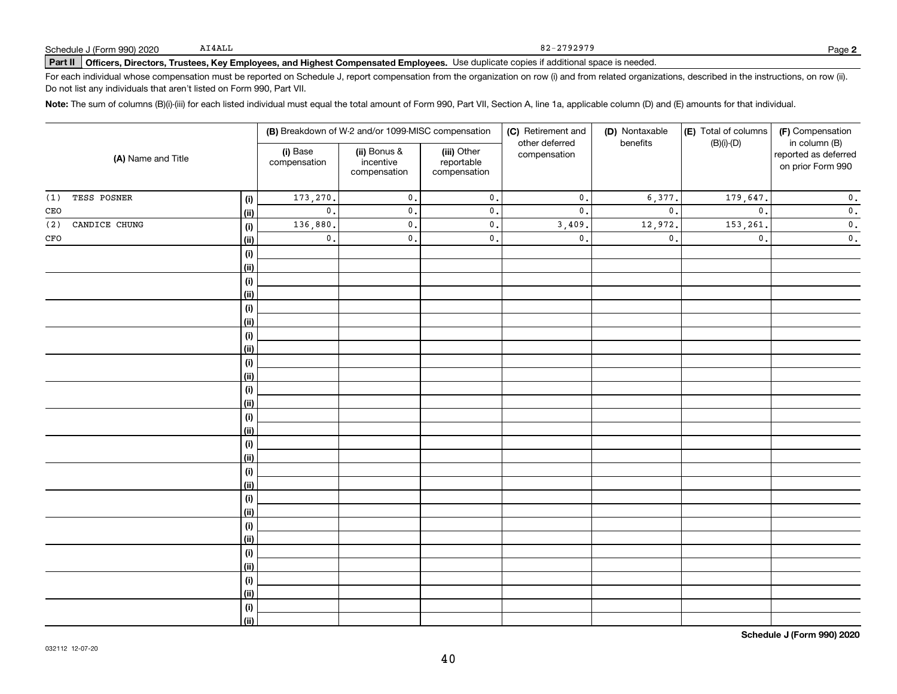# **Part II Officers, Directors, Trustees, Key Employees, and Highest Compensated Employees.**  Schedule J (Form 990) 2020 Page Use duplicate copies if additional space is needed.

For each individual whose compensation must be reported on Schedule J, report compensation from the organization on row (i) and from related organizations, described in the instructions, on row (ii). Do not list any individuals that aren't listed on Form 990, Part VII.

**Note:**  The sum of columns (B)(i)-(iii) for each listed individual must equal the total amount of Form 990, Part VII, Section A, line 1a, applicable column (D) and (E) amounts for that individual.

| (A) Name and Title                     |                | (B) Breakdown of W-2 and/or 1099-MISC compensation |                                           | (C) Retirement and                        | (D) Nontaxable                 | (E) Total of columns | (F) Compensation |                                                            |
|----------------------------------------|----------------|----------------------------------------------------|-------------------------------------------|-------------------------------------------|--------------------------------|----------------------|------------------|------------------------------------------------------------|
|                                        |                | (i) Base<br>compensation                           | (ii) Bonus &<br>incentive<br>compensation | (iii) Other<br>reportable<br>compensation | other deferred<br>compensation | benefits             | $(B)(i)-(D)$     | in column (B)<br>reported as deferred<br>on prior Form 990 |
| TESS POSNER<br>(1)                     | (i)            | 173,270.                                           | $\mathfrak o$ .                           | $\mathfrak o$ .                           | $\mathfrak o$ .                | 6,377                | 179,647.         | $\mathbf 0$ .                                              |
| $\mathtt{CEO}$                         | <u>(ii)</u>    | $\mathbf{0}$ .                                     | $\mathsf{0}$ .                            | $\mathbf 0$ .                             | $\mathsf{0}$ .                 | $\mathfrak o$ .      | $\mathfrak{o}$ . | $\mathbf 0$ .                                              |
| $\langle$ 2 $\rangle$<br>CANDICE CHUNG | (i)            | 136,880.                                           | $\mathsf{o}$ .                            | $\mathsf{0}$ .                            | 3,409.                         | 12,972.              | 153,261.         | $\mathbf 0$ .                                              |
| $_{\mbox{\tiny CFO}}$                  | <u>(ii)</u>    | $\mathbf 0$ .                                      | $\mathsf{o}$ .                            | $\mathsf{0}$ .                            | $\mathfrak o$ .                | $\mathfrak o$ .      | $\mathfrak o$ .  | $\mathbf 0$ .                                              |
|                                        | (i)            |                                                    |                                           |                                           |                                |                      |                  |                                                            |
|                                        | <u>(ii)</u>    |                                                    |                                           |                                           |                                |                      |                  |                                                            |
|                                        | (i)            |                                                    |                                           |                                           |                                |                      |                  |                                                            |
|                                        | (ii)           |                                                    |                                           |                                           |                                |                      |                  |                                                            |
|                                        | $(\sf{i})$     |                                                    |                                           |                                           |                                |                      |                  |                                                            |
|                                        | (ii)           |                                                    |                                           |                                           |                                |                      |                  |                                                            |
|                                        | (i)            |                                                    |                                           |                                           |                                |                      |                  |                                                            |
|                                        | (ii)           |                                                    |                                           |                                           |                                |                      |                  |                                                            |
|                                        | $(\sf{i})$     |                                                    |                                           |                                           |                                |                      |                  |                                                            |
|                                        | <u>(ii)</u>    |                                                    |                                           |                                           |                                |                      |                  |                                                            |
|                                        | $(\sf{i})$     |                                                    |                                           |                                           |                                |                      |                  |                                                            |
|                                        | <u>(ii)</u>    |                                                    |                                           |                                           |                                |                      |                  |                                                            |
|                                        | $(\sf{i})$     |                                                    |                                           |                                           |                                |                      |                  |                                                            |
|                                        | <u>(ii)</u>    |                                                    |                                           |                                           |                                |                      |                  |                                                            |
|                                        | (i)            |                                                    |                                           |                                           |                                |                      |                  |                                                            |
|                                        | (ii)<br>(i)    |                                                    |                                           |                                           |                                |                      |                  |                                                            |
|                                        | <u>(ii)</u>    |                                                    |                                           |                                           |                                |                      |                  |                                                            |
|                                        | (i)            |                                                    |                                           |                                           |                                |                      |                  |                                                            |
|                                        | <u>(ii)</u>    |                                                    |                                           |                                           |                                |                      |                  |                                                            |
|                                        | (i)            |                                                    |                                           |                                           |                                |                      |                  |                                                            |
|                                        | (ii)           |                                                    |                                           |                                           |                                |                      |                  |                                                            |
|                                        | $(\sf{i})$     |                                                    |                                           |                                           |                                |                      |                  |                                                            |
|                                        | (ii)           |                                                    |                                           |                                           |                                |                      |                  |                                                            |
|                                        | (i)            |                                                    |                                           |                                           |                                |                      |                  |                                                            |
|                                        | <u>(ii)</u>    |                                                    |                                           |                                           |                                |                      |                  |                                                            |
|                                        | (i)            |                                                    |                                           |                                           |                                |                      |                  |                                                            |
|                                        | $\overline{}}$ |                                                    |                                           |                                           |                                |                      |                  |                                                            |

**Schedule J (Form 990) 2020**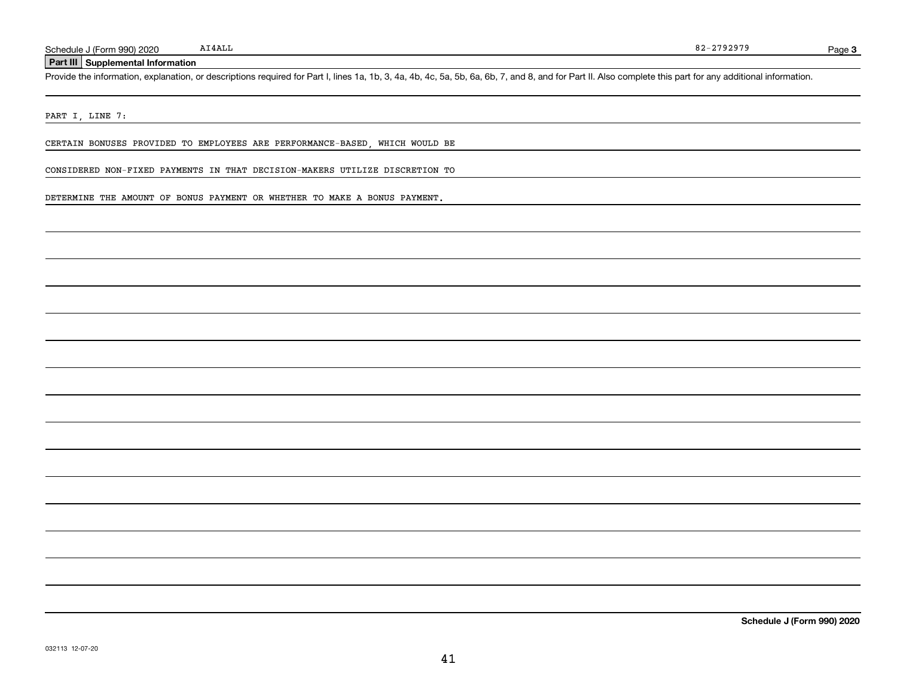### **Part III Supplemental Information**

Schedule J (Form 990) 2020 AI4ALL<br>Part III Supplemental Information<br>Provide the information, explanation, or descriptions required for Part I, lines 1a, 1b, 3, 4a, 4b, 4c, 5a, 5b, 6a, 6b, 7, and 8, and for Part II. Also co

#### PART I, LINE 7:

CERTAIN BONUSES PROVIDED TO EMPLOYEES ARE PERFORMANCE-BASED, WHICH WOULD BE

CONSIDERED NON-FIXED PAYMENTS IN THAT DECISION-MAKERS UTILIZE DISCRETION TO

DETERMINE THE AMOUNT OF BONUS PAYMENT OR WHETHER TO MAKE A BONUS PAYMENT.

**Schedule J (Form 990) 2020**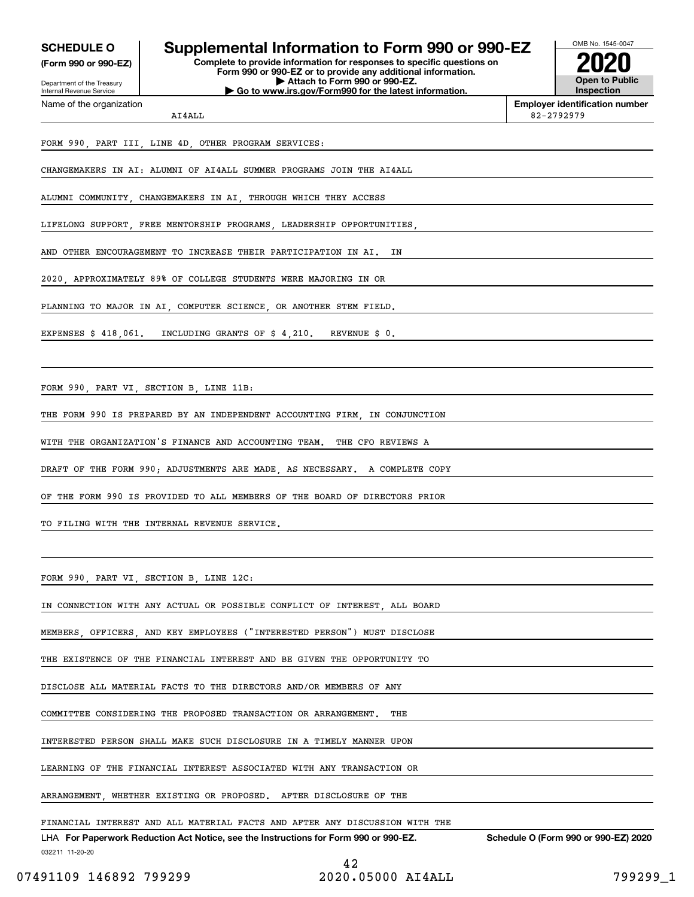Internal Revenue Service

Department of the Treasury **(Form 990 or 990-EZ)**

Name of the organization

# **SCHEDULE O Supplemental Information to Form 990 or 990-EZ**

**Complete to provide information for responses to specific questions on Form 990 or 990-EZ or to provide any additional information. | Attach to Form 990 or 990-EZ. | Go to www.irs.gov/Form990 for the latest information.**



**Employer identification number** 82-2792979

# FORM 990, PART III, LINE 4D, OTHER PROGRAM SERVICES:

AI4ALL

CHANGEMAKERS IN AI: ALUMNI OF AI4ALL SUMMER PROGRAMS JOIN THE AI4ALL

ALUMNI COMMUNITY, CHANGEMAKERS IN AI, THROUGH WHICH THEY ACCESS

LIFELONG SUPPORT, FREE MENTORSHIP PROGRAMS, LEADERSHIP OPPORTUNITIES,

AND OTHER ENCOURAGEMENT TO INCREASE THEIR PARTICIPATION IN AI. IN

2020, APPROXIMATELY 89% OF COLLEGE STUDENTS WERE MAJORING IN OR

PLANNING TO MAJOR IN AI, COMPUTER SCIENCE, OR ANOTHER STEM FIELD.

EXPENSES \$ 418,061. INCLUDING GRANTS OF \$ 4,210. REVENUE \$ 0.

FORM 990, PART VI, SECTION B, LINE 11B:

THE FORM 990 IS PREPARED BY AN INDEPENDENT ACCOUNTING FIRM, IN CONJUNCTION

WITH THE ORGANIZATION'S FINANCE AND ACCOUNTING TEAM. THE CFO REVIEWS A

DRAFT OF THE FORM 990; ADJUSTMENTS ARE MADE, AS NECESSARY. A COMPLETE COPY

OF THE FORM 990 IS PROVIDED TO ALL MEMBERS OF THE BOARD OF DIRECTORS PRIOR

TO FILING WITH THE INTERNAL REVENUE SERVICE.

FORM 990, PART VI, SECTION B, LINE 12C:

IN CONNECTION WITH ANY ACTUAL OR POSSIBLE CONFLICT OF INTEREST, ALL BOARD

MEMBERS, OFFICERS, AND KEY EMPLOYEES ("INTERESTED PERSON") MUST DISCLOSE

THE EXISTENCE OF THE FINANCIAL INTEREST AND BE GIVEN THE OPPORTUNITY TO

DISCLOSE ALL MATERIAL FACTS TO THE DIRECTORS AND/OR MEMBERS OF ANY

COMMITTEE CONSIDERING THE PROPOSED TRANSACTION OR ARRANGEMENT. THE

INTERESTED PERSON SHALL MAKE SUCH DISCLOSURE IN A TIMELY MANNER UPON

LEARNING OF THE FINANCIAL INTEREST ASSOCIATED WITH ANY TRANSACTION OR

ARRANGEMENT, WHETHER EXISTING OR PROPOSED. AFTER DISCLOSURE OF THE

FINANCIAL INTEREST AND ALL MATERIAL FACTS AND AFTER ANY DISCUSSION WITH THE

032211 11-20-20 LHA For Paperwork Reduction Act Notice, see the Instructions for Form 990 or 990-EZ. Schedule O (Form 990 or 990-EZ) 2020

42